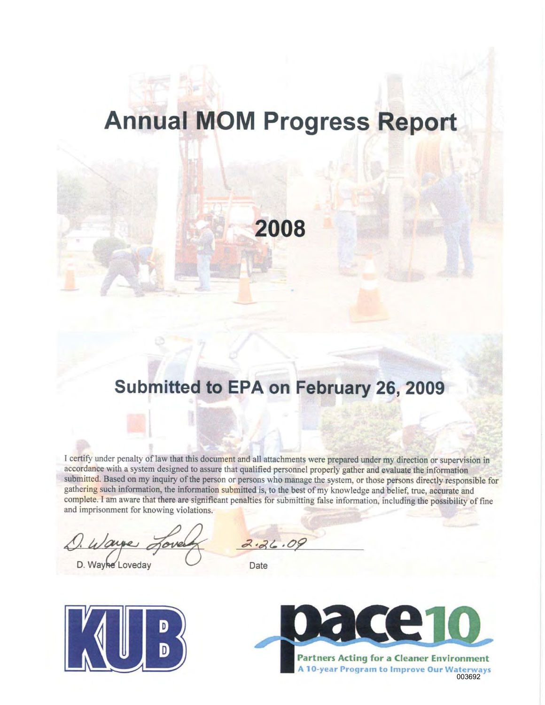# **Annual MOM Progress Report**

2008

## Submitted to EPA on February 26, 2009

I certify under penalty of law that this document and all attachments were prepared under my direction or supervision in accordance with a system designed to assure that qualified personnel properly gather and evaluate the information submitted. Based on my inquiry of the person or persons who manage the system, or those persons directly responsible for gathering such information, the information submitted is, to the best of my knowledge and belief, true, accurate and complete. I am aware that there are significant penalties for submitting false information, including the possibility of fine and imprisonment for knowing violations.

D. Wayhe Loveday

 $2.36.09$ 

Date



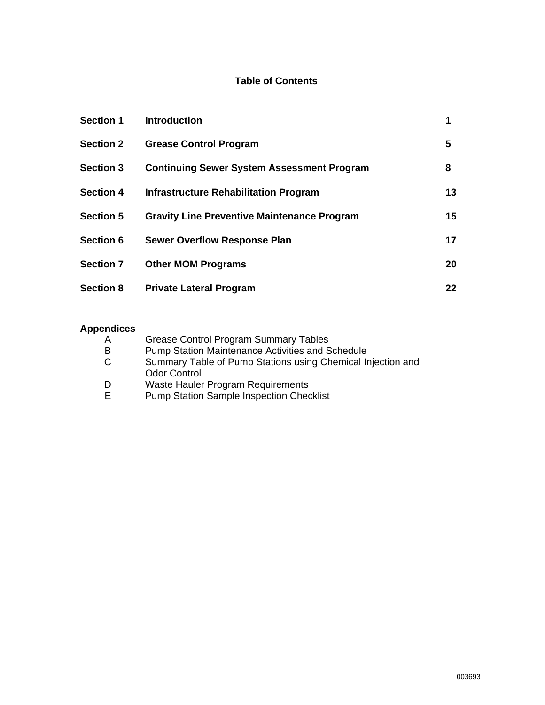#### **Table of Contents**

| <b>Section 1</b> | <b>Introduction</b>                                | 1  |
|------------------|----------------------------------------------------|----|
| <b>Section 2</b> | <b>Grease Control Program</b>                      | 5  |
| <b>Section 3</b> | <b>Continuing Sewer System Assessment Program</b>  | 8  |
| <b>Section 4</b> | Infrastructure Rehabilitation Program              | 13 |
| <b>Section 5</b> | <b>Gravity Line Preventive Maintenance Program</b> | 15 |
| <b>Section 6</b> | <b>Sewer Overflow Response Plan</b>                | 17 |
| <b>Section 7</b> | <b>Other MOM Programs</b>                          | 20 |
| <b>Section 8</b> | <b>Private Lateral Program</b>                     | 22 |

#### **Appendices**

| A      | <b>Grease Control Program Summary Tables</b>                                         |
|--------|--------------------------------------------------------------------------------------|
| В      | <b>Pump Station Maintenance Activities and Schedule</b>                              |
| C.     | Summary Table of Pump Stations using Chemical Injection and<br><b>Odor Control</b>   |
| D<br>Е | Waste Hauler Program Requirements<br><b>Pump Station Sample Inspection Checklist</b> |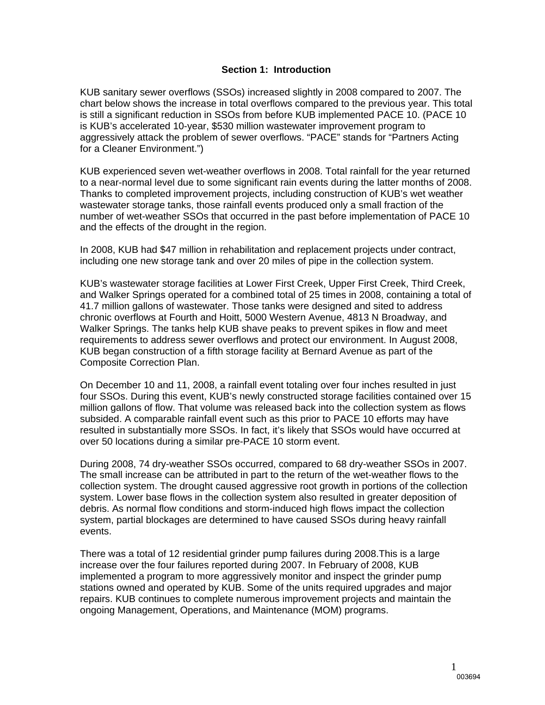#### **Section 1: Introduction**

KUB sanitary sewer overflows (SSOs) increased slightly in 2008 compared to 2007. The chart below shows the increase in total overflows compared to the previous year. This total is still a significant reduction in SSOs from before KUB implemented PACE 10. (PACE 10 is KUB's accelerated 10-year, \$530 million wastewater improvement program to aggressively attack the problem of sewer overflows. "PACE" stands for "Partners Acting for a Cleaner Environment.")

KUB experienced seven wet-weather overflows in 2008. Total rainfall for the year returned to a near-normal level due to some significant rain events during the latter months of 2008. Thanks to completed improvement projects, including construction of KUB's wet weather wastewater storage tanks, those rainfall events produced only a small fraction of the number of wet-weather SSOs that occurred in the past before implementation of PACE 10 and the effects of the drought in the region.

In 2008, KUB had \$47 million in rehabilitation and replacement projects under contract, including one new storage tank and over 20 miles of pipe in the collection system.

KUB's wastewater storage facilities at Lower First Creek, Upper First Creek, Third Creek, and Walker Springs operated for a combined total of 25 times in 2008, containing a total of 41.7 million gallons of wastewater. Those tanks were designed and sited to address chronic overflows at Fourth and Hoitt, 5000 Western Avenue, 4813 N Broadway, and Walker Springs. The tanks help KUB shave peaks to prevent spikes in flow and meet requirements to address sewer overflows and protect our environment. In August 2008, KUB began construction of a fifth storage facility at Bernard Avenue as part of the Composite Correction Plan.

On December 10 and 11, 2008, a rainfall event totaling over four inches resulted in just four SSOs. During this event, KUB's newly constructed storage facilities contained over 15 million gallons of flow. That volume was released back into the collection system as flows subsided. A comparable rainfall event such as this prior to PACE 10 efforts may have resulted in substantially more SSOs. In fact, it's likely that SSOs would have occurred at over 50 locations during a similar pre-PACE 10 storm event.

During 2008, 74 dry-weather SSOs occurred, compared to 68 dry-weather SSOs in 2007. The small increase can be attributed in part to the return of the wet-weather flows to the collection system. The drought caused aggressive root growth in portions of the collection system. Lower base flows in the collection system also resulted in greater deposition of debris. As normal flow conditions and storm-induced high flows impact the collection system, partial blockages are determined to have caused SSOs during heavy rainfall events.

There was a total of 12 residential grinder pump failures during 2008.This is a large increase over the four failures reported during 2007. In February of 2008, KUB implemented a program to more aggressively monitor and inspect the grinder pump stations owned and operated by KUB. Some of the units required upgrades and major repairs. KUB continues to complete numerous improvement projects and maintain the ongoing Management, Operations, and Maintenance (MOM) programs.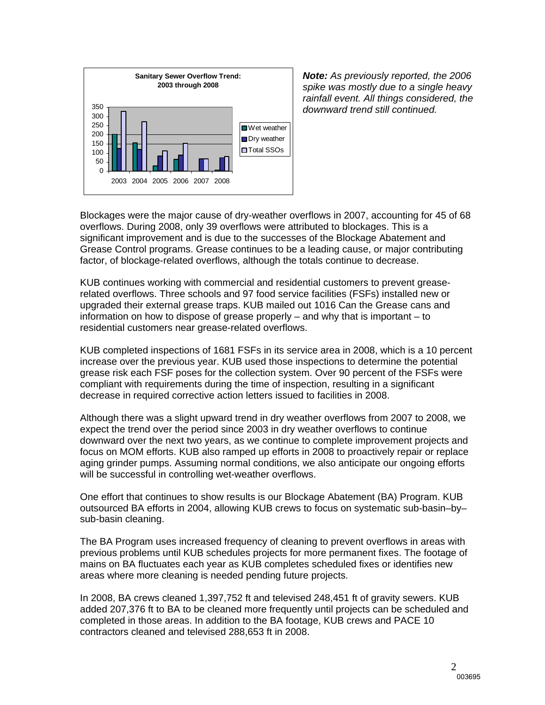

*Note: As previously reported, the 2006 spike was mostly due to a single heavy rainfall event. All things considered, the downward trend still continued.* 

Blockages were the major cause of dry-weather overflows in 2007, accounting for 45 of 68 overflows. During 2008, only 39 overflows were attributed to blockages. This is a significant improvement and is due to the successes of the Blockage Abatement and Grease Control programs. Grease continues to be a leading cause, or major contributing factor, of blockage-related overflows, although the totals continue to decrease.

KUB continues working with commercial and residential customers to prevent greaserelated overflows. Three schools and 97 food service facilities (FSFs) installed new or upgraded their external grease traps. KUB mailed out 1016 Can the Grease cans and information on how to dispose of grease properly – and why that is important – to residential customers near grease-related overflows.

KUB completed inspections of 1681 FSFs in its service area in 2008, which is a 10 percent increase over the previous year. KUB used those inspections to determine the potential grease risk each FSF poses for the collection system. Over 90 percent of the FSFs were compliant with requirements during the time of inspection, resulting in a significant decrease in required corrective action letters issued to facilities in 2008.

Although there was a slight upward trend in dry weather overflows from 2007 to 2008, we expect the trend over the period since 2003 in dry weather overflows to continue downward over the next two years, as we continue to complete improvement projects and focus on MOM efforts. KUB also ramped up efforts in 2008 to proactively repair or replace aging grinder pumps. Assuming normal conditions, we also anticipate our ongoing efforts will be successful in controlling wet-weather overflows.

One effort that continues to show results is our Blockage Abatement (BA) Program. KUB outsourced BA efforts in 2004, allowing KUB crews to focus on systematic sub-basin–by– sub-basin cleaning.

The BA Program uses increased frequency of cleaning to prevent overflows in areas with previous problems until KUB schedules projects for more permanent fixes. The footage of mains on BA fluctuates each year as KUB completes scheduled fixes or identifies new areas where more cleaning is needed pending future projects.

In 2008, BA crews cleaned 1,397,752 ft and televised 248,451 ft of gravity sewers. KUB added 207,376 ft to BA to be cleaned more frequently until projects can be scheduled and completed in those areas. In addition to the BA footage, KUB crews and PACE 10 contractors cleaned and televised 288,653 ft in 2008.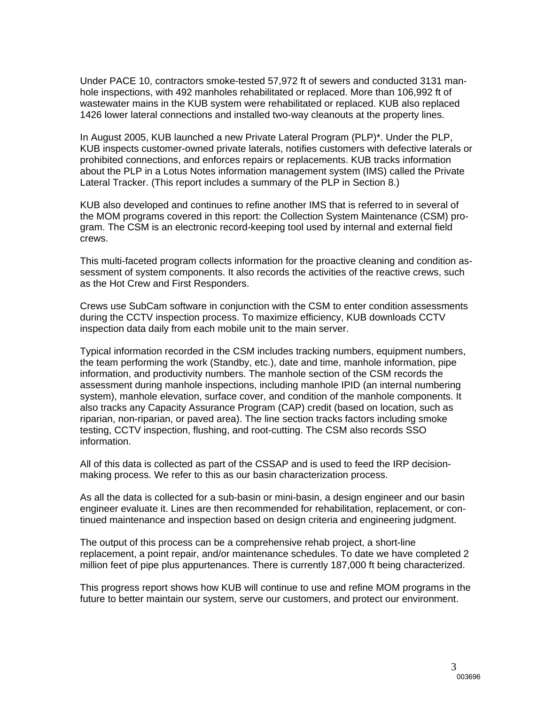Under PACE 10, contractors smoke-tested 57,972 ft of sewers and conducted 3131 manhole inspections, with 492 manholes rehabilitated or replaced. More than 106,992 ft of wastewater mains in the KUB system were rehabilitated or replaced. KUB also replaced 1426 lower lateral connections and installed two-way cleanouts at the property lines.

In August 2005, KUB launched a new Private Lateral Program (PLP)\*. Under the PLP, KUB inspects customer-owned private laterals, notifies customers with defective laterals or prohibited connections, and enforces repairs or replacements. KUB tracks information about the PLP in a Lotus Notes information management system (IMS) called the Private Lateral Tracker. (This report includes a summary of the PLP in Section 8.)

KUB also developed and continues to refine another IMS that is referred to in several of the MOM programs covered in this report: the Collection System Maintenance (CSM) program. The CSM is an electronic record-keeping tool used by internal and external field crews.

This multi-faceted program collects information for the proactive cleaning and condition assessment of system components. It also records the activities of the reactive crews, such as the Hot Crew and First Responders.

Crews use SubCam software in conjunction with the CSM to enter condition assessments during the CCTV inspection process. To maximize efficiency, KUB downloads CCTV inspection data daily from each mobile unit to the main server.

Typical information recorded in the CSM includes tracking numbers, equipment numbers, the team performing the work (Standby, etc.), date and time, manhole information, pipe information, and productivity numbers. The manhole section of the CSM records the assessment during manhole inspections, including manhole IPID (an internal numbering system), manhole elevation, surface cover, and condition of the manhole components. It also tracks any Capacity Assurance Program (CAP) credit (based on location, such as riparian, non-riparian, or paved area). The line section tracks factors including smoke testing, CCTV inspection, flushing, and root-cutting. The CSM also records SSO information.

All of this data is collected as part of the CSSAP and is used to feed the IRP decisionmaking process. We refer to this as our basin characterization process.

As all the data is collected for a sub-basin or mini-basin, a design engineer and our basin engineer evaluate it. Lines are then recommended for rehabilitation, replacement, or continued maintenance and inspection based on design criteria and engineering judgment.

The output of this process can be a comprehensive rehab project, a short-line replacement, a point repair, and/or maintenance schedules. To date we have completed 2 million feet of pipe plus appurtenances. There is currently 187,000 ft being characterized.

This progress report shows how KUB will continue to use and refine MOM programs in the future to better maintain our system, serve our customers, and protect our environment.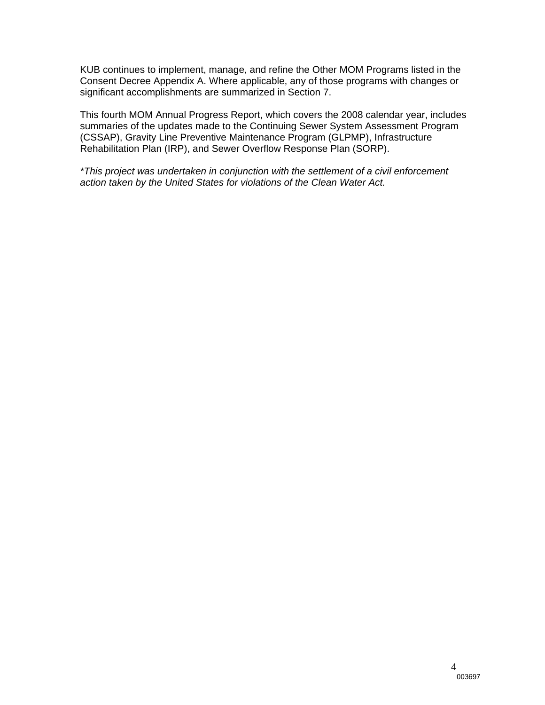KUB continues to implement, manage, and refine the Other MOM Programs listed in the Consent Decree Appendix A. Where applicable, any of those programs with changes or significant accomplishments are summarized in Section 7.

This fourth MOM Annual Progress Report, which covers the 2008 calendar year, includes summaries of the updates made to the Continuing Sewer System Assessment Program (CSSAP), Gravity Line Preventive Maintenance Program (GLPMP), Infrastructure Rehabilitation Plan (IRP), and Sewer Overflow Response Plan (SORP).

*\*This project was undertaken in conjunction with the settlement of a civil enforcement action taken by the United States for violations of the Clean Water Act.*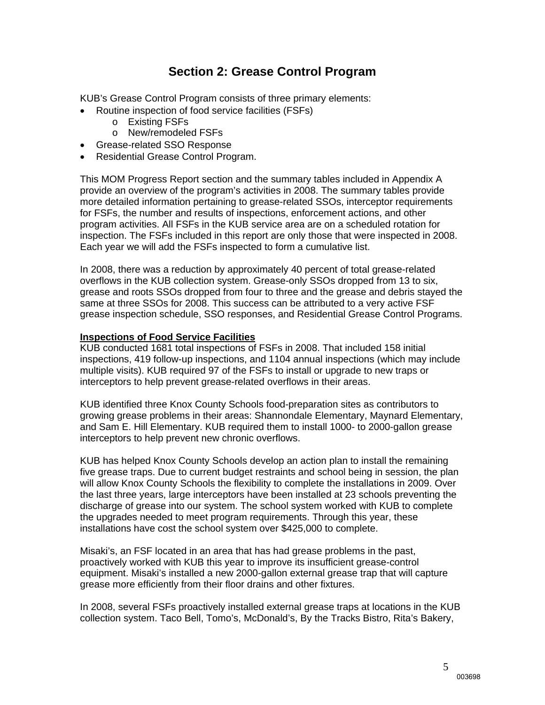### **Section 2: Grease Control Program**

KUB's Grease Control Program consists of three primary elements:

- Routine inspection of food service facilities (FSFs)
	- o Existing FSFs
	- o New/remodeled FSFs
- Grease-related SSO Response
- Residential Grease Control Program.

This MOM Progress Report section and the summary tables included in Appendix A provide an overview of the program's activities in 2008. The summary tables provide more detailed information pertaining to grease-related SSOs, interceptor requirements for FSFs, the number and results of inspections, enforcement actions, and other program activities. All FSFs in the KUB service area are on a scheduled rotation for inspection. The FSFs included in this report are only those that were inspected in 2008. Each year we will add the FSFs inspected to form a cumulative list.

In 2008, there was a reduction by approximately 40 percent of total grease-related overflows in the KUB collection system. Grease-only SSOs dropped from 13 to six, grease and roots SSOs dropped from four to three and the grease and debris stayed the same at three SSOs for 2008. This success can be attributed to a very active FSF grease inspection schedule, SSO responses, and Residential Grease Control Programs.

#### **Inspections of Food Service Facilities**

KUB conducted 1681 total inspections of FSFs in 2008. That included 158 initial inspections, 419 follow-up inspections, and 1104 annual inspections (which may include multiple visits). KUB required 97 of the FSFs to install or upgrade to new traps or interceptors to help prevent grease-related overflows in their areas.

KUB identified three Knox County Schools food-preparation sites as contributors to growing grease problems in their areas: Shannondale Elementary, Maynard Elementary, and Sam E. Hill Elementary. KUB required them to install 1000- to 2000-gallon grease interceptors to help prevent new chronic overflows.

KUB has helped Knox County Schools develop an action plan to install the remaining five grease traps. Due to current budget restraints and school being in session, the plan will allow Knox County Schools the flexibility to complete the installations in 2009. Over the last three years, large interceptors have been installed at 23 schools preventing the discharge of grease into our system. The school system worked with KUB to complete the upgrades needed to meet program requirements. Through this year, these installations have cost the school system over \$425,000 to complete.

Misaki's, an FSF located in an area that has had grease problems in the past, proactively worked with KUB this year to improve its insufficient grease-control equipment. Misaki's installed a new 2000-gallon external grease trap that will capture grease more efficiently from their floor drains and other fixtures.

In 2008, several FSFs proactively installed external grease traps at locations in the KUB collection system. Taco Bell, Tomo's, McDonald's, By the Tracks Bistro, Rita's Bakery,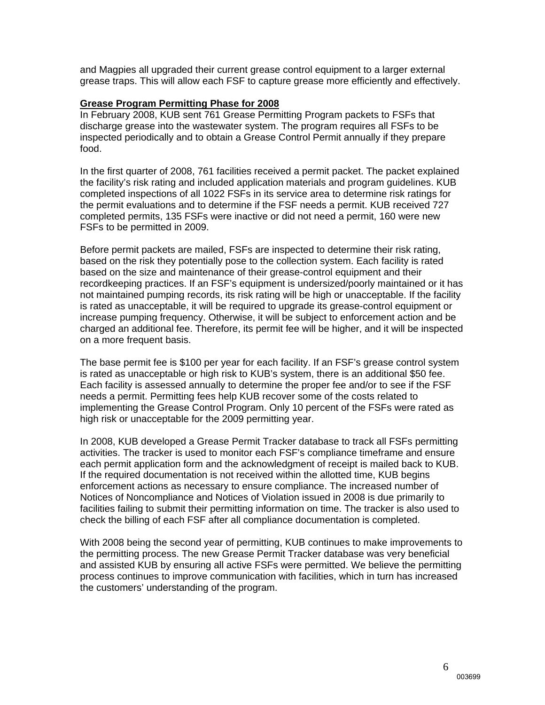and Magpies all upgraded their current grease control equipment to a larger external grease traps. This will allow each FSF to capture grease more efficiently and effectively.

#### **Grease Program Permitting Phase for 2008**

In February 2008, KUB sent 761 Grease Permitting Program packets to FSFs that discharge grease into the wastewater system. The program requires all FSFs to be inspected periodically and to obtain a Grease Control Permit annually if they prepare food.

In the first quarter of 2008, 761 facilities received a permit packet. The packet explained the facility's risk rating and included application materials and program guidelines. KUB completed inspections of all 1022 FSFs in its service area to determine risk ratings for the permit evaluations and to determine if the FSF needs a permit. KUB received 727 completed permits, 135 FSFs were inactive or did not need a permit, 160 were new FSFs to be permitted in 2009.

Before permit packets are mailed, FSFs are inspected to determine their risk rating, based on the risk they potentially pose to the collection system. Each facility is rated based on the size and maintenance of their grease-control equipment and their recordkeeping practices. If an FSF's equipment is undersized/poorly maintained or it has not maintained pumping records, its risk rating will be high or unacceptable. If the facility is rated as unacceptable, it will be required to upgrade its grease-control equipment or increase pumping frequency. Otherwise, it will be subject to enforcement action and be charged an additional fee. Therefore, its permit fee will be higher, and it will be inspected on a more frequent basis.

The base permit fee is \$100 per year for each facility. If an FSF's grease control system is rated as unacceptable or high risk to KUB's system, there is an additional \$50 fee. Each facility is assessed annually to determine the proper fee and/or to see if the FSF needs a permit. Permitting fees help KUB recover some of the costs related to implementing the Grease Control Program. Only 10 percent of the FSFs were rated as high risk or unacceptable for the 2009 permitting year.

In 2008, KUB developed a Grease Permit Tracker database to track all FSFs permitting activities. The tracker is used to monitor each FSF's compliance timeframe and ensure each permit application form and the acknowledgment of receipt is mailed back to KUB. If the required documentation is not received within the allotted time, KUB begins enforcement actions as necessary to ensure compliance. The increased number of Notices of Noncompliance and Notices of Violation issued in 2008 is due primarily to facilities failing to submit their permitting information on time. The tracker is also used to check the billing of each FSF after all compliance documentation is completed.

With 2008 being the second year of permitting, KUB continues to make improvements to the permitting process. The new Grease Permit Tracker database was very beneficial and assisted KUB by ensuring all active FSFs were permitted. We believe the permitting process continues to improve communication with facilities, which in turn has increased the customers' understanding of the program.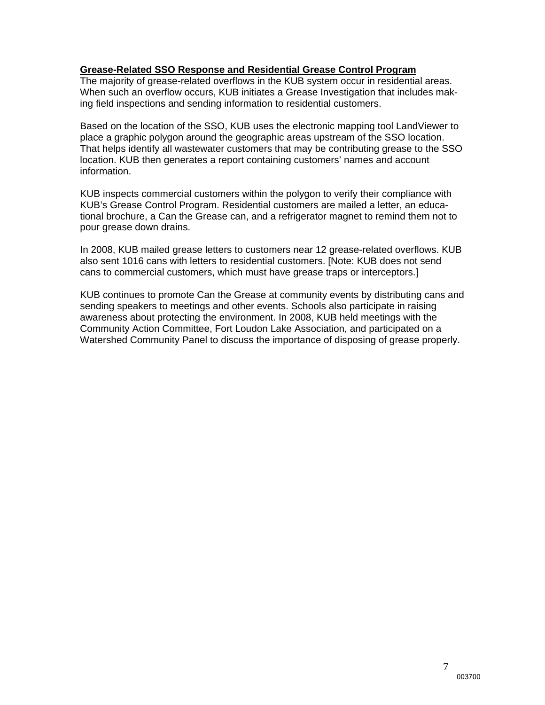#### **Grease-Related SSO Response and Residential Grease Control Program**

The majority of grease-related overflows in the KUB system occur in residential areas. When such an overflow occurs, KUB initiates a Grease Investigation that includes making field inspections and sending information to residential customers.

Based on the location of the SSO, KUB uses the electronic mapping tool LandViewer to place a graphic polygon around the geographic areas upstream of the SSO location. That helps identify all wastewater customers that may be contributing grease to the SSO location. KUB then generates a report containing customers' names and account information.

KUB inspects commercial customers within the polygon to verify their compliance with KUB's Grease Control Program. Residential customers are mailed a letter, an educational brochure, a Can the Grease can, and a refrigerator magnet to remind them not to pour grease down drains.

In 2008, KUB mailed grease letters to customers near 12 grease-related overflows. KUB also sent 1016 cans with letters to residential customers. [Note: KUB does not send cans to commercial customers, which must have grease traps or interceptors.]

KUB continues to promote Can the Grease at community events by distributing cans and sending speakers to meetings and other events. Schools also participate in raising awareness about protecting the environment. In 2008, KUB held meetings with the Community Action Committee, Fort Loudon Lake Association, and participated on a Watershed Community Panel to discuss the importance of disposing of grease properly.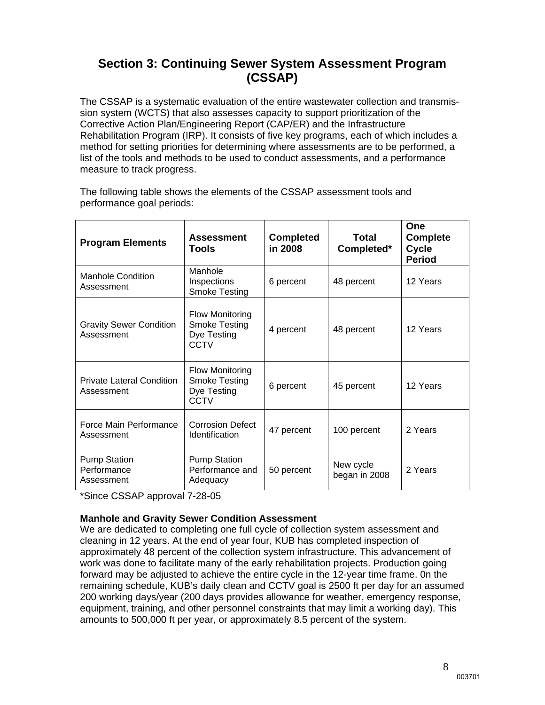### **Section 3: Continuing Sewer System Assessment Program (CSSAP)**

The CSSAP is a systematic evaluation of the entire wastewater collection and transmission system (WCTS) that also assesses capacity to support prioritization of the Corrective Action Plan/Engineering Report (CAP/ER) and the Infrastructure Rehabilitation Program (IRP). It consists of five key programs, each of which includes a method for setting priorities for determining where assessments are to be performed, a list of the tools and methods to be used to conduct assessments, and a performance measure to track progress.

The following table shows the elements of the CSSAP assessment tools and performance goal periods:

| <b>Program Elements</b>                          | <b>Assessment</b><br>Tools                                            | <b>Completed</b><br>in 2008 | Total<br>Completed*        | One<br><b>Complete</b><br>Cycle<br><b>Period</b> |
|--------------------------------------------------|-----------------------------------------------------------------------|-----------------------------|----------------------------|--------------------------------------------------|
| <b>Manhole Condition</b><br>Assessment           | Manhole<br>Inspections<br><b>Smoke Testing</b>                        | 6 percent                   | 48 percent                 | 12 Years                                         |
| <b>Gravity Sewer Condition</b><br>Assessment     | <b>Flow Monitoring</b><br><b>Smoke Testing</b><br>Dye Testing<br>CCTV | 4 percent                   | 48 percent                 | 12 Years                                         |
| <b>Private Lateral Condition</b><br>Assessment   | <b>Flow Monitoring</b><br><b>Smoke Testing</b><br>Dye Testing<br>CCTV | 6 percent                   | 45 percent                 | 12 Years                                         |
| Force Main Performance<br>Assessment             | <b>Corrosion Defect</b><br>Identification                             | 47 percent                  | 100 percent                | 2 Years                                          |
| <b>Pump Station</b><br>Performance<br>Assessment | <b>Pump Station</b><br>Performance and<br>Adequacy                    | 50 percent                  | New cycle<br>began in 2008 | 2 Years                                          |

\*Since CSSAP approval 7-28-05

#### **Manhole and Gravity Sewer Condition Assessment**

We are dedicated to completing one full cycle of collection system assessment and cleaning in 12 years. At the end of year four, KUB has completed inspection of approximately 48 percent of the collection system infrastructure. This advancement of work was done to facilitate many of the early rehabilitation projects. Production going forward may be adjusted to achieve the entire cycle in the 12-year time frame. 0n the remaining schedule, KUB's daily clean and CCTV goal is 2500 ft per day for an assumed 200 working days/year (200 days provides allowance for weather, emergency response, equipment, training, and other personnel constraints that may limit a working day). This amounts to 500,000 ft per year, or approximately 8.5 percent of the system.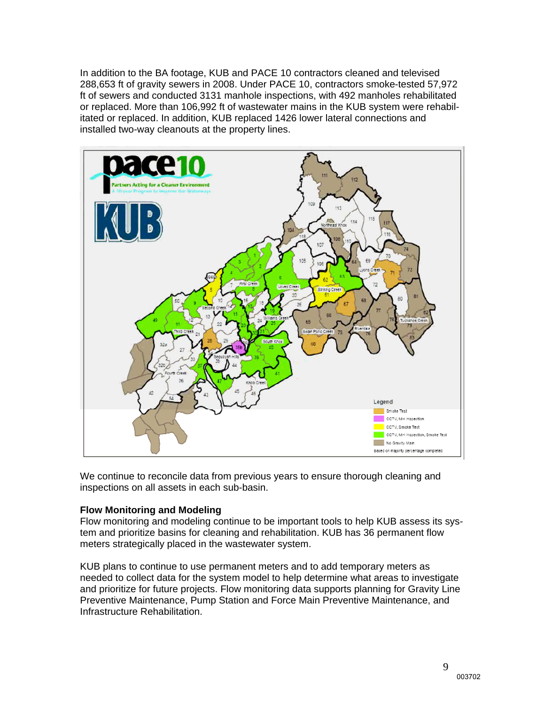In addition to the BA footage, KUB and PACE 10 contractors cleaned and televised 288,653 ft of gravity sewers in 2008. Under PACE 10, contractors smoke-tested 57,972 ft of sewers and conducted 3131 manhole inspections, with 492 manholes rehabilitated or replaced. More than 106,992 ft of wastewater mains in the KUB system were rehabilitated or replaced. In addition, KUB replaced 1426 lower lateral connections and installed two-way cleanouts at the property lines.



We continue to reconcile data from previous years to ensure thorough cleaning and inspections on all assets in each sub-basin.

#### **Flow Monitoring and Modeling**

Flow monitoring and modeling continue to be important tools to help KUB assess its system and prioritize basins for cleaning and rehabilitation. KUB has 36 permanent flow meters strategically placed in the wastewater system.

KUB plans to continue to use permanent meters and to add temporary meters as needed to collect data for the system model to help determine what areas to investigate and prioritize for future projects. Flow monitoring data supports planning for Gravity Line Preventive Maintenance, Pump Station and Force Main Preventive Maintenance, and Infrastructure Rehabilitation.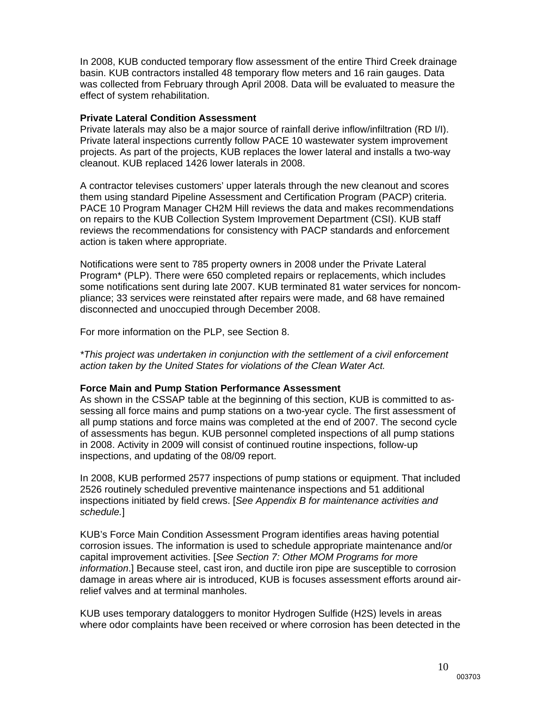In 2008, KUB conducted temporary flow assessment of the entire Third Creek drainage basin. KUB contractors installed 48 temporary flow meters and 16 rain gauges. Data was collected from February through April 2008. Data will be evaluated to measure the effect of system rehabilitation.

#### **Private Lateral Condition Assessment**

Private laterals may also be a major source of rainfall derive inflow/infiltration (RD I/I). Private lateral inspections currently follow PACE 10 wastewater system improvement projects. As part of the projects, KUB replaces the lower lateral and installs a two-way cleanout. KUB replaced 1426 lower laterals in 2008.

A contractor televises customers' upper laterals through the new cleanout and scores them using standard Pipeline Assessment and Certification Program (PACP) criteria. PACE 10 Program Manager CH2M Hill reviews the data and makes recommendations on repairs to the KUB Collection System Improvement Department (CSI). KUB staff reviews the recommendations for consistency with PACP standards and enforcement action is taken where appropriate.

Notifications were sent to 785 property owners in 2008 under the Private Lateral Program\* (PLP). There were 650 completed repairs or replacements, which includes some notifications sent during late 2007. KUB terminated 81 water services for noncompliance; 33 services were reinstated after repairs were made, and 68 have remained disconnected and unoccupied through December 2008.

For more information on the PLP, see Section 8.

*\*This project was undertaken in conjunction with the settlement of a civil enforcement action taken by the United States for violations of the Clean Water Act.*

#### **Force Main and Pump Station Performance Assessment**

As shown in the CSSAP table at the beginning of this section, KUB is committed to assessing all force mains and pump stations on a two-year cycle. The first assessment of all pump stations and force mains was completed at the end of 2007. The second cycle of assessments has begun. KUB personnel completed inspections of all pump stations in 2008. Activity in 2009 will consist of continued routine inspections, follow-up inspections, and updating of the 08/09 report.

In 2008, KUB performed 2577 inspections of pump stations or equipment. That included 2526 routinely scheduled preventive maintenance inspections and 51 additional inspections initiated by field crews. [*See Appendix B for maintenance activities and schedule.*]

KUB's Force Main Condition Assessment Program identifies areas having potential corrosion issues. The information is used to schedule appropriate maintenance and/or capital improvement activities. [*See Section 7: Other MOM Programs for more information*.] Because steel, cast iron, and ductile iron pipe are susceptible to corrosion damage in areas where air is introduced, KUB is focuses assessment efforts around airrelief valves and at terminal manholes.

KUB uses temporary dataloggers to monitor Hydrogen Sulfide (H2S) levels in areas where odor complaints have been received or where corrosion has been detected in the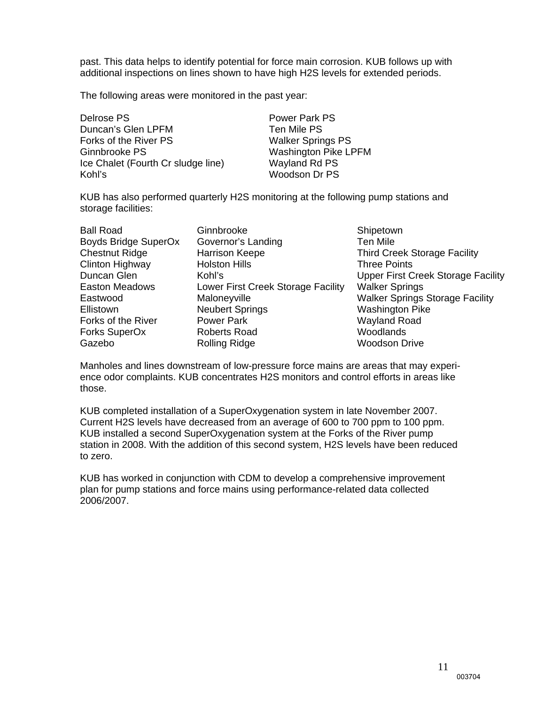past. This data helps to identify potential for force main corrosion. KUB follows up with additional inspections on lines shown to have high H2S levels for extended periods.

The following areas were monitored in the past year:

Delrose PS Power Park PS Duncan's Glen LPFM Ten Mile PS Forks of the River PS Walker Springs PS Ginnbrooke PS Washington Pike LPFM Ice Chalet (Fourth Cr sludge line) Wayland Rd PS Kohl's Woodson Dr PS

KUB has also performed quarterly H2S monitoring at the following pump stations and storage facilities:

| <b>Ball Road</b>      | Ginnbrooke                  |
|-----------------------|-----------------------------|
| Boyds Bridge SuperOx  | Governor's Landing          |
| <b>Chestnut Ridge</b> | <b>Harrison Keepe</b>       |
| Clinton Highway       | <b>Holston Hills</b>        |
| Duncan Glen           | Kohl's                      |
| Easton Meadows        | Lower First Creek Storage F |
| Eastwood              | Maloneyville                |
| Ellistown             | <b>Neubert Springs</b>      |
| Forks of the River    | <b>Power Park</b>           |
| Forks SuperOx         | <b>Roberts Road</b>         |
| Gazebo                | Rolling Ridge               |
|                       |                             |

Shipetown Ten Mile Third Creek Storage Facility Three Points Upper First Creek Storage Facility acility Walker Springs Walker Springs Storage Facility **Washington Pike** Wayland Road Woodlands Woodson Drive

Manholes and lines downstream of low-pressure force mains are areas that may experience odor complaints. KUB concentrates H2S monitors and control efforts in areas like those.

KUB completed installation of a SuperOxygenation system in late November 2007. Current H2S levels have decreased from an average of 600 to 700 ppm to 100 ppm. KUB installed a second SuperOxygenation system at the Forks of the River pump station in 2008. With the addition of this second system, H2S levels have been reduced to zero.

KUB has worked in conjunction with CDM to develop a comprehensive improvement plan for pump stations and force mains using performance-related data collected 2006/2007.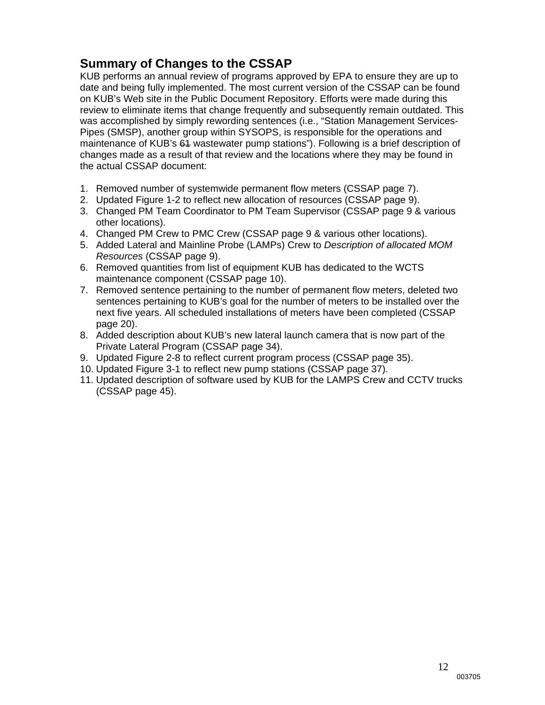## **Summary of Changes to the CSSAP**

KUB performs an annual review of programs approved by EPA to ensure they are up to date and being fully implemented. The most current version of the CSSAP can be found on KUB's Web site in the Public Document Repository. Efforts were made during this review to eliminate items that change frequently and subsequently remain outdated. This was accomplished by simply rewording sentences (i.e., "Station Management Services-Pipes (SMSP), another group within SYSOPS, is responsible for the operations and maintenance of KUB's 61 wastewater pump stations"). Following is a brief description of changes made as a result of that review and the locations where they may be found in the actual CSSAP document:

- 1. Removed number of systemwide permanent flow meters (CSSAP page 7).
- 2. Updated Figure 1-2 to reflect new allocation of resources (CSSAP page 9).
- 3. Changed PM Team Coordinator to PM Team Supervisor (CSSAP page 9 & various other locations).
- 4. Changed PM Crew to PMC Crew (CSSAP page 9 & various other locations).
- 5. Added Lateral and Mainline Probe (LAMPs) Crew to *Description of allocated MOM Resources* (CSSAP page 9).
- 6. Removed quantities from list of equipment KUB has dedicated to the WCTS maintenance component (CSSAP page 10).
- 7. Removed sentence pertaining to the number of permanent flow meters, deleted two sentences pertaining to KUB's goal for the number of meters to be installed over the next five years. All scheduled installations of meters have been completed (CSSAP page 20).
- 8. Added description about KUB's new lateral launch camera that is now part of the Private Lateral Program (CSSAP page 34).
- 9. Updated Figure 2-8 to reflect current program process (CSSAP page 35).
- 10. Updated Figure 3-1 to reflect new pump stations (CSSAP page 37).
- 11. Updated description of software used by KUB for the LAMPS Crew and CCTV trucks (CSSAP page 45).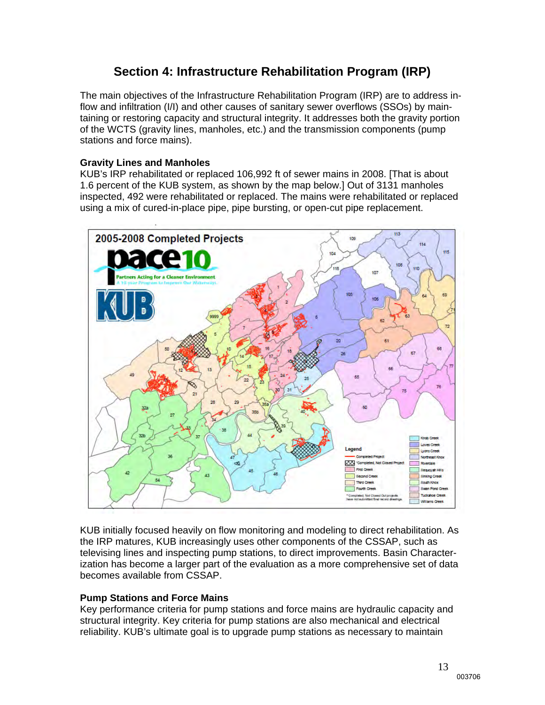### **Section 4: Infrastructure Rehabilitation Program (IRP)**

The main objectives of the Infrastructure Rehabilitation Program (IRP) are to address inflow and infiltration (I/I) and other causes of sanitary sewer overflows (SSOs) by maintaining or restoring capacity and structural integrity. It addresses both the gravity portion of the WCTS (gravity lines, manholes, etc.) and the transmission components (pump stations and force mains).

#### **Gravity Lines and Manholes**

KUB's IRP rehabilitated or replaced 106,992 ft of sewer mains in 2008. [That is about 1.6 percent of the KUB system, as shown by the map below.] Out of 3131 manholes inspected, 492 were rehabilitated or replaced. The mains were rehabilitated or replaced using a mix of cured-in-place pipe, pipe bursting, or open-cut pipe replacement.



KUB initially focused heavily on flow monitoring and modeling to direct rehabilitation. As the IRP matures, KUB increasingly uses other components of the CSSAP, such as televising lines and inspecting pump stations, to direct improvements. Basin Characterization has become a larger part of the evaluation as a more comprehensive set of data becomes available from CSSAP.

#### **Pump Stations and Force Mains**

Key performance criteria for pump stations and force mains are hydraulic capacity and structural integrity. Key criteria for pump stations are also mechanical and electrical reliability. KUB's ultimate goal is to upgrade pump stations as necessary to maintain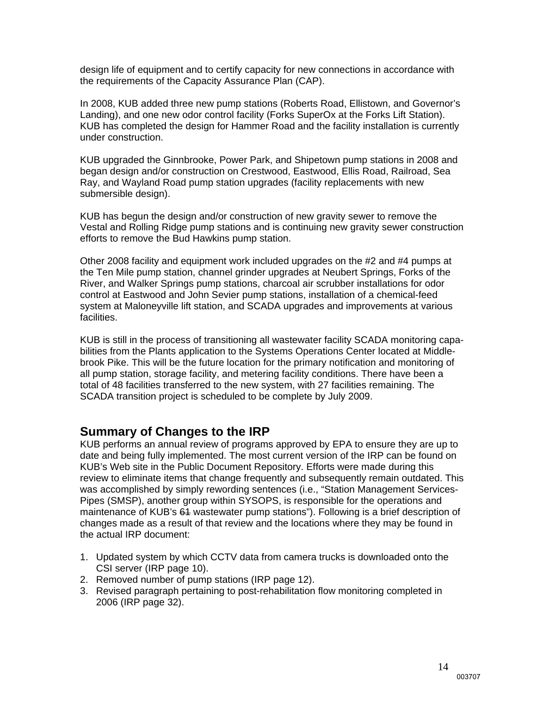design life of equipment and to certify capacity for new connections in accordance with the requirements of the Capacity Assurance Plan (CAP).

In 2008, KUB added three new pump stations (Roberts Road, Ellistown, and Governor's Landing), and one new odor control facility (Forks SuperOx at the Forks Lift Station). KUB has completed the design for Hammer Road and the facility installation is currently under construction.

KUB upgraded the Ginnbrooke, Power Park, and Shipetown pump stations in 2008 and began design and/or construction on Crestwood, Eastwood, Ellis Road, Railroad, Sea Ray, and Wayland Road pump station upgrades (facility replacements with new submersible design).

KUB has begun the design and/or construction of new gravity sewer to remove the Vestal and Rolling Ridge pump stations and is continuing new gravity sewer construction efforts to remove the Bud Hawkins pump station.

Other 2008 facility and equipment work included upgrades on the #2 and #4 pumps at the Ten Mile pump station, channel grinder upgrades at Neubert Springs, Forks of the River, and Walker Springs pump stations, charcoal air scrubber installations for odor control at Eastwood and John Sevier pump stations, installation of a chemical-feed system at Maloneyville lift station, and SCADA upgrades and improvements at various facilities.

KUB is still in the process of transitioning all wastewater facility SCADA monitoring capabilities from the Plants application to the Systems Operations Center located at Middlebrook Pike. This will be the future location for the primary notification and monitoring of all pump station, storage facility, and metering facility conditions. There have been a total of 48 facilities transferred to the new system, with 27 facilities remaining. The SCADA transition project is scheduled to be complete by July 2009.

### **Summary of Changes to the IRP**

KUB performs an annual review of programs approved by EPA to ensure they are up to date and being fully implemented. The most current version of the IRP can be found on KUB's Web site in the Public Document Repository. Efforts were made during this review to eliminate items that change frequently and subsequently remain outdated. This was accomplished by simply rewording sentences (i.e., "Station Management Services-Pipes (SMSP), another group within SYSOPS, is responsible for the operations and maintenance of KUB's 61 wastewater pump stations"). Following is a brief description of changes made as a result of that review and the locations where they may be found in the actual IRP document:

- 1. Updated system by which CCTV data from camera trucks is downloaded onto the CSI server (IRP page 10).
- 2. Removed number of pump stations (IRP page 12).
- 3. Revised paragraph pertaining to post-rehabilitation flow monitoring completed in 2006 (IRP page 32).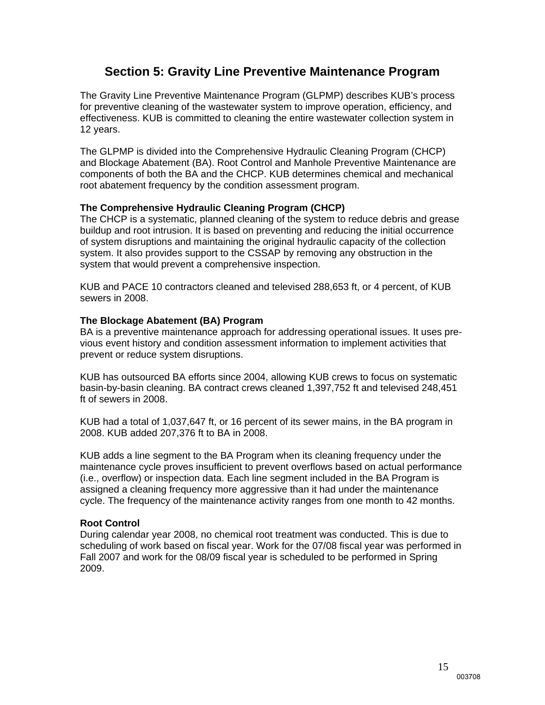### **Section 5: Gravity Line Preventive Maintenance Program**

The Gravity Line Preventive Maintenance Program (GLPMP) describes KUB's process for preventive cleaning of the wastewater system to improve operation, efficiency, and effectiveness. KUB is committed to cleaning the entire wastewater collection system in 12 years.

The GLPMP is divided into the Comprehensive Hydraulic Cleaning Program (CHCP) and Blockage Abatement (BA). Root Control and Manhole Preventive Maintenance are components of both the BA and the CHCP. KUB determines chemical and mechanical root abatement frequency by the condition assessment program.

#### **The Comprehensive Hydraulic Cleaning Program (CHCP)**

The CHCP is a systematic, planned cleaning of the system to reduce debris and grease buildup and root intrusion. It is based on preventing and reducing the initial occurrence of system disruptions and maintaining the original hydraulic capacity of the collection system. It also provides support to the CSSAP by removing any obstruction in the system that would prevent a comprehensive inspection.

KUB and PACE 10 contractors cleaned and televised 288,653 ft, or 4 percent, of KUB sewers in 2008.

#### **The Blockage Abatement (BA) Program**

BA is a preventive maintenance approach for addressing operational issues. It uses previous event history and condition assessment information to implement activities that prevent or reduce system disruptions.

KUB has outsourced BA efforts since 2004, allowing KUB crews to focus on systematic basin-by-basin cleaning. BA contract crews cleaned 1,397,752 ft and televised 248,451 ft of sewers in 2008.

KUB had a total of 1,037,647 ft, or 16 percent of its sewer mains, in the BA program in 2008. KUB added 207,376 ft to BA in 2008.

KUB adds a line segment to the BA Program when its cleaning frequency under the maintenance cycle proves insufficient to prevent overflows based on actual performance (i.e., overflow) or inspection data. Each line segment included in the BA Program is assigned a cleaning frequency more aggressive than it had under the maintenance cycle. The frequency of the maintenance activity ranges from one month to 42 months.

#### **Root Control**

During calendar year 2008, no chemical root treatment was conducted. This is due to scheduling of work based on fiscal year. Work for the 07/08 fiscal year was performed in Fall 2007 and work for the 08/09 fiscal year is scheduled to be performed in Spring 2009.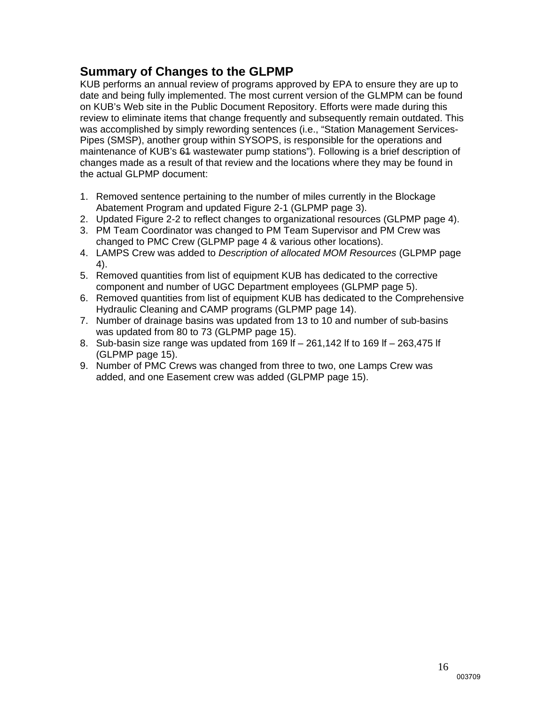### **Summary of Changes to the GLPMP**

KUB performs an annual review of programs approved by EPA to ensure they are up to date and being fully implemented. The most current version of the GLMPM can be found on KUB's Web site in the Public Document Repository. Efforts were made during this review to eliminate items that change frequently and subsequently remain outdated. This was accomplished by simply rewording sentences (i.e., "Station Management Services-Pipes (SMSP), another group within SYSOPS, is responsible for the operations and maintenance of KUB's 64 wastewater pump stations"). Following is a brief description of changes made as a result of that review and the locations where they may be found in the actual GLPMP document:

- 1. Removed sentence pertaining to the number of miles currently in the Blockage Abatement Program and updated Figure 2-1 (GLPMP page 3).
- 2. Updated Figure 2-2 to reflect changes to organizational resources (GLPMP page 4).
- 3. PM Team Coordinator was changed to PM Team Supervisor and PM Crew was changed to PMC Crew (GLPMP page 4 & various other locations).
- 4. LAMPS Crew was added to *Description of allocated MOM Resources* (GLPMP page 4).
- 5. Removed quantities from list of equipment KUB has dedicated to the corrective component and number of UGC Department employees (GLPMP page 5).
- 6. Removed quantities from list of equipment KUB has dedicated to the Comprehensive Hydraulic Cleaning and CAMP programs (GLPMP page 14).
- 7. Number of drainage basins was updated from 13 to 10 and number of sub-basins was updated from 80 to 73 (GLPMP page 15).
- 8. Sub-basin size range was updated from 169 lf 261,142 lf to 169 lf 263,475 lf (GLPMP page 15).
- 9. Number of PMC Crews was changed from three to two, one Lamps Crew was added, and one Easement crew was added (GLPMP page 15).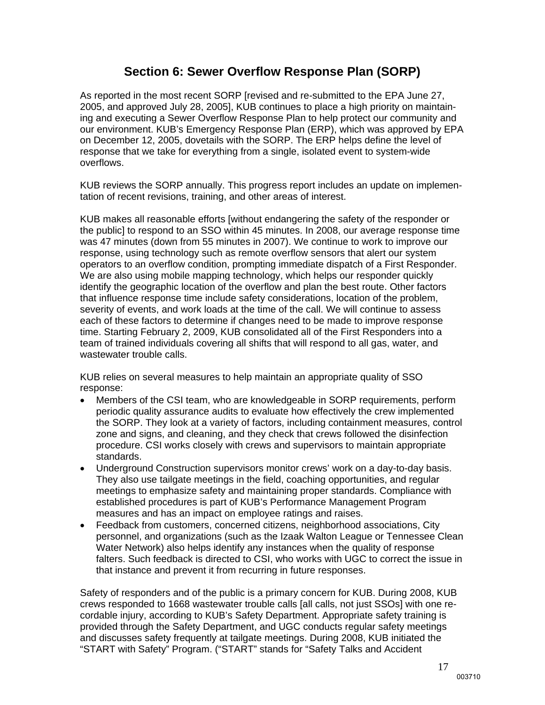### **Section 6: Sewer Overflow Response Plan (SORP)**

As reported in the most recent SORP [revised and re-submitted to the EPA June 27, 2005, and approved July 28, 2005], KUB continues to place a high priority on maintaining and executing a Sewer Overflow Response Plan to help protect our community and our environment. KUB's Emergency Response Plan (ERP), which was approved by EPA on December 12, 2005, dovetails with the SORP. The ERP helps define the level of response that we take for everything from a single, isolated event to system-wide overflows.

KUB reviews the SORP annually. This progress report includes an update on implementation of recent revisions, training, and other areas of interest.

KUB makes all reasonable efforts [without endangering the safety of the responder or the public] to respond to an SSO within 45 minutes. In 2008, our average response time was 47 minutes (down from 55 minutes in 2007). We continue to work to improve our response, using technology such as remote overflow sensors that alert our system operators to an overflow condition, prompting immediate dispatch of a First Responder. We are also using mobile mapping technology, which helps our responder quickly identify the geographic location of the overflow and plan the best route. Other factors that influence response time include safety considerations, location of the problem, severity of events, and work loads at the time of the call. We will continue to assess each of these factors to determine if changes need to be made to improve response time. Starting February 2, 2009, KUB consolidated all of the First Responders into a team of trained individuals covering all shifts that will respond to all gas, water, and wastewater trouble calls.

KUB relies on several measures to help maintain an appropriate quality of SSO response:

- Members of the CSI team, who are knowledgeable in SORP requirements, perform periodic quality assurance audits to evaluate how effectively the crew implemented the SORP. They look at a variety of factors, including containment measures, control zone and signs, and cleaning, and they check that crews followed the disinfection procedure. CSI works closely with crews and supervisors to maintain appropriate standards.
- Underground Construction supervisors monitor crews' work on a day-to-day basis. They also use tailgate meetings in the field, coaching opportunities, and regular meetings to emphasize safety and maintaining proper standards. Compliance with established procedures is part of KUB's Performance Management Program measures and has an impact on employee ratings and raises.
- Feedback from customers, concerned citizens, neighborhood associations, City personnel, and organizations (such as the Izaak Walton League or Tennessee Clean Water Network) also helps identify any instances when the quality of response falters. Such feedback is directed to CSI, who works with UGC to correct the issue in that instance and prevent it from recurring in future responses.

Safety of responders and of the public is a primary concern for KUB. During 2008, KUB crews responded to 1668 wastewater trouble calls [all calls, not just SSOs] with one recordable injury, according to KUB's Safety Department. Appropriate safety training is provided through the Safety Department, and UGC conducts regular safety meetings and discusses safety frequently at tailgate meetings. During 2008, KUB initiated the "START with Safety" Program. ("START" stands for "Safety Talks and Accident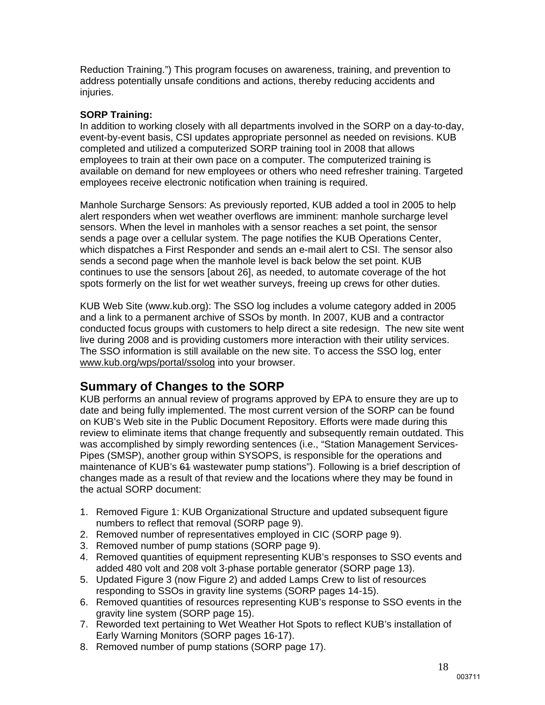Reduction Training.") This program focuses on awareness, training, and prevention to address potentially unsafe conditions and actions, thereby reducing accidents and injuries.

#### **SORP Training:**

In addition to working closely with all departments involved in the SORP on a day-to-day, event-by-event basis, CSI updates appropriate personnel as needed on revisions. KUB completed and utilized a computerized SORP training tool in 2008 that allows employees to train at their own pace on a computer. The computerized training is available on demand for new employees or others who need refresher training. Targeted employees receive electronic notification when training is required.

Manhole Surcharge Sensors: As previously reported, KUB added a tool in 2005 to help alert responders when wet weather overflows are imminent: manhole surcharge level sensors. When the level in manholes with a sensor reaches a set point, the sensor sends a page over a cellular system. The page notifies the KUB Operations Center, which dispatches a First Responder and sends an e-mail alert to CSI. The sensor also sends a second page when the manhole level is back below the set point. KUB continues to use the sensors [about 26], as needed, to automate coverage of the hot spots formerly on the list for wet weather surveys, freeing up crews for other duties.

KUB Web Site (www.kub.org): The SSO log includes a volume category added in 2005 and a link to a permanent archive of SSOs by month. In 2007, KUB and a contractor conducted focus groups with customers to help direct a site redesign. The new site went live during 2008 and is providing customers more interaction with their utility services. The SSO information is still available on the new site. To access the SSO log, enter www.kub.org/wps/portal/ssolog into your browser.

### **Summary of Changes to the SORP**

KUB performs an annual review of programs approved by EPA to ensure they are up to date and being fully implemented. The most current version of the SORP can be found on KUB's Web site in the Public Document Repository. Efforts were made during this review to eliminate items that change frequently and subsequently remain outdated. This was accomplished by simply rewording sentences (i.e., "Station Management Services-Pipes (SMSP), another group within SYSOPS, is responsible for the operations and maintenance of KUB's 61 wastewater pump stations"). Following is a brief description of changes made as a result of that review and the locations where they may be found in the actual SORP document:

- 1. Removed Figure 1: KUB Organizational Structure and updated subsequent figure numbers to reflect that removal (SORP page 9).
- 2. Removed number of representatives employed in CIC (SORP page 9).
- 3. Removed number of pump stations (SORP page 9).
- 4. Removed quantities of equipment representing KUB's responses to SSO events and added 480 volt and 208 volt 3-phase portable generator (SORP page 13).
- 5. Updated Figure 3 (now Figure 2) and added Lamps Crew to list of resources responding to SSOs in gravity line systems (SORP pages 14-15).
- 6. Removed quantities of resources representing KUB's response to SSO events in the gravity line system (SORP page 15).
- 7. Reworded text pertaining to Wet Weather Hot Spots to reflect KUB's installation of Early Warning Monitors (SORP pages 16-17).
- 8. Removed number of pump stations (SORP page 17).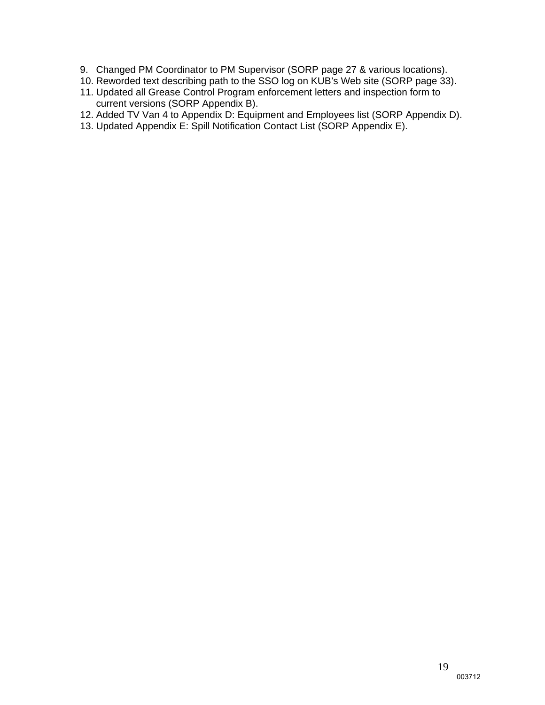- 9. Changed PM Coordinator to PM Supervisor (SORP page 27 & various locations).
- 10. Reworded text describing path to the SSO log on KUB's Web site (SORP page 33).
- 11. Updated all Grease Control Program enforcement letters and inspection form to current versions (SORP Appendix B).
- 12. Added TV Van 4 to Appendix D: Equipment and Employees list (SORP Appendix D).
- 13. Updated Appendix E: Spill Notification Contact List (SORP Appendix E).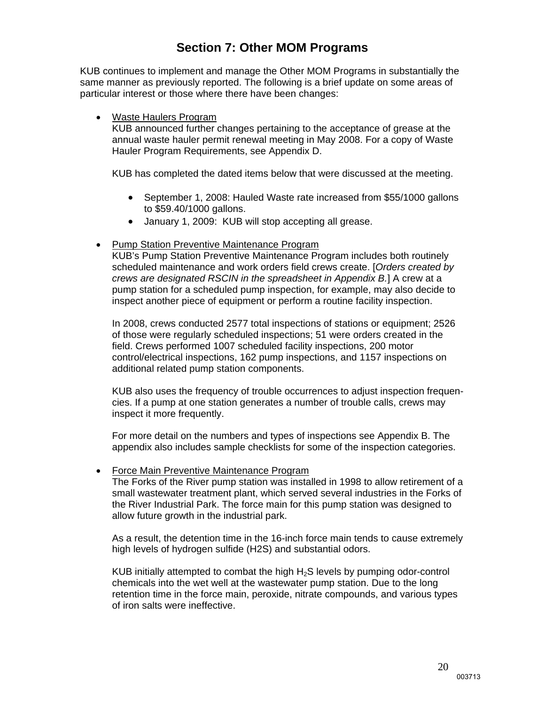### **Section 7: Other MOM Programs**

KUB continues to implement and manage the Other MOM Programs in substantially the same manner as previously reported. The following is a brief update on some areas of particular interest or those where there have been changes:

#### Waste Haulers Program

KUB announced further changes pertaining to the acceptance of grease at the annual waste hauler permit renewal meeting in May 2008. For a copy of Waste Hauler Program Requirements, see Appendix D.

KUB has completed the dated items below that were discussed at the meeting.

- September 1, 2008: Hauled Waste rate increased from \$55/1000 gallons to \$59.40/1000 gallons.
- January 1, 2009: KUB will stop accepting all grease.
- Pump Station Preventive Maintenance Program

KUB's Pump Station Preventive Maintenance Program includes both routinely scheduled maintenance and work orders field crews create. [*Orders created by crews are designated RSCIN in the spreadsheet in Appendix B.*] A crew at a pump station for a scheduled pump inspection, for example, may also decide to inspect another piece of equipment or perform a routine facility inspection.

In 2008, crews conducted 2577 total inspections of stations or equipment; 2526 of those were regularly scheduled inspections; 51 were orders created in the field. Crews performed 1007 scheduled facility inspections, 200 motor control/electrical inspections, 162 pump inspections, and 1157 inspections on additional related pump station components.

KUB also uses the frequency of trouble occurrences to adjust inspection frequencies. If a pump at one station generates a number of trouble calls, crews may inspect it more frequently.

For more detail on the numbers and types of inspections see Appendix B. The appendix also includes sample checklists for some of the inspection categories.

#### Force Main Preventive Maintenance Program

The Forks of the River pump station was installed in 1998 to allow retirement of a small wastewater treatment plant, which served several industries in the Forks of the River Industrial Park. The force main for this pump station was designed to allow future growth in the industrial park.

As a result, the detention time in the 16-inch force main tends to cause extremely high levels of hydrogen sulfide (H2S) and substantial odors.

KUB initially attempted to combat the high H2S levels by pumping odor-control chemicals into the wet well at the wastewater pump station. Due to the long retention time in the force main, peroxide, nitrate compounds, and various types of iron salts were ineffective.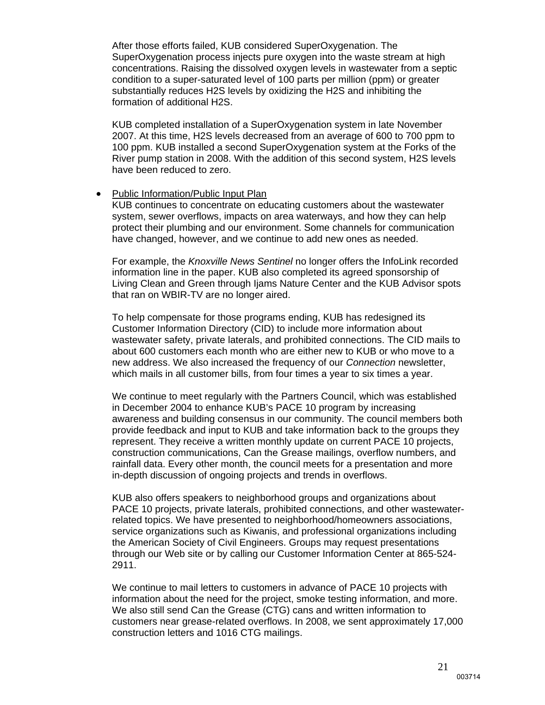After those efforts failed, KUB considered SuperOxygenation. The SuperOxygenation process injects pure oxygen into the waste stream at high concentrations. Raising the dissolved oxygen levels in wastewater from a septic condition to a super-saturated level of 100 parts per million (ppm) or greater substantially reduces H2S levels by oxidizing the H2S and inhibiting the formation of additional H2S.

KUB completed installation of a SuperOxygenation system in late November 2007. At this time, H2S levels decreased from an average of 600 to 700 ppm to 100 ppm. KUB installed a second SuperOxygenation system at the Forks of the River pump station in 2008. With the addition of this second system, H2S levels have been reduced to zero.

#### • Public Information/Public Input Plan

KUB continues to concentrate on educating customers about the wastewater system, sewer overflows, impacts on area waterways, and how they can help protect their plumbing and our environment. Some channels for communication have changed, however, and we continue to add new ones as needed.

For example, the *Knoxville News Sentinel* no longer offers the InfoLink recorded information line in the paper. KUB also completed its agreed sponsorship of Living Clean and Green through Ijams Nature Center and the KUB Advisor spots that ran on WBIR-TV are no longer aired.

To help compensate for those programs ending, KUB has redesigned its Customer Information Directory (CID) to include more information about wastewater safety, private laterals, and prohibited connections. The CID mails to about 600 customers each month who are either new to KUB or who move to a new address. We also increased the frequency of our *Connection* newsletter, which mails in all customer bills, from four times a year to six times a year.

We continue to meet regularly with the Partners Council, which was established in December 2004 to enhance KUB's PACE 10 program by increasing awareness and building consensus in our community. The council members both provide feedback and input to KUB and take information back to the groups they represent. They receive a written monthly update on current PACE 10 projects, construction communications, Can the Grease mailings, overflow numbers, and rainfall data. Every other month, the council meets for a presentation and more in-depth discussion of ongoing projects and trends in overflows.

KUB also offers speakers to neighborhood groups and organizations about PACE 10 projects, private laterals, prohibited connections, and other wastewaterrelated topics. We have presented to neighborhood/homeowners associations, service organizations such as Kiwanis, and professional organizations including the American Society of Civil Engineers. Groups may request presentations through our Web site or by calling our Customer Information Center at 865-524- 2911.

We continue to mail letters to customers in advance of PACE 10 projects with information about the need for the project, smoke testing information, and more. We also still send Can the Grease (CTG) cans and written information to customers near grease-related overflows. In 2008, we sent approximately 17,000 construction letters and 1016 CTG mailings.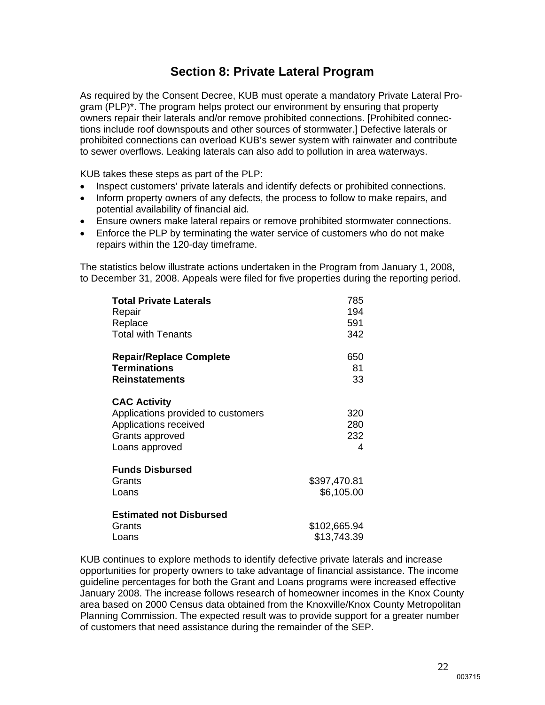### **Section 8: Private Lateral Program**

As required by the Consent Decree, KUB must operate a mandatory Private Lateral Program (PLP)\*. The program helps protect our environment by ensuring that property owners repair their laterals and/or remove prohibited connections. [Prohibited connections include roof downspouts and other sources of stormwater.] Defective laterals or prohibited connections can overload KUB's sewer system with rainwater and contribute to sewer overflows. Leaking laterals can also add to pollution in area waterways.

KUB takes these steps as part of the PLP:

- Inspect customers' private laterals and identify defects or prohibited connections.
- Inform property owners of any defects, the process to follow to make repairs, and potential availability of financial aid.
- Ensure owners make lateral repairs or remove prohibited stormwater connections.
- Enforce the PLP by terminating the water service of customers who do not make repairs within the 120-day timeframe.

The statistics below illustrate actions undertaken in the Program from January 1, 2008, to December 31, 2008. Appeals were filed for five properties during the reporting period.

| <b>Total Private Laterals</b><br>Repair<br>Replace<br><b>Total with Tenants</b>                                         | 785<br>194<br>591<br>342    |
|-------------------------------------------------------------------------------------------------------------------------|-----------------------------|
| <b>Repair/Replace Complete</b><br><b>Terminations</b><br><b>Reinstatements</b>                                          | 650<br>81<br>33             |
| <b>CAC Activity</b><br>Applications provided to customers<br>Applications received<br>Grants approved<br>Loans approved | 320<br>280<br>232<br>4      |
| <b>Funds Disbursed</b><br>Grants<br>Loans                                                                               | \$397,470.81<br>\$6,105.00  |
| <b>Estimated not Disbursed</b><br>Grants<br>Loans                                                                       | \$102,665.94<br>\$13,743.39 |

KUB continues to explore methods to identify defective private laterals and increase opportunities for property owners to take advantage of financial assistance. The income guideline percentages for both the Grant and Loans programs were increased effective January 2008. The increase follows research of homeowner incomes in the Knox County area based on 2000 Census data obtained from the Knoxville/Knox County Metropolitan Planning Commission. The expected result was to provide support for a greater number of customers that need assistance during the remainder of the SEP.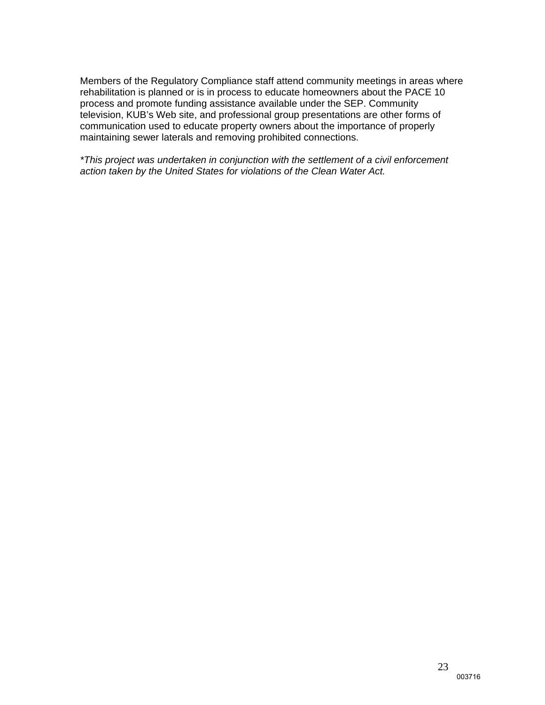Members of the Regulatory Compliance staff attend community meetings in areas where rehabilitation is planned or is in process to educate homeowners about the PACE 10 process and promote funding assistance available under the SEP. Community television, KUB's Web site, and professional group presentations are other forms of communication used to educate property owners about the importance of properly maintaining sewer laterals and removing prohibited connections.

*\*This project was undertaken in conjunction with the settlement of a civil enforcement action taken by the United States for violations of the Clean Water Act.*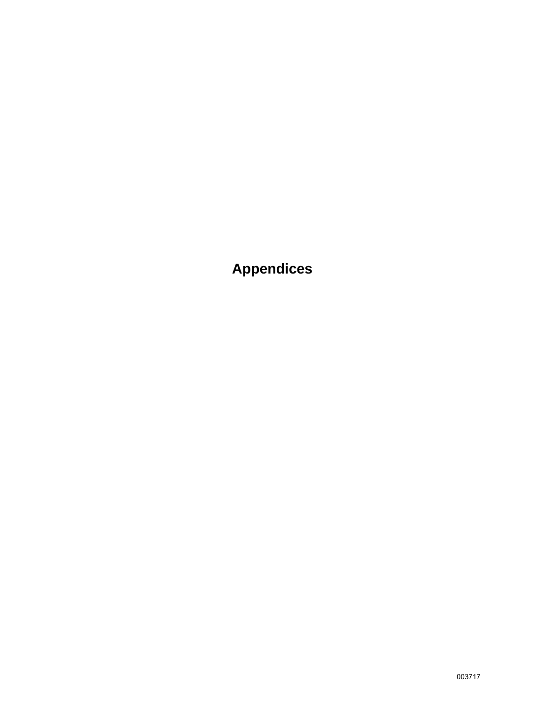**Appendices**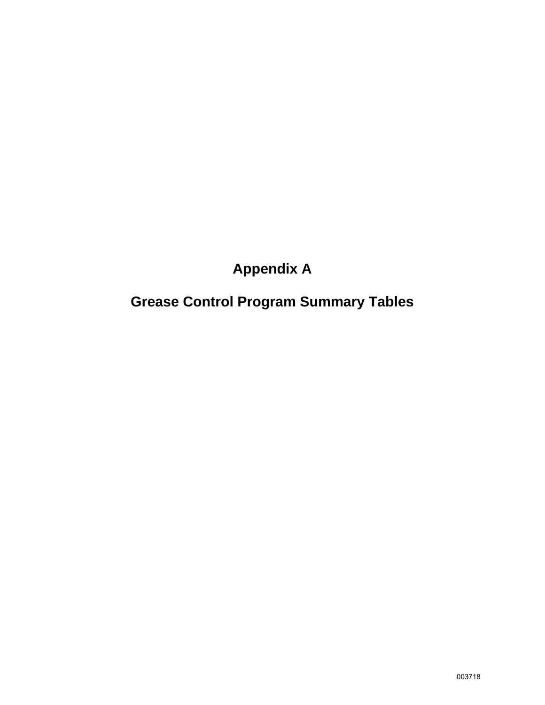## **Appendix A**

## **Grease Control Program Summary Tables**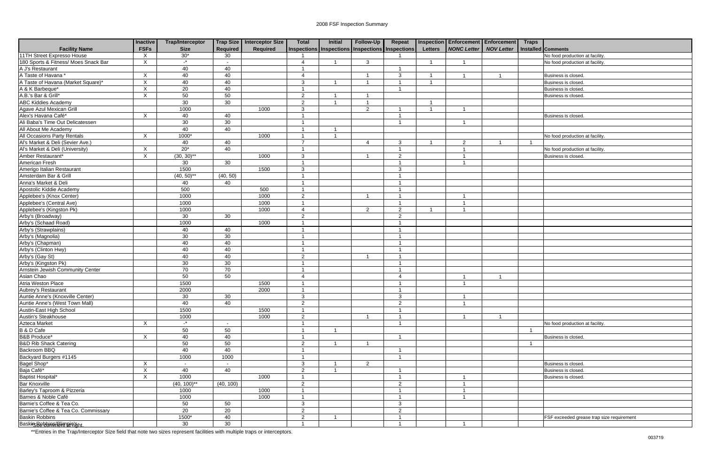| <b>Facility Name</b>                                    | <b>Inactive</b><br><b>FSFs</b> | <b>Trap/Interceptor</b><br><b>Size</b> | Required        | Trap Size   Interceptor Size<br><b>Required</b> | <b>Total</b>            | <b>Initial</b><br>Inspections   Inspections   Inspections   Inspections | Follow-Up               | Repeat                 | <b>Letters</b> | <b>Inspection Enforcement Enforcement</b><br><b>NONC Letter   NOV Letter</b> | <b>Traps</b> | Installed Comments                        |
|---------------------------------------------------------|--------------------------------|----------------------------------------|-----------------|-------------------------------------------------|-------------------------|-------------------------------------------------------------------------|-------------------------|------------------------|----------------|------------------------------------------------------------------------------|--------------|-------------------------------------------|
| 11TH Street Expresso House                              | $\times$                       | $30*$                                  | 30              |                                                 |                         |                                                                         |                         |                        |                |                                                                              |              | No food production at facility.           |
| 180 Sports & Fitness/ Moes Snack Bar                    | $\times$                       | $\cdot^*$                              |                 |                                                 | $\overline{4}$          |                                                                         | $\mathbf{3}$            |                        |                |                                                                              |              | No food production at facility.           |
| A J's Restaurant                                        |                                | 40                                     | 40              |                                                 |                         |                                                                         |                         |                        |                |                                                                              |              |                                           |
| A Taste of Havana*                                      | $\times$                       | 40                                     | 40              |                                                 | $\overline{4}$          |                                                                         | -1                      | $\mathbf{3}$           |                |                                                                              |              | Business is closed                        |
| A Taste of Havana (Market Square)*                      | X                              | 40                                     | 40              |                                                 | 3                       | - 1                                                                     | $\overline{1}$          | $\overline{1}$         | - 1            |                                                                              |              | Business is closed.                       |
| A & K Barbeque*                                         | X                              | $\overline{20}$                        | 40              |                                                 |                         |                                                                         |                         | -1                     |                |                                                                              |              | Business is closed.                       |
| A.B.'s Bar & Grill*                                     | $\boldsymbol{\mathsf{X}}$      | 50                                     | 50              |                                                 | $\overline{2}$          | - 1                                                                     | -1                      |                        |                |                                                                              |              | Business is closed                        |
| <b>ABC Kiddies Academy</b>                              |                                | $\overline{30}$                        | 30              |                                                 | $\overline{2}$          |                                                                         | $\overline{1}$          |                        |                |                                                                              |              |                                           |
| Agave Azul Mexican Grill                                |                                | 1000                                   |                 | 1000                                            | 3                       |                                                                         | $\overline{2}$          | -1                     | -1             |                                                                              |              |                                           |
| Alex's Havana Café*                                     | X                              | 40                                     | 40              |                                                 |                         |                                                                         |                         |                        |                |                                                                              |              | Business is closed                        |
| Ali Baba's Time Out Delicatessen                        |                                | 30                                     | 30              |                                                 |                         |                                                                         |                         |                        |                |                                                                              |              |                                           |
| All About Me Academy                                    |                                | 40                                     | 40              |                                                 |                         |                                                                         |                         |                        |                |                                                                              |              |                                           |
| <b>All Occasions Party Rentals</b>                      | Χ                              | $1000*$                                |                 | 1000                                            | -1                      |                                                                         |                         |                        |                |                                                                              |              | No food production at facility.           |
| Al's Market & Deli (Sevier Ave.)                        |                                | 40                                     | 40              |                                                 | $\overline{7}$          |                                                                         | 4                       | 3                      |                | $\overline{2}$                                                               |              |                                           |
| Al's Market & Deli (University)                         | $\times$                       | $20*$                                  | 40              |                                                 |                         |                                                                         |                         | 1                      |                |                                                                              |              | No food production at facility.           |
| Amber Restaurant*                                       | X                              | $(30, 30)$ **                          |                 | 1000                                            | $\mathbf{3}$            |                                                                         | -1                      | $\overline{2}$         |                |                                                                              |              | Business is closed.                       |
| American Fresh                                          |                                | 30                                     | 30              |                                                 |                         |                                                                         |                         | -1                     |                |                                                                              |              |                                           |
| Amerigo Italian Restaurant                              |                                | 1500                                   |                 | 1500                                            | 3                       |                                                                         |                         | 3                      |                |                                                                              |              |                                           |
| Amsterdam Bar & Grill                                   |                                | $(40, 50)$ **                          | (40, 50)        |                                                 |                         |                                                                         |                         | -1                     |                |                                                                              |              |                                           |
| Anna's Market & Deli                                    |                                | 40                                     | 40              |                                                 |                         |                                                                         |                         |                        |                |                                                                              |              |                                           |
| Apostolic Kiddie Academy                                |                                | 500                                    |                 | 500                                             |                         |                                                                         |                         |                        |                |                                                                              |              |                                           |
|                                                         |                                | 1000                                   |                 | 1000                                            | 2                       |                                                                         | $\overline{\mathbf{1}}$ | -1                     |                |                                                                              |              |                                           |
| Applebee's (Knox Center)<br>Applebee's (Central Ave)    |                                | 1000                                   |                 | 1000                                            |                         |                                                                         |                         | -1                     |                |                                                                              |              |                                           |
|                                                         |                                | 1000                                   |                 | 1000                                            | $\boldsymbol{\Lambda}$  |                                                                         | $\overline{2}$          | $\overline{2}$         |                |                                                                              |              |                                           |
| Applebee's (Kingston Pk)<br>Arby's (Broadway)           |                                | 30                                     | 30              |                                                 | $\overline{2}$          |                                                                         |                         | $\overline{2}$         |                |                                                                              |              |                                           |
| Arby's (Schaad Road)                                    |                                | 1000                                   |                 | 1000                                            |                         |                                                                         |                         | $\overline{1}$         |                |                                                                              |              |                                           |
| Arby's (Strawplains)                                    |                                | 40                                     | 40              |                                                 |                         |                                                                         |                         | -1                     |                |                                                                              |              |                                           |
| Arby's (Magnolia)                                       |                                | 30                                     | 30              |                                                 |                         |                                                                         |                         |                        |                |                                                                              |              |                                           |
| Arby's (Chapman)                                        |                                | 40                                     | 40              |                                                 | -1                      |                                                                         |                         | -1                     |                |                                                                              |              |                                           |
| Arby's (Clinton Hwy)                                    |                                | 40                                     | 40              |                                                 | $\overline{1}$          |                                                                         |                         | -1                     |                |                                                                              |              |                                           |
| Arby's (Gay St)                                         |                                | 40                                     | 40              |                                                 | $\overline{2}$          |                                                                         |                         | -1                     |                |                                                                              |              |                                           |
| Arby's (Kingston Pk)                                    |                                | 30                                     | 30              |                                                 | $\overline{\mathbf{A}}$ |                                                                         |                         | -1                     |                |                                                                              |              |                                           |
| <b>Arnstein Jewish Community Center</b>                 |                                | 70                                     | 70              |                                                 |                         |                                                                         |                         |                        |                |                                                                              |              |                                           |
| Asian Chao                                              |                                | 50                                     | 50              |                                                 | $\overline{4}$          |                                                                         |                         | $\boldsymbol{\Lambda}$ |                |                                                                              |              |                                           |
| Atria Weston Place                                      |                                | 1500                                   |                 | 1500                                            |                         |                                                                         |                         | -1                     |                |                                                                              |              |                                           |
|                                                         |                                | 2000                                   |                 | 2000                                            |                         |                                                                         |                         |                        |                |                                                                              |              |                                           |
| Aubrey's Restaurant<br>Auntie Anne's (Knoxville Center) |                                | 30 <sup>2</sup>                        | 30 <sup>2</sup> |                                                 | $\mathbf{3}$            |                                                                         |                         | $\mathbf{3}$           |                |                                                                              |              |                                           |
| Auntie Anne's (West Town Mall)                          |                                | 40                                     | 40              |                                                 | $\overline{2}$          |                                                                         |                         | $\overline{2}$         |                |                                                                              |              |                                           |
| Austin-East High School                                 |                                | 1500                                   |                 | 1500                                            |                         |                                                                         |                         | -1                     |                |                                                                              |              |                                           |
| Austin's Steakhouse                                     |                                | 1000                                   |                 | 1000                                            | $\overline{2}$          |                                                                         | $\overline{1}$          | 1                      |                |                                                                              |              |                                           |
| Azteca Market                                           | X                              | $\cdot$ *                              |                 |                                                 |                         |                                                                         |                         |                        |                |                                                                              |              | No food production at facility.           |
| B & D Cafe                                              |                                | 50                                     | 50              |                                                 |                         |                                                                         |                         |                        |                |                                                                              |              |                                           |
| <b>B&amp;B Produce*</b>                                 | X                              | 40                                     | 40              |                                                 |                         |                                                                         |                         | -1                     |                |                                                                              |              | Business is closed.                       |
| <b>B&amp;D Rib Shack Catering</b>                       |                                | 50                                     | 50              |                                                 | $\overline{2}$          |                                                                         | $\overline{1}$          |                        |                |                                                                              | -1           |                                           |
| Backroom BBQ                                            |                                | 40                                     | 40              |                                                 |                         |                                                                         |                         |                        |                |                                                                              |              |                                           |
| Backyard Burgers #1145                                  |                                | 1000                                   | 1000            |                                                 | 1                       |                                                                         |                         | -1                     |                |                                                                              |              |                                           |
| Bagel Shop*                                             | X                              | $\sim$                                 | $\sim$          |                                                 | $\mathbf{3}$            | - 1                                                                     | $\overline{2}$          |                        |                |                                                                              |              | Business is closed.                       |
| Baja Café*                                              | X                              | 40                                     | 40              |                                                 | $\overline{2}$          |                                                                         |                         |                        |                |                                                                              |              | Business is closed.                       |
| Baptist Hospital*                                       | X                              | 1000                                   |                 | 1000                                            |                         |                                                                         |                         |                        |                |                                                                              |              | Business is closed.                       |
| <b>Bar Knoxville</b>                                    |                                | $(40, 100)$ **                         | (40, 100)       |                                                 | $\overline{2}$          |                                                                         |                         | $\overline{2}$         |                |                                                                              |              |                                           |
| Barley's Taproom & Pizzeria                             |                                | 1000                                   |                 | 1000                                            |                         |                                                                         |                         | $\overline{1}$         |                |                                                                              |              |                                           |
| Barnes & Noble Café                                     |                                | 1000                                   |                 | 1000                                            |                         |                                                                         |                         |                        |                |                                                                              |              |                                           |
| Barnie's Coffee & Tea Co.                               |                                | 50                                     | 50              |                                                 | $\mathbf{3}$            |                                                                         |                         | 3                      |                |                                                                              |              |                                           |
| Barnie's Coffee & Tea Co. Commissary                    |                                | 20                                     | 20              |                                                 | $\overline{c}$          |                                                                         |                         | $\overline{2}$         |                |                                                                              |              |                                           |
| <b>Baskin Robbins</b>                                   |                                | 1500*                                  | 40              |                                                 | $\overline{2}$          | - 1                                                                     |                         | -1                     |                |                                                                              |              | FSF exceeded grease trap size requirement |
| BaskirsBebbin flinneigieht.                             |                                | 30                                     | 30              |                                                 |                         |                                                                         |                         |                        |                |                                                                              |              |                                           |
|                                                         |                                |                                        |                 |                                                 |                         |                                                                         |                         |                        |                |                                                                              |              |                                           |

| cement         | <b>Traps</b> |                                           |
|----------------|--------------|-------------------------------------------|
| Letter         |              | Installed Comments                        |
|                |              | No food production at facility.           |
|                |              | No food production at facility.           |
|                |              |                                           |
| 1              |              | Business is closed.                       |
|                |              | Business is closed.                       |
|                |              | Business is closed.                       |
|                |              | Business is closed.                       |
|                |              |                                           |
|                |              | Business is closed.                       |
|                |              |                                           |
|                |              |                                           |
|                |              | No food production at facility.           |
| 1              | $\mathbf{1}$ |                                           |
|                |              | No food production at facility.           |
|                |              | Business is closed.                       |
|                |              |                                           |
|                |              |                                           |
|                |              |                                           |
|                |              |                                           |
|                |              |                                           |
|                |              |                                           |
|                |              |                                           |
|                |              |                                           |
|                |              |                                           |
|                |              |                                           |
|                |              |                                           |
|                |              |                                           |
|                |              |                                           |
|                |              |                                           |
|                |              |                                           |
|                |              |                                           |
| 1              |              |                                           |
|                |              |                                           |
|                |              |                                           |
|                |              |                                           |
|                |              |                                           |
| $\overline{1}$ |              |                                           |
|                |              | No food production at facility.           |
|                | $\mathbf 1$  |                                           |
|                |              | Business is closed.                       |
|                | 1            |                                           |
|                |              |                                           |
|                |              |                                           |
|                |              | Business is closed.                       |
|                |              | Business is closed.                       |
|                |              | Business is closed.                       |
|                |              |                                           |
|                |              |                                           |
|                |              |                                           |
|                |              |                                           |
|                |              | FSF exceeded grease trap size requirement |
|                |              |                                           |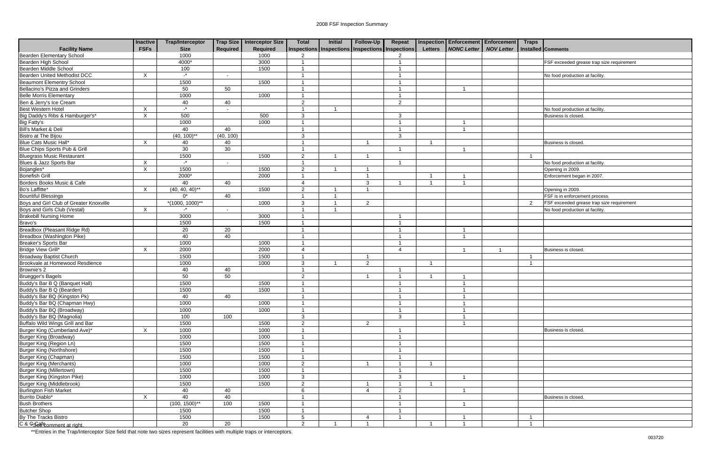|                                                           | Inactive<br><b>FSFs</b>   | <b>Trap/Interceptor</b> |                 | Trap Size   Interceptor Size | <b>Total</b>           | Initial | Follow-Up                                       | Repeat                   |                         | <b>Inspection Enforcement Enforcement</b> | <b>Traps</b>       |                                           |
|-----------------------------------------------------------|---------------------------|-------------------------|-----------------|------------------------------|------------------------|---------|-------------------------------------------------|--------------------------|-------------------------|-------------------------------------------|--------------------|-------------------------------------------|
| <b>Facility Name</b>                                      |                           | <b>Size</b>             | <b>Required</b> | <b>Required</b><br>1000      | $\mathcal{P}$          |         | Inspections Inspections Inspections Inspections | $\mathcal{P}$            | <b>Letters</b>          | NONC Letter   NOV Letter                  | Installed Comments |                                           |
| Bearden Elementary School                                 |                           | 1000                    |                 |                              |                        |         |                                                 |                          |                         |                                           |                    |                                           |
| Bearden High School<br>Bearden Middle School              |                           | 4000*<br>100            |                 | 3000<br>1500                 |                        |         |                                                 |                          |                         |                                           |                    | FSF exceeded grease trap size requirement |
| <b>Bearden United Methodist DCC</b>                       | $\times$                  | $-$ *                   |                 |                              | -1                     |         |                                                 | -1                       |                         |                                           |                    | No food production at facility            |
| <b>Beaumont Elementry School</b>                          |                           | 1500                    | $\sim$          | 1500                         |                        |         |                                                 |                          |                         |                                           |                    |                                           |
| Bellacino's Pizza and Grinders                            |                           | 50                      | 50              |                              |                        |         |                                                 |                          |                         |                                           |                    |                                           |
| <b>Belle Morris Elementary</b>                            |                           |                         |                 | 1000                         |                        |         |                                                 |                          |                         |                                           |                    |                                           |
| Ben & Jerry's Ice Cream                                   |                           | 1000<br>40              | 40              |                              | 2                      |         |                                                 | $\mathcal{P}$            |                         |                                           |                    |                                           |
| Best Western Hotel                                        |                           | $-$ *                   |                 |                              |                        |         |                                                 |                          |                         |                                           |                    |                                           |
| Big Daddy's Ribs & Hamburger's*                           | X                         | 500                     | $\sim$          | 500                          | 3                      |         |                                                 |                          |                         |                                           |                    | No food production at facility            |
| <b>Big Fatty's</b>                                        | X                         |                         |                 | 1000                         |                        |         |                                                 | 3<br>-1                  |                         |                                           |                    | <b>Business is closed</b>                 |
| Bill's Market & Deli                                      |                           | 1000<br>40              | 40              |                              |                        |         |                                                 | - 1                      |                         | $\overline{\mathbf{1}}$                   |                    |                                           |
|                                                           |                           | $(40, 100)$ **          | (40, 100)       |                              |                        |         |                                                 |                          |                         |                                           |                    |                                           |
| <b>Bistro at The Bijou</b>                                |                           |                         |                 |                              | 3                      |         |                                                 | 3                        |                         |                                           |                    |                                           |
| Blue Cats Music Hall*                                     | $\boldsymbol{\mathsf{X}}$ | 40                      | 40<br>30        |                              |                        |         |                                                 |                          |                         |                                           |                    | Business is closed.                       |
| Blue Chips Sports Pub & Grill                             |                           | 30                      |                 |                              |                        |         |                                                 |                          |                         |                                           |                    |                                           |
| <b>Bluegrass Music Restaurant</b>                         |                           | 1500<br>$-$ *           |                 | 1500                         | 2                      |         |                                                 |                          |                         |                                           |                    |                                           |
| Blues & Jazz Sports Bar                                   | $\boldsymbol{\mathsf{X}}$ |                         | $\sim$          |                              |                        |         |                                                 |                          |                         |                                           |                    | No food production at facility            |
| Bojangles*                                                | $\boldsymbol{\mathsf{X}}$ | 1500                    |                 | 1500                         | 2                      |         |                                                 |                          |                         |                                           |                    | Opening in 2009.                          |
| <b>Bonefish Grill</b>                                     |                           | 2000*                   |                 | 2000                         |                        |         |                                                 |                          |                         |                                           |                    | Enforcement began in 2007.                |
| Borders Books Music & Cafe                                |                           | 40                      | 40              |                              | $\boldsymbol{\Lambda}$ |         | -3                                              |                          |                         |                                           |                    |                                           |
| Bo's Laffitte*                                            | $\times$                  | $(40, 40, 40)^{**}$     |                 | 1500                         | 2                      |         |                                                 |                          |                         |                                           |                    | Opening in 2009.                          |
| <b>Bountiful Blessings</b>                                |                           | $0^*$                   | 40              |                              |                        |         |                                                 |                          |                         |                                           |                    | FSF is in enforcement process.            |
| Boys and Girl Club of Greater Knoxville                   |                           | $*(1000, 1000)*$        |                 | 1000                         | 3                      |         | $\mathcal{P}$                                   |                          |                         |                                           | $\mathcal{D}$      | FSF exceeded grease trap size requirement |
| Boys and Girls Club (Vestal)                              | $\mathsf{X}$              | $-$ *                   |                 |                              |                        |         |                                                 |                          |                         |                                           |                    | No food production at facility            |
| <b>Brakebill Nursing Home</b>                             |                           | 3000                    |                 | 3000                         |                        |         |                                                 | -1                       |                         |                                           |                    |                                           |
| Bravo's                                                   |                           | 1500                    |                 | 1500                         |                        |         |                                                 |                          |                         |                                           |                    |                                           |
| Breadbox (Pleasant Ridge Rd)                              |                           | 20                      | 20              |                              |                        |         |                                                 |                          |                         |                                           |                    |                                           |
| Breadbox (Washington Pike)                                |                           | 40                      | 40              |                              |                        |         |                                                 | $\overline{1}$           |                         | $\overline{\mathbf{1}}$                   |                    |                                           |
| Breaker's Sports Bar                                      |                           | 1000                    |                 | 1000                         | - 1                    |         |                                                 | $\overline{\mathbf{1}}$  |                         |                                           |                    |                                           |
| Bridge View Grill*                                        | $\times$                  | 2000                    |                 | 2000                         |                        |         |                                                 | $\boldsymbol{\varDelta}$ |                         |                                           |                    | <b>Business is closed</b>                 |
| <b>Broadway Baptist Church</b>                            |                           | 1500                    |                 | 1500                         |                        |         |                                                 |                          |                         |                                           |                    |                                           |
| Brookvale at Homewood Resdience                           |                           | 1000                    |                 | 1000                         | 3                      |         | $\overline{2}$                                  |                          | - 1                     |                                           |                    |                                           |
| Brownie's 2                                               |                           | 40                      | 40              |                              |                        |         |                                                 | -1                       |                         |                                           |                    |                                           |
| <b>Bruegger's Bagels</b>                                  |                           | 50                      | 50              |                              | 2                      |         |                                                 | -1                       |                         |                                           |                    |                                           |
| Buddy's Bar B Q (Banquet Hall)                            |                           | 1500                    |                 | 1500                         |                        |         |                                                 |                          |                         |                                           |                    |                                           |
| Buddy's Bar B Q (Bearden)<br>Buddy's Bar BQ (Kingston Pk) |                           | 1500                    |                 | 1500                         |                        |         |                                                 |                          |                         |                                           |                    |                                           |
|                                                           |                           | 40                      | 40              |                              | $\mathbf{1}$           |         |                                                 | $\overline{1}$           |                         | $\mathbf{1}$                              |                    |                                           |
| Buddy's Bar BQ (Chapman Hwy)                              |                           | 1000                    |                 | 1000                         | -1                     |         |                                                 | -1                       |                         |                                           |                    |                                           |
| Buddy's Bar BQ (Broadway)                                 |                           | 1000                    |                 | 1000                         | - 1                    |         |                                                 | -1                       |                         |                                           |                    |                                           |
| Buddy's Bar BQ (Magnolia)                                 |                           | 100                     | 100             |                              | 3                      |         |                                                 | 3                        |                         |                                           |                    |                                           |
| Buffalo Wild Wings Grill and Bar                          |                           | 1500                    |                 | 1500                         | $\overline{2}$         |         | $\overline{2}$                                  |                          |                         | $\overline{1}$                            |                    |                                           |
| Burger King (Cumberland Ave)*                             | X                         | 1000                    |                 | 1000                         |                        |         |                                                 | - 1                      |                         |                                           |                    | Business is closed.                       |
| <b>Burger King (Broadway)</b>                             |                           | 1000                    |                 | 1000                         |                        |         |                                                 | - 1                      |                         |                                           |                    |                                           |
| Burger King (Region Ln)                                   |                           | 1500                    |                 | 1500                         |                        |         |                                                 | -1                       |                         |                                           |                    |                                           |
| <b>Burger King (Northshore)</b>                           |                           | 1500                    |                 | 1500                         |                        |         |                                                 | -1                       |                         |                                           |                    |                                           |
| Burger King (Chapman)                                     |                           | 1500                    |                 | 1500                         | -1                     |         |                                                 | $\overline{1}$           |                         |                                           |                    |                                           |
| <b>Burger King (Merchants)</b>                            |                           | 1000                    |                 | 1000                         | $\overline{2}$         |         |                                                 | $\overline{\mathbf{1}}$  | $\overline{\mathbf{1}}$ |                                           |                    |                                           |
| Burger King (Millertown)                                  |                           | 1500                    |                 | 1500                         | - 1                    |         |                                                 | $\overline{1}$           |                         |                                           |                    |                                           |
| Burger King (Kingston Pike)                               |                           | 1000                    |                 | 1000                         | $\mathbf{3}$           |         |                                                 | $\mathbf{3}$             |                         | $\overline{1}$                            |                    |                                           |
| Burger King (Middlebrook)                                 |                           | 1500                    |                 | 1500                         | $\overline{2}$         |         |                                                 | $\overline{1}$           | $\overline{1}$          |                                           |                    |                                           |
| <b>Burlington Fish Market</b>                             |                           | 40                      | 40              |                              | 6                      |         | -4                                              | 2                        |                         |                                           |                    |                                           |
| Burrito Diablo*                                           | $\times$                  | 40                      | 40              |                              |                        |         |                                                 | $\overline{\mathbf{1}}$  |                         |                                           |                    | Business is closed.                       |
| <b>Bush Brothers</b>                                      |                           | $(100, 1500)$ **        | 100             | 1500                         |                        |         |                                                 | $\overline{\mathbf{1}}$  |                         |                                           |                    |                                           |
| <b>Butcher Shop</b>                                       |                           | 1500                    |                 | 1500                         | -1                     |         |                                                 | -1                       |                         |                                           |                    |                                           |
| By The Tracks Bistro                                      |                           | 1500                    |                 | 1500                         | 5                      |         | $\boldsymbol{\Lambda}$                          | -1                       |                         |                                           |                    |                                           |
| C & Gsedeomment at right.                                 |                           | 20                      | 20              |                              | $\overline{2}$         |         |                                                 |                          |                         |                                           |                    |                                           |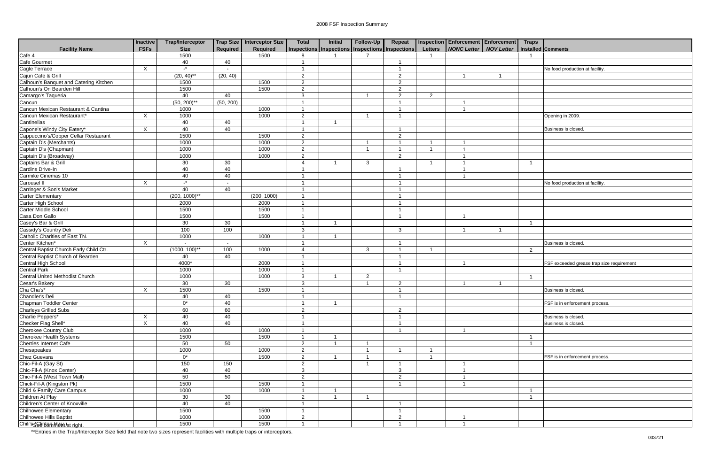| Inspections Inspections Inspections Inspections<br><b>FSFs</b><br>Required<br>Required<br>NONC Letter NOV Letter<br><b>Facility Name</b><br><b>Size</b><br><b>Letters</b><br>Installed Comments<br>1500<br>1500<br>8<br>Cafe Gourmet<br>40<br>40<br>Cagle Terrace<br>Cajun Cafe & Grill<br>$\mathbf{r}$<br>X<br>No food production at facility<br>-1<br>$\overline{\phantom{a}}$<br>$(20, 40)$ **<br>(20, 40)<br>2<br>2<br>Calhoun's Banquet and Catering Kitchen<br>1500<br>1500<br>2<br>2<br>Calhoun's On Bearden Hill<br>1500<br>1500<br>2<br>2<br>Camargo's Taqueria<br>40<br>40<br>3<br>2<br>2<br>Cancun<br>$(50, 200)$ **<br>(50, 200)<br>Cancun Mexican Restaurant & Cantina<br>1000<br>1000<br>Cancun Mexican Restaurant*<br>1000<br>1000<br>X<br>2<br>Opening in 2009<br>-1<br>Cantinellas<br>40<br>40<br>Capone's Windy City Eatery*<br>40<br>X<br>40<br>Business is closed.<br>÷,<br>Cappuccino's/Copper Cellar Restaurant<br>1500<br>1500<br>2<br>2<br>1000<br>1000<br>$\overline{2}$<br>-1<br>1000<br>1000<br>$\overline{2}$<br>$\overline{\mathbf{1}}$<br>1000<br>$\overline{2}$<br>1000<br>2<br>30<br>30<br>-3<br>40<br>40<br>- 1<br>40<br>40<br>-1<br>$-$ *<br>X<br>No food production at facility<br>$\overline{\phantom{a}}$<br>Carringer & Son's Market<br>40<br>40<br>-1<br><b>Carter Elementary</b><br>$(200, 1000)$ **<br>(200, 1000)<br>$\overline{\phantom{a}}$<br>Carter High School<br>2000<br>2000<br>Carter Middle School<br>1500<br>1500<br>Casa Don Gallo<br>1500<br>1500<br>- 1<br>- 1<br>Casey's Bar & Grill<br>30<br>30<br>- 1<br>- 1<br>100<br>100<br>3<br>3<br>Catholic Charities of East TN.<br>1000<br>1000<br>$\times$<br>$\overline{\mathbf{1}}$<br>Business is closed.<br>$\overline{\phantom{a}}$<br>$\overline{\phantom{a}}$<br>$(1000, 100)$ **<br>100<br>1000<br>$\mathbf{3}$<br>2<br>$\Delta$<br>- 1<br>- 1<br>40<br>40<br>- 1<br>4000*<br>2000<br>FSF exceeded grease trap size requirement<br>-1<br>-1<br>1000<br>1000<br>- 1<br>1000<br>1000<br>3<br>$\overline{2}$<br>30<br>30<br>3<br>2<br>Cha Cha's*<br>Chandler's Deli<br>1500<br>1500<br>X<br>-1<br>Business is closed.<br>40<br>40<br>$\overline{1}$<br>$\overline{1}$<br>Chapman Toddler Center<br>$0^*$<br>40<br>FSF is in enforcement process.<br>Charleys Grilled Subs<br>60<br>60<br>$\overline{2}$<br>2<br>Charlie Peppers*<br>40<br>X<br>40<br>Business is closed.<br>-1<br>Checker Flag Shell*<br>X<br>40<br>40<br>Business is closed.<br>Cherokee Country Club<br>1000<br>1000<br>$\overline{\mathbf{1}}$<br>$\overline{1}$<br>1500<br>1500<br>50<br>50<br>$\overline{2}$<br>1000<br>1000<br>$\overline{2}$<br>Chez Guevara<br>$0^*$<br>1500<br>2<br>FSF is in enforcement process.<br>- 1<br>Chic-Fil-A (Gay St)<br>150<br>150<br>$\overline{2}$<br>- 1<br>40<br>40<br>$\mathbf{3}$<br>$\mathbf{3}$<br>50<br>50<br>$\overline{2}$<br>2<br>1500<br>1500<br>$\overline{1}$<br>1000<br>1000<br>- 1<br>30<br>30<br>$\overline{2}$<br>40<br>40<br>1500<br>1500<br>-1<br>Chilhowee Hills Baptist<br>1000<br>1000<br>2<br>2<br>- 1<br>1500<br>1500<br>$\overline{1}$<br>- 1 |                                         | <b>Inactive</b> | <b>Trap/Interceptor</b> | Trap Size   Interceptor Size | <b>Total</b> | Initial | Follow-Up | Repeat | Inspection Enforcement Enforcement Traps |  |  |
|--------------------------------------------------------------------------------------------------------------------------------------------------------------------------------------------------------------------------------------------------------------------------------------------------------------------------------------------------------------------------------------------------------------------------------------------------------------------------------------------------------------------------------------------------------------------------------------------------------------------------------------------------------------------------------------------------------------------------------------------------------------------------------------------------------------------------------------------------------------------------------------------------------------------------------------------------------------------------------------------------------------------------------------------------------------------------------------------------------------------------------------------------------------------------------------------------------------------------------------------------------------------------------------------------------------------------------------------------------------------------------------------------------------------------------------------------------------------------------------------------------------------------------------------------------------------------------------------------------------------------------------------------------------------------------------------------------------------------------------------------------------------------------------------------------------------------------------------------------------------------------------------------------------------------------------------------------------------------------------------------------------------------------------------------------------------------------------------------------------------------------------------------------------------------------------------------------------------------------------------------------------------------------------------------------------------------------------------------------------------------------------------------------------------------------------------------------------------------------------------------------------------------------------------------------------------------------------------------------------------------------------------------------------------------------------------------------------------------------------------------------------------------------------------------------------------------------------------------------------------------------------------------------------------------------------------------------------------------------------------------------------------------------------------------------------------------------------|-----------------------------------------|-----------------|-------------------------|------------------------------|--------------|---------|-----------|--------|------------------------------------------|--|--|
|                                                                                                                                                                                                                                                                                                                                                                                                                                                                                                                                                                                                                                                                                                                                                                                                                                                                                                                                                                                                                                                                                                                                                                                                                                                                                                                                                                                                                                                                                                                                                                                                                                                                                                                                                                                                                                                                                                                                                                                                                                                                                                                                                                                                                                                                                                                                                                                                                                                                                                                                                                                                                                                                                                                                                                                                                                                                                                                                                                                                                                                                                      |                                         |                 |                         |                              |              |         |           |        |                                          |  |  |
|                                                                                                                                                                                                                                                                                                                                                                                                                                                                                                                                                                                                                                                                                                                                                                                                                                                                                                                                                                                                                                                                                                                                                                                                                                                                                                                                                                                                                                                                                                                                                                                                                                                                                                                                                                                                                                                                                                                                                                                                                                                                                                                                                                                                                                                                                                                                                                                                                                                                                                                                                                                                                                                                                                                                                                                                                                                                                                                                                                                                                                                                                      | Cafe 4                                  |                 |                         |                              |              |         |           |        |                                          |  |  |
|                                                                                                                                                                                                                                                                                                                                                                                                                                                                                                                                                                                                                                                                                                                                                                                                                                                                                                                                                                                                                                                                                                                                                                                                                                                                                                                                                                                                                                                                                                                                                                                                                                                                                                                                                                                                                                                                                                                                                                                                                                                                                                                                                                                                                                                                                                                                                                                                                                                                                                                                                                                                                                                                                                                                                                                                                                                                                                                                                                                                                                                                                      |                                         |                 |                         |                              |              |         |           |        |                                          |  |  |
|                                                                                                                                                                                                                                                                                                                                                                                                                                                                                                                                                                                                                                                                                                                                                                                                                                                                                                                                                                                                                                                                                                                                                                                                                                                                                                                                                                                                                                                                                                                                                                                                                                                                                                                                                                                                                                                                                                                                                                                                                                                                                                                                                                                                                                                                                                                                                                                                                                                                                                                                                                                                                                                                                                                                                                                                                                                                                                                                                                                                                                                                                      |                                         |                 |                         |                              |              |         |           |        |                                          |  |  |
|                                                                                                                                                                                                                                                                                                                                                                                                                                                                                                                                                                                                                                                                                                                                                                                                                                                                                                                                                                                                                                                                                                                                                                                                                                                                                                                                                                                                                                                                                                                                                                                                                                                                                                                                                                                                                                                                                                                                                                                                                                                                                                                                                                                                                                                                                                                                                                                                                                                                                                                                                                                                                                                                                                                                                                                                                                                                                                                                                                                                                                                                                      |                                         |                 |                         |                              |              |         |           |        |                                          |  |  |
|                                                                                                                                                                                                                                                                                                                                                                                                                                                                                                                                                                                                                                                                                                                                                                                                                                                                                                                                                                                                                                                                                                                                                                                                                                                                                                                                                                                                                                                                                                                                                                                                                                                                                                                                                                                                                                                                                                                                                                                                                                                                                                                                                                                                                                                                                                                                                                                                                                                                                                                                                                                                                                                                                                                                                                                                                                                                                                                                                                                                                                                                                      |                                         |                 |                         |                              |              |         |           |        |                                          |  |  |
|                                                                                                                                                                                                                                                                                                                                                                                                                                                                                                                                                                                                                                                                                                                                                                                                                                                                                                                                                                                                                                                                                                                                                                                                                                                                                                                                                                                                                                                                                                                                                                                                                                                                                                                                                                                                                                                                                                                                                                                                                                                                                                                                                                                                                                                                                                                                                                                                                                                                                                                                                                                                                                                                                                                                                                                                                                                                                                                                                                                                                                                                                      |                                         |                 |                         |                              |              |         |           |        |                                          |  |  |
|                                                                                                                                                                                                                                                                                                                                                                                                                                                                                                                                                                                                                                                                                                                                                                                                                                                                                                                                                                                                                                                                                                                                                                                                                                                                                                                                                                                                                                                                                                                                                                                                                                                                                                                                                                                                                                                                                                                                                                                                                                                                                                                                                                                                                                                                                                                                                                                                                                                                                                                                                                                                                                                                                                                                                                                                                                                                                                                                                                                                                                                                                      |                                         |                 |                         |                              |              |         |           |        |                                          |  |  |
|                                                                                                                                                                                                                                                                                                                                                                                                                                                                                                                                                                                                                                                                                                                                                                                                                                                                                                                                                                                                                                                                                                                                                                                                                                                                                                                                                                                                                                                                                                                                                                                                                                                                                                                                                                                                                                                                                                                                                                                                                                                                                                                                                                                                                                                                                                                                                                                                                                                                                                                                                                                                                                                                                                                                                                                                                                                                                                                                                                                                                                                                                      |                                         |                 |                         |                              |              |         |           |        |                                          |  |  |
|                                                                                                                                                                                                                                                                                                                                                                                                                                                                                                                                                                                                                                                                                                                                                                                                                                                                                                                                                                                                                                                                                                                                                                                                                                                                                                                                                                                                                                                                                                                                                                                                                                                                                                                                                                                                                                                                                                                                                                                                                                                                                                                                                                                                                                                                                                                                                                                                                                                                                                                                                                                                                                                                                                                                                                                                                                                                                                                                                                                                                                                                                      |                                         |                 |                         |                              |              |         |           |        |                                          |  |  |
|                                                                                                                                                                                                                                                                                                                                                                                                                                                                                                                                                                                                                                                                                                                                                                                                                                                                                                                                                                                                                                                                                                                                                                                                                                                                                                                                                                                                                                                                                                                                                                                                                                                                                                                                                                                                                                                                                                                                                                                                                                                                                                                                                                                                                                                                                                                                                                                                                                                                                                                                                                                                                                                                                                                                                                                                                                                                                                                                                                                                                                                                                      |                                         |                 |                         |                              |              |         |           |        |                                          |  |  |
|                                                                                                                                                                                                                                                                                                                                                                                                                                                                                                                                                                                                                                                                                                                                                                                                                                                                                                                                                                                                                                                                                                                                                                                                                                                                                                                                                                                                                                                                                                                                                                                                                                                                                                                                                                                                                                                                                                                                                                                                                                                                                                                                                                                                                                                                                                                                                                                                                                                                                                                                                                                                                                                                                                                                                                                                                                                                                                                                                                                                                                                                                      |                                         |                 |                         |                              |              |         |           |        |                                          |  |  |
|                                                                                                                                                                                                                                                                                                                                                                                                                                                                                                                                                                                                                                                                                                                                                                                                                                                                                                                                                                                                                                                                                                                                                                                                                                                                                                                                                                                                                                                                                                                                                                                                                                                                                                                                                                                                                                                                                                                                                                                                                                                                                                                                                                                                                                                                                                                                                                                                                                                                                                                                                                                                                                                                                                                                                                                                                                                                                                                                                                                                                                                                                      |                                         |                 |                         |                              |              |         |           |        |                                          |  |  |
|                                                                                                                                                                                                                                                                                                                                                                                                                                                                                                                                                                                                                                                                                                                                                                                                                                                                                                                                                                                                                                                                                                                                                                                                                                                                                                                                                                                                                                                                                                                                                                                                                                                                                                                                                                                                                                                                                                                                                                                                                                                                                                                                                                                                                                                                                                                                                                                                                                                                                                                                                                                                                                                                                                                                                                                                                                                                                                                                                                                                                                                                                      |                                         |                 |                         |                              |              |         |           |        |                                          |  |  |
|                                                                                                                                                                                                                                                                                                                                                                                                                                                                                                                                                                                                                                                                                                                                                                                                                                                                                                                                                                                                                                                                                                                                                                                                                                                                                                                                                                                                                                                                                                                                                                                                                                                                                                                                                                                                                                                                                                                                                                                                                                                                                                                                                                                                                                                                                                                                                                                                                                                                                                                                                                                                                                                                                                                                                                                                                                                                                                                                                                                                                                                                                      | Captain D's (Merchants)                 |                 |                         |                              |              |         |           |        |                                          |  |  |
|                                                                                                                                                                                                                                                                                                                                                                                                                                                                                                                                                                                                                                                                                                                                                                                                                                                                                                                                                                                                                                                                                                                                                                                                                                                                                                                                                                                                                                                                                                                                                                                                                                                                                                                                                                                                                                                                                                                                                                                                                                                                                                                                                                                                                                                                                                                                                                                                                                                                                                                                                                                                                                                                                                                                                                                                                                                                                                                                                                                                                                                                                      | Captain D's (Chapman)                   |                 |                         |                              |              |         |           |        |                                          |  |  |
|                                                                                                                                                                                                                                                                                                                                                                                                                                                                                                                                                                                                                                                                                                                                                                                                                                                                                                                                                                                                                                                                                                                                                                                                                                                                                                                                                                                                                                                                                                                                                                                                                                                                                                                                                                                                                                                                                                                                                                                                                                                                                                                                                                                                                                                                                                                                                                                                                                                                                                                                                                                                                                                                                                                                                                                                                                                                                                                                                                                                                                                                                      | Captain D's (Broadway)                  |                 |                         |                              |              |         |           |        |                                          |  |  |
|                                                                                                                                                                                                                                                                                                                                                                                                                                                                                                                                                                                                                                                                                                                                                                                                                                                                                                                                                                                                                                                                                                                                                                                                                                                                                                                                                                                                                                                                                                                                                                                                                                                                                                                                                                                                                                                                                                                                                                                                                                                                                                                                                                                                                                                                                                                                                                                                                                                                                                                                                                                                                                                                                                                                                                                                                                                                                                                                                                                                                                                                                      | Captains Bar & Grill                    |                 |                         |                              |              |         |           |        |                                          |  |  |
|                                                                                                                                                                                                                                                                                                                                                                                                                                                                                                                                                                                                                                                                                                                                                                                                                                                                                                                                                                                                                                                                                                                                                                                                                                                                                                                                                                                                                                                                                                                                                                                                                                                                                                                                                                                                                                                                                                                                                                                                                                                                                                                                                                                                                                                                                                                                                                                                                                                                                                                                                                                                                                                                                                                                                                                                                                                                                                                                                                                                                                                                                      | Cardins Drive-In                        |                 |                         |                              |              |         |           |        |                                          |  |  |
|                                                                                                                                                                                                                                                                                                                                                                                                                                                                                                                                                                                                                                                                                                                                                                                                                                                                                                                                                                                                                                                                                                                                                                                                                                                                                                                                                                                                                                                                                                                                                                                                                                                                                                                                                                                                                                                                                                                                                                                                                                                                                                                                                                                                                                                                                                                                                                                                                                                                                                                                                                                                                                                                                                                                                                                                                                                                                                                                                                                                                                                                                      | Carmike Cinemas 10                      |                 |                         |                              |              |         |           |        |                                          |  |  |
|                                                                                                                                                                                                                                                                                                                                                                                                                                                                                                                                                                                                                                                                                                                                                                                                                                                                                                                                                                                                                                                                                                                                                                                                                                                                                                                                                                                                                                                                                                                                                                                                                                                                                                                                                                                                                                                                                                                                                                                                                                                                                                                                                                                                                                                                                                                                                                                                                                                                                                                                                                                                                                                                                                                                                                                                                                                                                                                                                                                                                                                                                      | Carousel II                             |                 |                         |                              |              |         |           |        |                                          |  |  |
|                                                                                                                                                                                                                                                                                                                                                                                                                                                                                                                                                                                                                                                                                                                                                                                                                                                                                                                                                                                                                                                                                                                                                                                                                                                                                                                                                                                                                                                                                                                                                                                                                                                                                                                                                                                                                                                                                                                                                                                                                                                                                                                                                                                                                                                                                                                                                                                                                                                                                                                                                                                                                                                                                                                                                                                                                                                                                                                                                                                                                                                                                      |                                         |                 |                         |                              |              |         |           |        |                                          |  |  |
|                                                                                                                                                                                                                                                                                                                                                                                                                                                                                                                                                                                                                                                                                                                                                                                                                                                                                                                                                                                                                                                                                                                                                                                                                                                                                                                                                                                                                                                                                                                                                                                                                                                                                                                                                                                                                                                                                                                                                                                                                                                                                                                                                                                                                                                                                                                                                                                                                                                                                                                                                                                                                                                                                                                                                                                                                                                                                                                                                                                                                                                                                      |                                         |                 |                         |                              |              |         |           |        |                                          |  |  |
|                                                                                                                                                                                                                                                                                                                                                                                                                                                                                                                                                                                                                                                                                                                                                                                                                                                                                                                                                                                                                                                                                                                                                                                                                                                                                                                                                                                                                                                                                                                                                                                                                                                                                                                                                                                                                                                                                                                                                                                                                                                                                                                                                                                                                                                                                                                                                                                                                                                                                                                                                                                                                                                                                                                                                                                                                                                                                                                                                                                                                                                                                      |                                         |                 |                         |                              |              |         |           |        |                                          |  |  |
|                                                                                                                                                                                                                                                                                                                                                                                                                                                                                                                                                                                                                                                                                                                                                                                                                                                                                                                                                                                                                                                                                                                                                                                                                                                                                                                                                                                                                                                                                                                                                                                                                                                                                                                                                                                                                                                                                                                                                                                                                                                                                                                                                                                                                                                                                                                                                                                                                                                                                                                                                                                                                                                                                                                                                                                                                                                                                                                                                                                                                                                                                      |                                         |                 |                         |                              |              |         |           |        |                                          |  |  |
|                                                                                                                                                                                                                                                                                                                                                                                                                                                                                                                                                                                                                                                                                                                                                                                                                                                                                                                                                                                                                                                                                                                                                                                                                                                                                                                                                                                                                                                                                                                                                                                                                                                                                                                                                                                                                                                                                                                                                                                                                                                                                                                                                                                                                                                                                                                                                                                                                                                                                                                                                                                                                                                                                                                                                                                                                                                                                                                                                                                                                                                                                      |                                         |                 |                         |                              |              |         |           |        |                                          |  |  |
|                                                                                                                                                                                                                                                                                                                                                                                                                                                                                                                                                                                                                                                                                                                                                                                                                                                                                                                                                                                                                                                                                                                                                                                                                                                                                                                                                                                                                                                                                                                                                                                                                                                                                                                                                                                                                                                                                                                                                                                                                                                                                                                                                                                                                                                                                                                                                                                                                                                                                                                                                                                                                                                                                                                                                                                                                                                                                                                                                                                                                                                                                      |                                         |                 |                         |                              |              |         |           |        |                                          |  |  |
|                                                                                                                                                                                                                                                                                                                                                                                                                                                                                                                                                                                                                                                                                                                                                                                                                                                                                                                                                                                                                                                                                                                                                                                                                                                                                                                                                                                                                                                                                                                                                                                                                                                                                                                                                                                                                                                                                                                                                                                                                                                                                                                                                                                                                                                                                                                                                                                                                                                                                                                                                                                                                                                                                                                                                                                                                                                                                                                                                                                                                                                                                      | Cassidy's Country Deli                  |                 |                         |                              |              |         |           |        |                                          |  |  |
|                                                                                                                                                                                                                                                                                                                                                                                                                                                                                                                                                                                                                                                                                                                                                                                                                                                                                                                                                                                                                                                                                                                                                                                                                                                                                                                                                                                                                                                                                                                                                                                                                                                                                                                                                                                                                                                                                                                                                                                                                                                                                                                                                                                                                                                                                                                                                                                                                                                                                                                                                                                                                                                                                                                                                                                                                                                                                                                                                                                                                                                                                      |                                         |                 |                         |                              |              |         |           |        |                                          |  |  |
|                                                                                                                                                                                                                                                                                                                                                                                                                                                                                                                                                                                                                                                                                                                                                                                                                                                                                                                                                                                                                                                                                                                                                                                                                                                                                                                                                                                                                                                                                                                                                                                                                                                                                                                                                                                                                                                                                                                                                                                                                                                                                                                                                                                                                                                                                                                                                                                                                                                                                                                                                                                                                                                                                                                                                                                                                                                                                                                                                                                                                                                                                      | Center Kitchen*                         |                 |                         |                              |              |         |           |        |                                          |  |  |
|                                                                                                                                                                                                                                                                                                                                                                                                                                                                                                                                                                                                                                                                                                                                                                                                                                                                                                                                                                                                                                                                                                                                                                                                                                                                                                                                                                                                                                                                                                                                                                                                                                                                                                                                                                                                                                                                                                                                                                                                                                                                                                                                                                                                                                                                                                                                                                                                                                                                                                                                                                                                                                                                                                                                                                                                                                                                                                                                                                                                                                                                                      | Central Baptist Church Early Child Ctr. |                 |                         |                              |              |         |           |        |                                          |  |  |
|                                                                                                                                                                                                                                                                                                                                                                                                                                                                                                                                                                                                                                                                                                                                                                                                                                                                                                                                                                                                                                                                                                                                                                                                                                                                                                                                                                                                                                                                                                                                                                                                                                                                                                                                                                                                                                                                                                                                                                                                                                                                                                                                                                                                                                                                                                                                                                                                                                                                                                                                                                                                                                                                                                                                                                                                                                                                                                                                                                                                                                                                                      | Central Baptist Church of Bearden       |                 |                         |                              |              |         |           |        |                                          |  |  |
|                                                                                                                                                                                                                                                                                                                                                                                                                                                                                                                                                                                                                                                                                                                                                                                                                                                                                                                                                                                                                                                                                                                                                                                                                                                                                                                                                                                                                                                                                                                                                                                                                                                                                                                                                                                                                                                                                                                                                                                                                                                                                                                                                                                                                                                                                                                                                                                                                                                                                                                                                                                                                                                                                                                                                                                                                                                                                                                                                                                                                                                                                      | Central High School                     |                 |                         |                              |              |         |           |        |                                          |  |  |
|                                                                                                                                                                                                                                                                                                                                                                                                                                                                                                                                                                                                                                                                                                                                                                                                                                                                                                                                                                                                                                                                                                                                                                                                                                                                                                                                                                                                                                                                                                                                                                                                                                                                                                                                                                                                                                                                                                                                                                                                                                                                                                                                                                                                                                                                                                                                                                                                                                                                                                                                                                                                                                                                                                                                                                                                                                                                                                                                                                                                                                                                                      | <b>Central Park</b>                     |                 |                         |                              |              |         |           |        |                                          |  |  |
|                                                                                                                                                                                                                                                                                                                                                                                                                                                                                                                                                                                                                                                                                                                                                                                                                                                                                                                                                                                                                                                                                                                                                                                                                                                                                                                                                                                                                                                                                                                                                                                                                                                                                                                                                                                                                                                                                                                                                                                                                                                                                                                                                                                                                                                                                                                                                                                                                                                                                                                                                                                                                                                                                                                                                                                                                                                                                                                                                                                                                                                                                      | <b>Central United Methodist Church</b>  |                 |                         |                              |              |         |           |        |                                          |  |  |
|                                                                                                                                                                                                                                                                                                                                                                                                                                                                                                                                                                                                                                                                                                                                                                                                                                                                                                                                                                                                                                                                                                                                                                                                                                                                                                                                                                                                                                                                                                                                                                                                                                                                                                                                                                                                                                                                                                                                                                                                                                                                                                                                                                                                                                                                                                                                                                                                                                                                                                                                                                                                                                                                                                                                                                                                                                                                                                                                                                                                                                                                                      | Cesar's Bakery                          |                 |                         |                              |              |         |           |        |                                          |  |  |
|                                                                                                                                                                                                                                                                                                                                                                                                                                                                                                                                                                                                                                                                                                                                                                                                                                                                                                                                                                                                                                                                                                                                                                                                                                                                                                                                                                                                                                                                                                                                                                                                                                                                                                                                                                                                                                                                                                                                                                                                                                                                                                                                                                                                                                                                                                                                                                                                                                                                                                                                                                                                                                                                                                                                                                                                                                                                                                                                                                                                                                                                                      |                                         |                 |                         |                              |              |         |           |        |                                          |  |  |
|                                                                                                                                                                                                                                                                                                                                                                                                                                                                                                                                                                                                                                                                                                                                                                                                                                                                                                                                                                                                                                                                                                                                                                                                                                                                                                                                                                                                                                                                                                                                                                                                                                                                                                                                                                                                                                                                                                                                                                                                                                                                                                                                                                                                                                                                                                                                                                                                                                                                                                                                                                                                                                                                                                                                                                                                                                                                                                                                                                                                                                                                                      |                                         |                 |                         |                              |              |         |           |        |                                          |  |  |
|                                                                                                                                                                                                                                                                                                                                                                                                                                                                                                                                                                                                                                                                                                                                                                                                                                                                                                                                                                                                                                                                                                                                                                                                                                                                                                                                                                                                                                                                                                                                                                                                                                                                                                                                                                                                                                                                                                                                                                                                                                                                                                                                                                                                                                                                                                                                                                                                                                                                                                                                                                                                                                                                                                                                                                                                                                                                                                                                                                                                                                                                                      |                                         |                 |                         |                              |              |         |           |        |                                          |  |  |
|                                                                                                                                                                                                                                                                                                                                                                                                                                                                                                                                                                                                                                                                                                                                                                                                                                                                                                                                                                                                                                                                                                                                                                                                                                                                                                                                                                                                                                                                                                                                                                                                                                                                                                                                                                                                                                                                                                                                                                                                                                                                                                                                                                                                                                                                                                                                                                                                                                                                                                                                                                                                                                                                                                                                                                                                                                                                                                                                                                                                                                                                                      |                                         |                 |                         |                              |              |         |           |        |                                          |  |  |
|                                                                                                                                                                                                                                                                                                                                                                                                                                                                                                                                                                                                                                                                                                                                                                                                                                                                                                                                                                                                                                                                                                                                                                                                                                                                                                                                                                                                                                                                                                                                                                                                                                                                                                                                                                                                                                                                                                                                                                                                                                                                                                                                                                                                                                                                                                                                                                                                                                                                                                                                                                                                                                                                                                                                                                                                                                                                                                                                                                                                                                                                                      |                                         |                 |                         |                              |              |         |           |        |                                          |  |  |
|                                                                                                                                                                                                                                                                                                                                                                                                                                                                                                                                                                                                                                                                                                                                                                                                                                                                                                                                                                                                                                                                                                                                                                                                                                                                                                                                                                                                                                                                                                                                                                                                                                                                                                                                                                                                                                                                                                                                                                                                                                                                                                                                                                                                                                                                                                                                                                                                                                                                                                                                                                                                                                                                                                                                                                                                                                                                                                                                                                                                                                                                                      |                                         |                 |                         |                              |              |         |           |        |                                          |  |  |
|                                                                                                                                                                                                                                                                                                                                                                                                                                                                                                                                                                                                                                                                                                                                                                                                                                                                                                                                                                                                                                                                                                                                                                                                                                                                                                                                                                                                                                                                                                                                                                                                                                                                                                                                                                                                                                                                                                                                                                                                                                                                                                                                                                                                                                                                                                                                                                                                                                                                                                                                                                                                                                                                                                                                                                                                                                                                                                                                                                                                                                                                                      |                                         |                 |                         |                              |              |         |           |        |                                          |  |  |
|                                                                                                                                                                                                                                                                                                                                                                                                                                                                                                                                                                                                                                                                                                                                                                                                                                                                                                                                                                                                                                                                                                                                                                                                                                                                                                                                                                                                                                                                                                                                                                                                                                                                                                                                                                                                                                                                                                                                                                                                                                                                                                                                                                                                                                                                                                                                                                                                                                                                                                                                                                                                                                                                                                                                                                                                                                                                                                                                                                                                                                                                                      | Cherokee Health Systems                 |                 |                         |                              |              |         |           |        |                                          |  |  |
|                                                                                                                                                                                                                                                                                                                                                                                                                                                                                                                                                                                                                                                                                                                                                                                                                                                                                                                                                                                                                                                                                                                                                                                                                                                                                                                                                                                                                                                                                                                                                                                                                                                                                                                                                                                                                                                                                                                                                                                                                                                                                                                                                                                                                                                                                                                                                                                                                                                                                                                                                                                                                                                                                                                                                                                                                                                                                                                                                                                                                                                                                      | Cherries Internet Cafe                  |                 |                         |                              |              |         |           |        |                                          |  |  |
|                                                                                                                                                                                                                                                                                                                                                                                                                                                                                                                                                                                                                                                                                                                                                                                                                                                                                                                                                                                                                                                                                                                                                                                                                                                                                                                                                                                                                                                                                                                                                                                                                                                                                                                                                                                                                                                                                                                                                                                                                                                                                                                                                                                                                                                                                                                                                                                                                                                                                                                                                                                                                                                                                                                                                                                                                                                                                                                                                                                                                                                                                      | Chesapeakes                             |                 |                         |                              |              |         |           |        |                                          |  |  |
|                                                                                                                                                                                                                                                                                                                                                                                                                                                                                                                                                                                                                                                                                                                                                                                                                                                                                                                                                                                                                                                                                                                                                                                                                                                                                                                                                                                                                                                                                                                                                                                                                                                                                                                                                                                                                                                                                                                                                                                                                                                                                                                                                                                                                                                                                                                                                                                                                                                                                                                                                                                                                                                                                                                                                                                                                                                                                                                                                                                                                                                                                      |                                         |                 |                         |                              |              |         |           |        |                                          |  |  |
|                                                                                                                                                                                                                                                                                                                                                                                                                                                                                                                                                                                                                                                                                                                                                                                                                                                                                                                                                                                                                                                                                                                                                                                                                                                                                                                                                                                                                                                                                                                                                                                                                                                                                                                                                                                                                                                                                                                                                                                                                                                                                                                                                                                                                                                                                                                                                                                                                                                                                                                                                                                                                                                                                                                                                                                                                                                                                                                                                                                                                                                                                      |                                         |                 |                         |                              |              |         |           |        |                                          |  |  |
|                                                                                                                                                                                                                                                                                                                                                                                                                                                                                                                                                                                                                                                                                                                                                                                                                                                                                                                                                                                                                                                                                                                                                                                                                                                                                                                                                                                                                                                                                                                                                                                                                                                                                                                                                                                                                                                                                                                                                                                                                                                                                                                                                                                                                                                                                                                                                                                                                                                                                                                                                                                                                                                                                                                                                                                                                                                                                                                                                                                                                                                                                      | Chic-Fil-A (Knox Center)                |                 |                         |                              |              |         |           |        |                                          |  |  |
|                                                                                                                                                                                                                                                                                                                                                                                                                                                                                                                                                                                                                                                                                                                                                                                                                                                                                                                                                                                                                                                                                                                                                                                                                                                                                                                                                                                                                                                                                                                                                                                                                                                                                                                                                                                                                                                                                                                                                                                                                                                                                                                                                                                                                                                                                                                                                                                                                                                                                                                                                                                                                                                                                                                                                                                                                                                                                                                                                                                                                                                                                      | Chic-Fil-A (West Town Mall)             |                 |                         |                              |              |         |           |        |                                          |  |  |
|                                                                                                                                                                                                                                                                                                                                                                                                                                                                                                                                                                                                                                                                                                                                                                                                                                                                                                                                                                                                                                                                                                                                                                                                                                                                                                                                                                                                                                                                                                                                                                                                                                                                                                                                                                                                                                                                                                                                                                                                                                                                                                                                                                                                                                                                                                                                                                                                                                                                                                                                                                                                                                                                                                                                                                                                                                                                                                                                                                                                                                                                                      | Chick-Fil-A (Kingston Pk)               |                 |                         |                              |              |         |           |        |                                          |  |  |
|                                                                                                                                                                                                                                                                                                                                                                                                                                                                                                                                                                                                                                                                                                                                                                                                                                                                                                                                                                                                                                                                                                                                                                                                                                                                                                                                                                                                                                                                                                                                                                                                                                                                                                                                                                                                                                                                                                                                                                                                                                                                                                                                                                                                                                                                                                                                                                                                                                                                                                                                                                                                                                                                                                                                                                                                                                                                                                                                                                                                                                                                                      | Child & Family Care Campus              |                 |                         |                              |              |         |           |        |                                          |  |  |
|                                                                                                                                                                                                                                                                                                                                                                                                                                                                                                                                                                                                                                                                                                                                                                                                                                                                                                                                                                                                                                                                                                                                                                                                                                                                                                                                                                                                                                                                                                                                                                                                                                                                                                                                                                                                                                                                                                                                                                                                                                                                                                                                                                                                                                                                                                                                                                                                                                                                                                                                                                                                                                                                                                                                                                                                                                                                                                                                                                                                                                                                                      | Children At Play                        |                 |                         |                              |              |         |           |        |                                          |  |  |
|                                                                                                                                                                                                                                                                                                                                                                                                                                                                                                                                                                                                                                                                                                                                                                                                                                                                                                                                                                                                                                                                                                                                                                                                                                                                                                                                                                                                                                                                                                                                                                                                                                                                                                                                                                                                                                                                                                                                                                                                                                                                                                                                                                                                                                                                                                                                                                                                                                                                                                                                                                                                                                                                                                                                                                                                                                                                                                                                                                                                                                                                                      | Children's Center of Knoxville          |                 |                         |                              |              |         |           |        |                                          |  |  |
|                                                                                                                                                                                                                                                                                                                                                                                                                                                                                                                                                                                                                                                                                                                                                                                                                                                                                                                                                                                                                                                                                                                                                                                                                                                                                                                                                                                                                                                                                                                                                                                                                                                                                                                                                                                                                                                                                                                                                                                                                                                                                                                                                                                                                                                                                                                                                                                                                                                                                                                                                                                                                                                                                                                                                                                                                                                                                                                                                                                                                                                                                      | Chilhowee Elementary                    |                 |                         |                              |              |         |           |        |                                          |  |  |
|                                                                                                                                                                                                                                                                                                                                                                                                                                                                                                                                                                                                                                                                                                                                                                                                                                                                                                                                                                                                                                                                                                                                                                                                                                                                                                                                                                                                                                                                                                                                                                                                                                                                                                                                                                                                                                                                                                                                                                                                                                                                                                                                                                                                                                                                                                                                                                                                                                                                                                                                                                                                                                                                                                                                                                                                                                                                                                                                                                                                                                                                                      |                                         |                 |                         |                              |              |         |           |        |                                          |  |  |
|                                                                                                                                                                                                                                                                                                                                                                                                                                                                                                                                                                                                                                                                                                                                                                                                                                                                                                                                                                                                                                                                                                                                                                                                                                                                                                                                                                                                                                                                                                                                                                                                                                                                                                                                                                                                                                                                                                                                                                                                                                                                                                                                                                                                                                                                                                                                                                                                                                                                                                                                                                                                                                                                                                                                                                                                                                                                                                                                                                                                                                                                                      | Chili's Selintem Howt) at right.        |                 |                         |                              |              |         |           |        |                                          |  |  |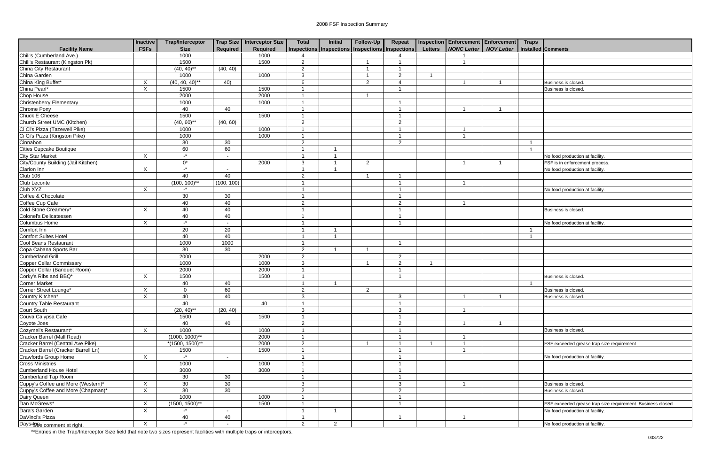| <b>Facility Name</b>                      | <b>Inactive</b><br><b>FSFs</b> | <b>Trap/Interceptor</b><br><b>Size</b> | Required                 | Trap Size   Interceptor Size<br><b>Required</b> | <b>Total</b>   | Initial        | Follow-Up<br>Inspections   Inspections   Inspections   Inspections | Repeat                   | <b>Letters</b> | <b>Inspection Enforcement Enforcement</b><br><b>NONC Letter</b> | <b>NOV Letter</b> | <b>Traps</b> | <b>Installed Comments</b>                                  |
|-------------------------------------------|--------------------------------|----------------------------------------|--------------------------|-------------------------------------------------|----------------|----------------|--------------------------------------------------------------------|--------------------------|----------------|-----------------------------------------------------------------|-------------------|--------------|------------------------------------------------------------|
| Chili's (Cumberland Ave.)                 |                                | 1000                                   |                          | 1000                                            |                |                |                                                                    |                          |                |                                                                 |                   |              |                                                            |
| Chili's Restaurant (Kingston Pk)          |                                | 1500                                   |                          | 1500                                            | $\overline{c}$ |                |                                                                    |                          |                |                                                                 |                   |              |                                                            |
| China City Restaurant                     |                                | $(40, 40)$ **                          | (40, 40)                 |                                                 | $\overline{2}$ |                |                                                                    |                          |                |                                                                 |                   |              |                                                            |
| China Garden                              |                                | 1000                                   |                          | 1000                                            | 3              |                |                                                                    | $\mathcal{D}$            |                |                                                                 |                   |              |                                                            |
| China King Buffet*                        | $\boldsymbol{\mathsf{X}}$      | $(40, 40, 40)^{**}$                    | 40)                      |                                                 | 6              |                | $\mathcal{P}$                                                      | $\boldsymbol{\varDelta}$ |                |                                                                 |                   |              | Business is closed.                                        |
| China Pearl*                              | $\times$                       | 1500                                   |                          | 1500                                            |                |                |                                                                    |                          |                |                                                                 |                   |              | Business is closed.                                        |
| Chop House                                |                                | 2000                                   |                          | 2000                                            |                |                |                                                                    |                          |                |                                                                 |                   |              |                                                            |
| Christenberry Elementary                  |                                | 1000                                   |                          | 1000                                            | -1             |                |                                                                    | $\overline{\phantom{a}}$ |                |                                                                 |                   |              |                                                            |
| Chrome Pony                               |                                | 40                                     | 40                       |                                                 | -1             |                |                                                                    |                          |                |                                                                 |                   |              |                                                            |
| Chuck E Cheese                            |                                | 1500                                   |                          | 1500                                            |                |                |                                                                    |                          |                |                                                                 |                   |              |                                                            |
| Church Street UMC (Kitchen)               |                                | $(40, 60)$ **                          | (40, 60)                 |                                                 | $\overline{2}$ |                |                                                                    | $\overline{2}$           |                |                                                                 |                   |              |                                                            |
| Ci Ci's Pizza (Tazewell Pike)             |                                | 1000                                   |                          | 1000                                            |                |                |                                                                    |                          |                |                                                                 |                   |              |                                                            |
| Ci Ci's Pizza (Kingston Pike)             |                                | 1000                                   |                          | 1000                                            | - 1            |                |                                                                    | - 1                      |                | $\overline{1}$                                                  |                   |              |                                                            |
| Cinnabon                                  |                                | 30                                     | 30                       |                                                 | $\overline{2}$ |                |                                                                    | $\mathcal{P}$            |                |                                                                 |                   |              |                                                            |
| <b>Cities Cupcake Boutique</b>            |                                | 60                                     | 60                       |                                                 |                |                |                                                                    |                          |                |                                                                 |                   | - 1          |                                                            |
| <b>City Star Market</b>                   | $\mathsf{X}$                   | $\mathbf{r}$                           | $\sim$                   |                                                 | - 1            |                |                                                                    |                          |                |                                                                 |                   |              | No food production at facility.                            |
| City/County Building (Jail Kitchen)       |                                | $0^*$                                  |                          | 2000                                            | $\mathbf{3}$   |                | 2                                                                  |                          |                |                                                                 |                   |              | FSF is in enforcement process.                             |
|                                           | $\mathsf{X}$                   | $-$ *                                  | $\overline{\phantom{a}}$ |                                                 |                |                |                                                                    |                          |                |                                                                 |                   |              | No food production at facility                             |
| Clarion Inn<br>Club 106<br>Club Leconte   |                                | 40                                     | 40                       |                                                 | $\overline{2}$ |                |                                                                    |                          |                |                                                                 |                   |              |                                                            |
|                                           |                                | $(100, 100)^{**}$                      | (100, 100)               |                                                 |                |                |                                                                    |                          |                |                                                                 |                   |              |                                                            |
| Club XYZ                                  | $\times$                       | $-$ *                                  |                          |                                                 |                |                |                                                                    |                          |                |                                                                 |                   |              | No food production at facility                             |
| Coffee & Chocolate                        |                                | 30                                     |                          |                                                 |                |                |                                                                    |                          |                |                                                                 |                   |              |                                                            |
|                                           |                                |                                        | 30                       |                                                 |                |                |                                                                    | $\mathcal{P}$            |                |                                                                 |                   |              |                                                            |
| Coffee Cup Cafe<br>Cold Stone Creamery*   |                                | 40                                     | 40                       |                                                 | $\overline{2}$ |                |                                                                    |                          |                |                                                                 |                   |              |                                                            |
|                                           | $\mathsf{X}$                   | 40                                     | 40                       |                                                 | -1             |                |                                                                    |                          |                |                                                                 |                   |              | Business is closed.                                        |
| Colonel's Delicatessen                    |                                | 40                                     | 40                       |                                                 | -1             |                |                                                                    |                          |                |                                                                 |                   |              |                                                            |
| Columbus Home                             | $\mathsf{X}$                   | $-$ *                                  | $\sim$                   |                                                 |                |                |                                                                    |                          |                |                                                                 |                   |              | No food production at facility                             |
| Comfort Inn                               |                                | 20                                     | 20                       |                                                 |                |                |                                                                    |                          |                |                                                                 |                   |              |                                                            |
| <b>Comfort Suites Hotel</b>               |                                | 40                                     | 40                       |                                                 | -1             |                |                                                                    |                          |                |                                                                 |                   |              |                                                            |
| Cool Beans Restaurant                     |                                | 1000                                   | 1000                     |                                                 | $\overline{1}$ |                |                                                                    | - 1                      |                |                                                                 |                   |              |                                                            |
| Copa Cabana Sports Bar                    |                                | 30                                     | 30                       |                                                 | $\overline{2}$ |                |                                                                    |                          |                |                                                                 |                   |              |                                                            |
| <b>Cumberland Grill</b>                   |                                | 2000                                   |                          | 2000                                            | $\overline{2}$ |                |                                                                    | $\mathcal{D}$            |                |                                                                 |                   |              |                                                            |
| <b>Copper Cellar Commissary</b>           |                                | 1000                                   |                          | 1000                                            | $\mathbf{3}$   |                |                                                                    | $\mathcal{P}$            |                |                                                                 |                   |              |                                                            |
| Copper Cellar (Banquet Room)              |                                | 2000                                   |                          | 2000                                            | -1             |                |                                                                    |                          |                |                                                                 |                   |              |                                                            |
| Corky's Ribs and BBQ*                     | $\mathsf{X}$                   | 1500                                   |                          | 1500                                            | -1             |                |                                                                    |                          |                |                                                                 |                   |              | Business is closed.                                        |
| <b>Corner Market</b>                      |                                | 40                                     | 40                       |                                                 | - 1            |                |                                                                    |                          |                |                                                                 |                   |              |                                                            |
| Corner Street Lounge*<br>Country Kitchen* | $\mathsf{X}$                   | $\Omega$                               | 60                       |                                                 | $\overline{2}$ |                | $\overline{2}$                                                     |                          |                |                                                                 |                   |              | Business is closed.                                        |
|                                           | $\overline{X}$                 | 40                                     | 40                       |                                                 | $\mathbf{3}$   |                |                                                                    | $\mathbf{3}$             |                | $\mathbf{1}$                                                    | $\mathbf{1}$      |              | Business is closed.                                        |
| Country Table Restaurant                  |                                | 40                                     |                          | 40                                              |                |                |                                                                    |                          |                |                                                                 |                   |              |                                                            |
| Court South                               |                                | $(20, 40)$ **                          | (20, 40)                 |                                                 | 3              |                |                                                                    | 3                        |                |                                                                 |                   |              |                                                            |
| Couva Calypsa Cafe                        |                                | 1500                                   |                          | 1500                                            | -1             |                |                                                                    |                          |                |                                                                 |                   |              |                                                            |
| Coyote Joes                               |                                | 40                                     | 40                       |                                                 | $\overline{2}$ |                |                                                                    | $\overline{2}$           |                |                                                                 |                   |              |                                                            |
| Cozymel's Restaurant*                     | $\mathsf{X}$                   | 1000                                   |                          | 1000                                            | - 1            |                |                                                                    |                          |                |                                                                 |                   |              | Business is closed.                                        |
| Cracker Barrel (Mall Road)                |                                | $(1000, 1000)$ **                      |                          | 2000                                            | -1             |                |                                                                    |                          |                |                                                                 |                   |              |                                                            |
| Cracker Barrel (Central Ave Pike)         |                                | $*(1500, 1500)^{**}$                   |                          | 2000                                            | $\overline{c}$ |                |                                                                    |                          |                |                                                                 |                   |              | FSF exceeded grease trap size requirement                  |
| Cracker Barrel (Cracker Barrell Ln)       |                                | 1500                                   |                          | 1500                                            |                |                |                                                                    |                          |                |                                                                 |                   |              |                                                            |
| Crawfords Group Home                      | $\mathsf{X}$                   | $-$ *                                  | $\sim$                   |                                                 | -1             |                |                                                                    |                          |                |                                                                 |                   |              | No food production at facility.                            |
| <b>Cross Ministries</b>                   |                                | 1000                                   |                          | 1000                                            | - 1            |                |                                                                    |                          |                |                                                                 |                   |              |                                                            |
| <b>Cumberland House Hotel</b>             |                                | 3000                                   |                          | 3000                                            | - 1            |                |                                                                    |                          |                |                                                                 |                   |              |                                                            |
| <b>Cumberland Tap Room</b>                |                                | 30                                     | 30                       |                                                 | -1             |                |                                                                    |                          |                |                                                                 |                   |              |                                                            |
| Cuppy's Coffee and More (Western)*        | $\mathsf{X}$                   | 30 <sup>°</sup>                        | 30                       |                                                 | $\mathbf{3}$   |                |                                                                    | 3                        |                |                                                                 |                   |              | Business is closed.                                        |
| Cuppy's Coffee and More (Chapman)*        | $\boldsymbol{\mathsf{X}}$      | 30                                     | 30                       |                                                 | $\overline{2}$ |                |                                                                    | $\overline{2}$           |                |                                                                 |                   |              | Business is closed.                                        |
|                                           |                                | 1000                                   |                          | 1000                                            |                |                |                                                                    |                          |                |                                                                 |                   |              |                                                            |
| Dairy Queen<br>Dan McGrews*               | $\boldsymbol{\mathsf{X}}$      | $(1500, 1500)^{**}$                    |                          | 1500                                            |                |                |                                                                    |                          |                |                                                                 |                   |              | FSF exceeded grease trap size requirement. Business closed |
| Dara's Garden                             | $\mathsf{X}$                   | $\cdot^*$                              | $\overline{\phantom{a}}$ |                                                 |                |                |                                                                    |                          |                |                                                                 |                   |              | No food production at facility.                            |
| DaVinci's Pizza                           |                                | 40                                     | 40                       |                                                 |                |                |                                                                    |                          |                |                                                                 |                   |              |                                                            |
| Days* <b>98</b> e comment at right.       | $\boldsymbol{\mathsf{X}}$      | $-$ *                                  | $\sim$                   |                                                 | $\overline{2}$ | $\overline{2}$ |                                                                    |                          |                |                                                                 |                   |              | No food production at facility.                            |
|                                           |                                |                                        |                          |                                                 |                |                |                                                                    |                          |                |                                                                 |                   |              |                                                            |

| <b>Traps</b> |                                                             |
|--------------|-------------------------------------------------------------|
|              | Installed Comments                                          |
|              |                                                             |
|              |                                                             |
|              |                                                             |
|              | Business is closed.                                         |
|              | Business is closed.                                         |
|              |                                                             |
|              |                                                             |
|              |                                                             |
|              |                                                             |
|              |                                                             |
| 1            |                                                             |
| 1            |                                                             |
|              | No food production at facility.                             |
|              | FSF is in enforcement process.                              |
|              | No food production at facility.                             |
|              |                                                             |
|              | No food production at facility.                             |
|              |                                                             |
|              |                                                             |
|              | Business is closed.                                         |
|              |                                                             |
| 1            | No food production at facility.                             |
| 1            |                                                             |
|              |                                                             |
|              |                                                             |
|              |                                                             |
|              |                                                             |
|              | Business is closed.                                         |
| 1            |                                                             |
|              | Business is closed.                                         |
|              | Business is closed.                                         |
|              |                                                             |
|              |                                                             |
|              |                                                             |
|              | Business is closed.                                         |
|              |                                                             |
|              | FSF exceeded grease trap size requirement                   |
|              | No food production at facility.                             |
|              |                                                             |
|              |                                                             |
|              |                                                             |
|              | Business is closed.                                         |
|              | Business is closed.                                         |
|              | FSF exceeded grease trap size requirement. Business closed. |
|              | No food production at facility.                             |
|              |                                                             |
|              | No food production at facility.                             |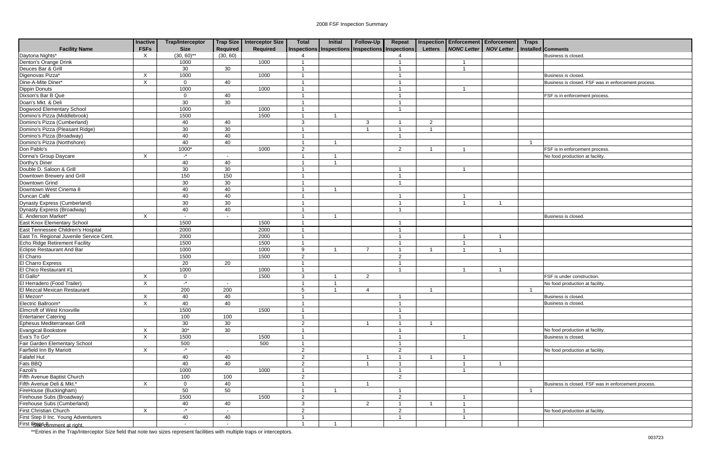|                                          | <b>Inactive</b> | <b>Trap/Interceptor</b> |                          | <b>Trap Size Interceptor Size</b> | <b>Total</b>    | <b>Initial</b> | Follow-Up      | Repeat                                          |                         | Inspection Enforcement Enforcement Traps |                   |                                                     |
|------------------------------------------|-----------------|-------------------------|--------------------------|-----------------------------------|-----------------|----------------|----------------|-------------------------------------------------|-------------------------|------------------------------------------|-------------------|-----------------------------------------------------|
| <b>Facility Name</b>                     | <b>FSFs</b>     | <b>Size</b>             | <b>Required</b>          | Required                          |                 |                |                | Inspections Inspections Inspections Inspections | <b>Letters</b>          | <b>NONC Letter</b>                       | <b>NOV Letter</b> | <b>Installed Comments</b>                           |
| Daytona Nights*                          | X               | $(30, 60)$ **           | (30, 60)                 |                                   |                 |                |                |                                                 |                         |                                          |                   | Business is closed                                  |
| Denton's Orange Drink                    |                 | 1000                    |                          | 1000                              |                 |                |                |                                                 |                         |                                          |                   |                                                     |
| Deuces Bar & Grill                       |                 | 30                      | 30                       |                                   |                 |                |                |                                                 |                         |                                          |                   |                                                     |
| Digenovas Pizza*                         | X               | 1000                    |                          | 1000                              |                 |                |                |                                                 |                         |                                          |                   | Business is closed.                                 |
| Dine-A-Mite Diner*                       | $\times$        | $\mathbf 0$             | 40                       |                                   |                 |                |                |                                                 |                         |                                          |                   | Business is closed. FSF was in enforcement process. |
| <b>Dippin Donuts</b>                     |                 | 1000                    |                          | 1000                              |                 |                |                |                                                 |                         |                                          |                   |                                                     |
| Dixson's Bar B Que                       |                 | $\Omega$                | 40                       |                                   |                 |                |                |                                                 |                         |                                          |                   | FSF is in enforcement process.                      |
| Doan's Mkt. & Deli                       |                 | 30                      | 30                       |                                   |                 |                |                |                                                 |                         |                                          |                   |                                                     |
| Dogwood Elementary School                |                 | 1000                    |                          | 1000                              |                 |                |                |                                                 |                         |                                          |                   |                                                     |
| Domino's Pizza (Middlebrook)             |                 | 1500                    |                          | 1500                              |                 |                |                |                                                 |                         |                                          |                   |                                                     |
| Domino's Pizza (Cumberland)              |                 | 40                      | 40                       |                                   | $\mathbf{3}$    |                | 3              |                                                 | 2                       |                                          |                   |                                                     |
| Domino's Pizza (Pleasant Ridge)          |                 | 30                      | 30                       |                                   | $\overline{1}$  |                | - 1            |                                                 | $\overline{\mathbf{1}}$ |                                          |                   |                                                     |
| Domino's Pizza (Broadway)                |                 | 40                      | 40                       |                                   |                 |                |                |                                                 |                         |                                          |                   |                                                     |
| Domino's Pizza (Northshore)              |                 | 40                      | 40                       |                                   |                 |                |                |                                                 |                         |                                          |                   |                                                     |
| Don Pablo's                              |                 | 1000*                   |                          | 1000                              | 2               |                |                | 2                                               |                         |                                          |                   | FSF is in enforcement process.                      |
| Donna's Group Daycare                    | $\times$        | $\mathbf{r}$            | $\overline{\phantom{a}}$ |                                   |                 |                |                |                                                 |                         |                                          |                   | No food production at facility.                     |
| Dorthy's Diner                           |                 | 40                      | 40                       |                                   |                 |                |                |                                                 |                         |                                          |                   |                                                     |
| Double D. Saloon & Grill                 |                 | 30                      | 30                       |                                   |                 |                |                |                                                 |                         |                                          |                   |                                                     |
| Downtown Brewery and Grill               |                 | 150                     | 150                      |                                   |                 |                |                |                                                 |                         |                                          |                   |                                                     |
| Downtown Grind                           |                 | 30                      | 30                       |                                   |                 |                |                |                                                 |                         |                                          |                   |                                                     |
| Downtown West Cinema 8                   |                 | 40                      | 40                       |                                   |                 |                |                |                                                 |                         |                                          |                   |                                                     |
| Duncan Café                              |                 | 40                      | 40                       |                                   |                 |                |                |                                                 |                         |                                          |                   |                                                     |
| Dynasty Express (Cumberland)             |                 | 30                      | 30                       |                                   |                 |                |                |                                                 |                         |                                          |                   |                                                     |
| Dynasty Express (Broadway)               |                 | 40                      | 40                       |                                   |                 |                |                |                                                 |                         |                                          |                   |                                                     |
| E. Anderson Market*                      | X               | $\sim$                  |                          |                                   |                 |                |                |                                                 |                         |                                          |                   | Business is closed.                                 |
| East Knox Elementary School              |                 | 1500                    |                          | 1500                              |                 |                |                |                                                 |                         |                                          |                   |                                                     |
| East Tennessee Children's Hospital       |                 | 2000                    |                          | 2000                              |                 |                |                |                                                 |                         |                                          |                   |                                                     |
| East Tn. Regional Juvenile Service Cent. |                 | 2000                    |                          | 2000                              |                 |                |                |                                                 |                         |                                          |                   |                                                     |
| Echo Ridge Retirement Facility           |                 | 1500                    |                          | 1500                              |                 |                |                |                                                 |                         | -1                                       |                   |                                                     |
| Eclipse Restaurant And Bar               |                 | 1000                    |                          | 1000                              | -9              |                |                |                                                 |                         |                                          |                   |                                                     |
| El Charro                                |                 | 1500                    |                          | 1500                              | 2               |                |                | $\mathcal{P}$                                   |                         |                                          |                   |                                                     |
| <b>El Charro Express</b>                 |                 | 20                      | 20                       |                                   |                 |                |                |                                                 |                         |                                          |                   |                                                     |
| El Chico Restaurant #1                   |                 | 1000                    |                          | 1000                              |                 |                |                |                                                 |                         |                                          |                   |                                                     |
| El Gallo*                                | X               | 0                       |                          | 1500                              | 3               |                | $\overline{2}$ |                                                 |                         |                                          |                   | FSF is under construction.                          |
| El Herradero (Food Trailer)              | X               | $\mathbf{r}$            | $\sim$                   |                                   |                 |                |                |                                                 |                         |                                          |                   | No food production at facility.                     |
| El Mezcal Mexican Restaurant             |                 | 200                     | 200                      |                                   | $5\phantom{.0}$ |                | 4              |                                                 |                         |                                          |                   |                                                     |
| El Mezon*                                | $\mathsf{X}$    | 40                      | 40                       |                                   | $\mathbf{1}$    |                |                | $\overline{1}$                                  |                         |                                          |                   | Business is closed.                                 |
| Electric Ballroom*                       | X               | 40                      | 40                       |                                   |                 |                |                |                                                 |                         |                                          |                   | Business is closed.                                 |
| Elmcroft of West Knoxville               |                 | 1500                    |                          | 1500                              |                 |                |                |                                                 |                         |                                          |                   |                                                     |
| <b>Entertainer Catering</b>              |                 | 100                     | 100                      |                                   |                 |                |                |                                                 |                         |                                          |                   |                                                     |
| Ephesus Mediterranean Grill              |                 | 30                      | 30                       |                                   | 2               |                | -1             |                                                 | $\overline{1}$          |                                          |                   |                                                     |
| Evangical Bookstore                      | $\sf X$         | $30*$                   | 30                       |                                   |                 |                |                |                                                 |                         |                                          |                   | No food production at facility.                     |
| Eva's To Go*                             | X               | 1500                    |                          | 1500                              |                 |                |                |                                                 |                         |                                          |                   | Business is closed.                                 |
| Fair Garden Elementary School            |                 | 500                     |                          | 500                               |                 |                |                |                                                 |                         |                                          |                   |                                                     |
|                                          |                 | $-$ *                   |                          |                                   |                 |                |                |                                                 |                         |                                          |                   |                                                     |
| Fairfield Inn By Mariott                 | X               |                         | $\sim$                   |                                   | 2               |                |                | 2                                               |                         |                                          |                   | No food production at facility.                     |
| <b>Falafel Hut</b>                       |                 | 40                      | 40                       |                                   | 2               |                |                |                                                 |                         | $\mathbf 1$                              |                   |                                                     |
| Fats BBQ                                 |                 | 40                      | 40                       |                                   | 2               |                |                |                                                 |                         | $\mathbf 1$                              |                   |                                                     |
| Fazoli's                                 |                 | 1000                    |                          | 1000                              |                 |                |                |                                                 |                         | $\overline{1}$                           |                   |                                                     |
| Fifth Avenue Baptist Church              |                 | 100                     | 100                      |                                   | $\overline{2}$  |                |                | $\overline{2}$                                  |                         |                                          |                   |                                                     |
| Fifth Avenue Deli & Mkt.*                | X               | $\mathbf 0$             | 40                       |                                   |                 |                |                |                                                 |                         |                                          |                   | Business is closed. FSF was in enforcement process  |
| FireHouse (Buckingham)                   |                 | 50                      | 50                       |                                   |                 |                |                |                                                 |                         |                                          |                   |                                                     |
| Firehouse Subs (Broadway)                |                 | 1500                    |                          | 1500                              | 2               |                |                | $\overline{2}$                                  |                         | $\overline{1}$                           |                   |                                                     |
| Firehouse Subs (Cumberland)              |                 | 40                      | 40                       |                                   | $\mathbf{3}$    |                | $\overline{2}$ |                                                 |                         |                                          |                   |                                                     |
| First Christian Church                   | X               | $\mathbf{r}$            |                          |                                   | $\overline{2}$  |                |                | 2                                               |                         | $\overline{1}$                           |                   | No food production at facility.                     |
| First Step II Inc. Young Adventurers     |                 | 40                      | 40                       |                                   |                 |                |                |                                                 |                         |                                          |                   |                                                     |
| First Steesdomment at right.             |                 |                         |                          |                                   |                 |                |                |                                                 |                         |                                          |                   |                                                     |

|                         | cement Enforcement Traps |              |                                                     |
|-------------------------|--------------------------|--------------|-----------------------------------------------------|
| Letter                  | <b>NOV Letter</b>        |              | Installed Comments                                  |
|                         |                          |              | Business is closed.                                 |
| $\overline{1}$          |                          |              |                                                     |
| $\overline{1}$          |                          |              |                                                     |
|                         |                          |              | Business is closed.                                 |
|                         |                          |              |                                                     |
|                         |                          |              | Business is closed. FSF was in enforcement process. |
| 1                       |                          |              |                                                     |
|                         |                          |              | FSF is in enforcement process.                      |
|                         |                          |              |                                                     |
|                         |                          |              |                                                     |
|                         |                          |              |                                                     |
|                         |                          |              |                                                     |
|                         |                          |              |                                                     |
|                         |                          |              |                                                     |
|                         |                          | $\mathbf 1$  |                                                     |
| $\overline{1}$          |                          |              | FSF is in enforcement process.                      |
|                         |                          |              | No food production at facility.                     |
|                         |                          |              |                                                     |
| $\overline{1}$          |                          |              |                                                     |
|                         |                          |              |                                                     |
|                         |                          |              |                                                     |
|                         |                          |              |                                                     |
| 1                       |                          |              |                                                     |
| $\overline{1}$          | $\mathbf{1}$             |              |                                                     |
|                         |                          |              |                                                     |
|                         |                          |              | Business is closed.                                 |
|                         |                          |              |                                                     |
|                         |                          |              |                                                     |
|                         | $\mathbf{1}$             |              |                                                     |
| $\frac{1}{1}$           |                          |              |                                                     |
|                         | 1                        |              |                                                     |
|                         |                          |              |                                                     |
|                         |                          |              |                                                     |
| 1                       | $\mathbf{1}$             |              |                                                     |
|                         |                          |              | FSF is under construction.                          |
|                         |                          |              | No food production at facility.                     |
|                         |                          | $\mathbf{1}$ |                                                     |
|                         |                          |              | Business is closed.                                 |
|                         |                          |              | Business is closed.                                 |
|                         |                          |              |                                                     |
|                         |                          |              |                                                     |
|                         |                          |              |                                                     |
|                         |                          |              | No food production at facility.                     |
| $\overline{1}$          |                          |              | Business is closed.                                 |
|                         |                          |              |                                                     |
|                         |                          |              | No food production at facility.                     |
|                         |                          |              |                                                     |
|                         | 1                        |              |                                                     |
| $\frac{1}{1}$           |                          |              |                                                     |
|                         |                          |              |                                                     |
|                         |                          |              | Business is closed. FSF was in enforcement process. |
|                         |                          | 1            |                                                     |
|                         |                          |              |                                                     |
| $\frac{1}{1}$           |                          |              |                                                     |
| $\overline{\mathbf{1}}$ |                          |              | No food production at facility.                     |
| 1                       |                          |              |                                                     |
|                         |                          |              |                                                     |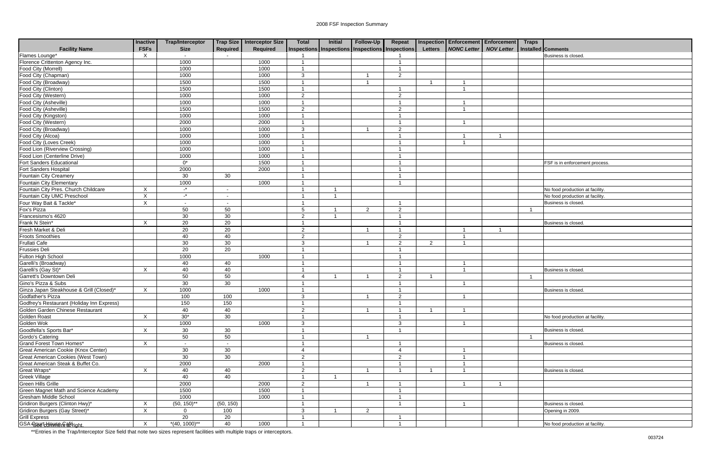|                                                | <b>Inactive</b> | <b>Trap/Interceptor</b> |                          | Trap Size   Interceptor Size | <b>Total</b>   | Initial | Follow-Up      | Repeat                                          |                         | <b>Inspection Enforcement Enforcement</b> | <b>Traps</b>   |                                 |
|------------------------------------------------|-----------------|-------------------------|--------------------------|------------------------------|----------------|---------|----------------|-------------------------------------------------|-------------------------|-------------------------------------------|----------------|---------------------------------|
| <b>Facility Name</b>                           | <b>FSFs</b>     | <b>Size</b>             | Required                 | <b>Required</b>              |                |         |                | Inspections Inspections Inspections Inspections | <b>Letters</b>          | <b>NONC Letter   NOV Letter</b>           |                | <b>Installed Comments</b>       |
| Flames Lounge*                                 | $\times$        | $\sim$                  |                          |                              |                |         |                |                                                 |                         |                                           |                | Business is closed.             |
| Florence Crittenton Agency Inc.                |                 | 1000                    |                          | 1000                         |                |         |                |                                                 |                         |                                           |                |                                 |
| Food City (Morrell)                            |                 | 1000                    |                          | 1000                         |                |         |                | $\overline{\mathbf{A}}$                         |                         |                                           |                |                                 |
| Food City (Chapman)                            |                 | 1000                    |                          | 1000                         | 3              |         |                | $\overline{2}$                                  |                         |                                           |                |                                 |
| Food City (Broadway)                           |                 | 1500                    |                          | 1500                         | -1             |         | 1              |                                                 | $\overline{\mathbf{1}}$ |                                           |                |                                 |
| Food City (Clinton)                            |                 | 1500                    |                          | 1500                         |                |         |                | $\overline{\phantom{a}}$                        |                         |                                           |                |                                 |
| Food City (Western)                            |                 | 1000                    |                          | 1000                         | 2              |         |                | $\overline{2}$                                  |                         |                                           |                |                                 |
| Food City (Asheville)                          |                 | 1000                    |                          | 1000                         |                |         |                | $\overline{\mathbf{1}}$                         |                         |                                           |                |                                 |
| Food City (Asheville)                          |                 | 1500                    |                          | 1500                         | 2              |         |                | $\overline{2}$                                  |                         |                                           |                |                                 |
| Food City (Kingston)                           |                 | 1000                    |                          | 1000                         | -1             |         |                | $\overline{\mathbf{1}}$                         |                         |                                           |                |                                 |
| Food City (Western)                            |                 | 2000                    |                          | 2000                         |                |         |                | -1                                              |                         |                                           |                |                                 |
| Food City (Broadway)                           |                 | 1000                    |                          | 1000                         | 3              |         |                | 2                                               |                         |                                           |                |                                 |
| Food City (Alcoa)                              |                 | 1000                    |                          | 1000                         |                |         |                | -1                                              |                         |                                           |                |                                 |
| Food City (Loves Creek)                        |                 | 1000                    |                          | 1000                         |                |         |                |                                                 |                         |                                           |                |                                 |
| Food Lion (Riverview Crossing)                 |                 | 1000                    |                          | 1000                         |                |         |                |                                                 |                         |                                           |                |                                 |
| Food Lion (Centerline Drive)                   |                 | 1000                    |                          | 1000                         |                |         |                | $\overline{\mathbf{1}}$                         |                         |                                           |                |                                 |
| Fort Sanders Educational                       |                 | $\overline{0^*}$        |                          | 1500                         | -1             |         |                |                                                 |                         |                                           |                | FSF is in enforcement process.  |
| Fort Sanders Hospital                          |                 | 2000                    |                          | 2000                         | -1             |         |                | -1                                              |                         |                                           |                |                                 |
| Fountain City Creamery                         |                 | 30                      | 30                       |                              |                |         |                |                                                 |                         |                                           |                |                                 |
| Fountain City Elementary                       |                 | 1000                    |                          | 1000                         |                |         |                |                                                 |                         |                                           |                |                                 |
| Fountain City Pres. Church Childcare           | X               | $\cdot^*$               | $\sim$                   |                              |                |         |                |                                                 |                         |                                           |                | No food production at facility. |
| Fountain City UMC Preschool                    | X               | $\mathbf{r}$            | $\overline{\phantom{a}}$ |                              |                |         |                |                                                 |                         |                                           |                | No food production at facility. |
| Four Way Bait & Tackle*                        | $\mathsf X$     | $\sim$                  | $\overline{\phantom{a}}$ |                              |                |         |                |                                                 |                         |                                           |                | Business is closed.             |
| Fox's Pizza                                    |                 | 50                      | 50                       |                              | 5              |         | $\overline{2}$ | $\overline{2}$                                  |                         |                                           |                |                                 |
| Francesismo's 4620                             |                 | 30                      | 30                       |                              | $\overline{2}$ |         |                | $\overline{1}$                                  |                         |                                           |                |                                 |
| Frank N Stein*                                 | X               | 20                      | 20                       |                              | $\overline{1}$ |         |                | -1                                              |                         |                                           |                | Business is closed.             |
| Fresh Market & Deli                            |                 | 20                      | 20                       |                              | $\overline{2}$ |         | -1             | -1                                              |                         |                                           |                |                                 |
| <b>Froots Smoothies</b>                        |                 | 40                      | 40                       |                              | $\overline{2}$ |         |                | $\overline{2}$                                  |                         |                                           |                |                                 |
| <b>Frullati Cafe</b>                           |                 | 30                      | 30                       |                              | $\mathbf{3}$   |         | -1             | $\overline{2}$                                  | $\overline{2}$          |                                           |                |                                 |
| <b>Frussies Deli</b>                           |                 | $\overline{20}$         | 20                       |                              | $\overline{1}$ |         |                | -1                                              |                         |                                           |                |                                 |
| Fulton High School                             |                 | 1000                    |                          | 1000                         |                |         |                |                                                 |                         |                                           |                |                                 |
| Garelli's (Broadway)                           |                 | 40                      | 40                       |                              |                |         |                |                                                 |                         |                                           |                |                                 |
|                                                | X               | 40                      | 40                       |                              |                |         |                |                                                 |                         |                                           |                | Business is closed.             |
| Garelli's (Gay St)*<br>Garrett's Downtown Deli |                 | 50                      | 50                       |                              | $\overline{4}$ |         | 1              | $\overline{2}$                                  | -1                      |                                           |                |                                 |
| Gino's Pizza & Subs                            |                 | 30                      | 30                       |                              |                |         |                | $\overline{ }$                                  |                         |                                           |                |                                 |
| Ginza Japan Steakhouse & Grill (Closed)*       | X               | 1000                    |                          | 1000                         | -1             |         |                |                                                 |                         |                                           |                | Business is closed.             |
| Godfather's Pizza                              |                 | 100                     | 100                      |                              | $\mathbf{3}$   |         | $\mathbf{1}$   | $\sqrt{2}$                                      |                         | $\mathbf{1}$                              |                |                                 |
| Godfrey's Restaurant (Holiday Inn Express)     |                 | 150                     | 150                      |                              | -1             |         |                |                                                 |                         |                                           |                |                                 |
| Golden Garden Chinese Restaurant               |                 | 40                      | 40                       |                              | 2              |         | $\overline{1}$ | -1                                              | -1                      | $\overline{\mathbf{A}}$                   |                |                                 |
| Golden Roast                                   | X               | $30*$                   | 30                       |                              |                |         |                |                                                 |                         |                                           |                | No food production at facility. |
| Golden Wok                                     |                 | 1000                    |                          | 1000                         | 3              |         |                | $\mathbf{3}$                                    |                         |                                           |                |                                 |
| Goodfella's Sports Bar*                        | X               | 30                      | 30                       |                              |                |         |                | $\overline{1}$                                  |                         |                                           |                | Business is closed.             |
| Gordo's Catering                               |                 | 50                      | 50                       |                              | -1             |         | $\overline{1}$ |                                                 |                         |                                           | $\overline{1}$ |                                 |
| Grand Forest Town Homes*                       | $\mathsf{X}$    | $\sim$                  |                          |                              | -1             |         |                |                                                 |                         |                                           |                | Business is closed.             |
| Great American Cookie (Knox Center)            |                 | 30                      | 30                       |                              | 4              |         |                | $\overline{4}$                                  |                         |                                           |                |                                 |
| Great American Cookies (West Town)             |                 | 30                      | 30                       |                              | $\overline{2}$ |         |                | $\overline{2}$                                  |                         |                                           |                |                                 |
|                                                |                 |                         |                          |                              |                |         |                |                                                 |                         |                                           |                |                                 |
| Great American Steak & Buffet Co.              |                 | 2000                    |                          | 2000                         |                |         |                |                                                 |                         |                                           |                |                                 |
| Great Wraps*                                   | X               | 40                      | 40                       |                              | $\overline{2}$ |         |                |                                                 |                         |                                           |                | Business is closed.             |
| <b>Greek Village</b>                           |                 | 40                      | 40                       |                              |                |         |                |                                                 |                         |                                           |                |                                 |
| Green Hills Grille                             |                 | 2000                    |                          | 2000                         | $\overline{2}$ |         |                |                                                 |                         |                                           |                |                                 |
| Green Magnet Math and Science Academy          |                 | 1500                    |                          | 1500                         | $\overline{1}$ |         |                |                                                 |                         |                                           |                |                                 |
| Gresham Middle School                          |                 | 1000                    |                          | 1000                         |                |         |                |                                                 |                         |                                           |                |                                 |
| Gridiron Burgers (Clinton Hwy)*                | X               | $(50, 150)$ **          | (50, 150)                |                              |                |         |                |                                                 |                         |                                           |                | Business is closed.             |
| Gridiron Burgers (Gay Street)*                 | $\mathsf X$     | $\Omega$                | 100                      |                              | 3              |         | $2^{\circ}$    |                                                 |                         |                                           |                | Opening in 2009.                |
| <b>Grill Express</b>                           |                 | 20                      | 20                       |                              | -1             |         |                |                                                 |                         |                                           |                |                                 |
| GSA Gourt House Fattight.                      | $\mathsf{X}$    | $*(40, 1000)*$          | 40                       | 1000                         |                |         |                |                                                 |                         |                                           |                | No food production at facility. |

| <b>Traps</b> |                                 |
|--------------|---------------------------------|
|              | Installed Comments              |
|              |                                 |
|              | Business is closed.             |
|              |                                 |
|              |                                 |
|              |                                 |
|              |                                 |
|              |                                 |
|              |                                 |
|              |                                 |
|              |                                 |
|              |                                 |
|              |                                 |
|              |                                 |
|              |                                 |
|              |                                 |
|              |                                 |
|              |                                 |
|              |                                 |
|              |                                 |
|              | FSF is in enforcement process.  |
|              |                                 |
|              |                                 |
|              |                                 |
|              |                                 |
|              | No food production at facility. |
|              | No food production at facility. |
|              | Business is closed.             |
| 1            |                                 |
|              |                                 |
|              |                                 |
|              | Business is closed.             |
|              |                                 |
|              |                                 |
|              |                                 |
|              |                                 |
|              |                                 |
|              |                                 |
|              |                                 |
|              |                                 |
|              | Business is closed.             |
| 1            |                                 |
|              |                                 |
|              | Business is closed.             |
|              |                                 |
|              |                                 |
|              |                                 |
|              |                                 |
|              | No food production at facility. |
|              |                                 |
|              | Business is closed.             |
| $\mathbf{1}$ |                                 |
|              | Business is closed.             |
|              |                                 |
|              |                                 |
|              |                                 |
|              |                                 |
|              | Business is closed.             |
|              |                                 |
|              |                                 |
|              |                                 |
|              |                                 |
|              |                                 |
|              | Business is closed.             |
|              | Opening in 2009.                |
|              | No food production at facility. |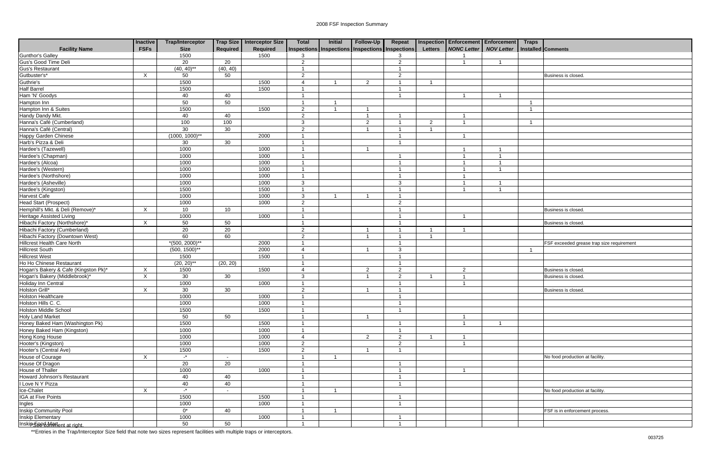|                                      | Inactive                  | <b>Trap/Interceptor</b> |                 | Trap Size   Interceptor Size | <b>Total</b>                     | <b>Initial</b>                                  | Follow-Up      | Repeat                  |                | Inspection Enforcement Enforcement Traps |                   |                                           |
|--------------------------------------|---------------------------|-------------------------|-----------------|------------------------------|----------------------------------|-------------------------------------------------|----------------|-------------------------|----------------|------------------------------------------|-------------------|-------------------------------------------|
| <b>Facility Name</b>                 | <b>FSFs</b>               | <b>Size</b>             | Required        | Required                     |                                  | Inspections Inspections Inspections Inspections |                |                         | <b>Letters</b> | <b>NONC Letter</b>                       | <b>NOV Letter</b> | Installed Comments                        |
| <b>Gunthor's Galley</b>              |                           | 1500                    |                 | 1500                         | 3                                |                                                 |                | 3                       |                |                                          |                   |                                           |
| Gus's Good Time Deli                 |                           | $\overline{20}$         | $\overline{20}$ |                              | $\overline{2}$                   |                                                 |                | $\overline{2}$          |                |                                          | $\overline{1}$    |                                           |
| Gus's Restaurant                     |                           | $(40, 40)$ **           | (40, 40)        |                              |                                  |                                                 |                | $\overline{1}$          |                |                                          |                   |                                           |
| Gutbuster's*                         | $\boldsymbol{\mathsf{X}}$ | 50                      | 50              |                              | $\overline{2}$                   |                                                 |                | $\overline{2}$          |                |                                          |                   | Business is closed.                       |
| Guthrie's                            |                           | 1500                    |                 | 1500                         | $\overline{A}$                   |                                                 | $\overline{2}$ | -1                      |                |                                          |                   |                                           |
| <b>Half Barrel</b>                   |                           | 1500                    |                 | 1500                         | -1                               |                                                 |                | -1                      |                |                                          |                   |                                           |
| Ham 'N' Goodys                       |                           | 40                      | 40              |                              |                                  |                                                 |                |                         |                |                                          |                   |                                           |
| Hampton Inn                          |                           | 50                      | 50              |                              |                                  |                                                 |                |                         |                |                                          |                   |                                           |
| Hampton Inn & Suites                 |                           | 1500                    |                 | 1500                         | $\overline{c}$                   |                                                 | -1             |                         |                |                                          |                   |                                           |
| Handy Dandy Mkt.                     |                           | 40                      | 40              |                              | $\overline{2}$                   |                                                 | $\overline{1}$ | -1                      |                |                                          |                   |                                           |
| Hanna's Café (Cumberland)            |                           | 100                     | 100             |                              | 3                                |                                                 | $\overline{2}$ | - 1                     | $\overline{2}$ | -1                                       |                   |                                           |
| Hanna's Café (Central)               |                           | 30                      | 30              |                              | $\overline{2}$                   |                                                 | -1             |                         |                |                                          |                   |                                           |
| <b>Happy Garden Chinese</b>          |                           | $(1000, 1000)^{**}$     |                 | 2000                         | $\overline{1}$                   |                                                 |                | - 1                     |                |                                          |                   |                                           |
| Harb's Pizza & Deli                  |                           | 30                      | 30              |                              | -1                               |                                                 |                | -1                      |                |                                          |                   |                                           |
| Hardee's (Tazewell)                  |                           | 1000                    |                 | 1000                         | -1                               |                                                 | - 1            |                         |                |                                          |                   |                                           |
| Hardee's (Chapman)                   |                           | 1000                    |                 | 1000                         |                                  |                                                 |                |                         |                |                                          |                   |                                           |
| Hardee's (Alcoa)                     |                           | 1000                    |                 | 1000                         | $\overline{\mathbf{1}}$          |                                                 |                | -1                      |                |                                          |                   |                                           |
| Hardee's (Western)                   |                           | 1000                    |                 | 1000                         | 1                                |                                                 |                | -1                      |                |                                          |                   |                                           |
| Hardee's (Northshore)                |                           | 1000                    |                 | 1000                         | $\overline{1}$                   |                                                 |                | -1                      |                | - 1                                      |                   |                                           |
| Hardee's (Asheville)                 |                           | 1000                    |                 | 1000                         | $\mathbf{3}$                     |                                                 |                | $\mathbf{3}$            |                |                                          |                   |                                           |
| Hardee's (Kingston)                  |                           | 1500                    |                 | 1500                         | -1                               |                                                 |                | -1                      |                |                                          |                   |                                           |
| Harvest Cafe                         |                           | 1000                    |                 | 1000                         | $\mathbf{3}$                     |                                                 | -1             | -1                      |                |                                          |                   |                                           |
| <b>Head Start (Prospect)</b>         |                           | 1000                    |                 | 1000                         | $\overline{2}$                   |                                                 |                | $\overline{2}$          |                |                                          |                   |                                           |
| Hemphill's Mkt. & Deli (Remove)*     | $\times$                  | 10 <sup>1</sup>         | 10              |                              |                                  |                                                 |                | -1                      |                |                                          |                   | Business is closed                        |
| <b>Heritage Assisted Living</b>      |                           | 1000                    |                 | 1000                         |                                  |                                                 |                |                         |                |                                          |                   |                                           |
| Hibachi Factory (Northshore)*        | X                         | 50                      | 50              |                              | $\overline{1}$                   |                                                 |                | -1                      |                |                                          |                   | Business is closed                        |
| <b>Hibachi Factory (Cumberland)</b>  |                           | 20                      | 20              |                              | $\overline{2}$                   |                                                 | -1             | -1                      | -1             | -1                                       |                   |                                           |
| Hibachi Factory (Downtown West)      |                           | 60                      | 60              |                              | $\overline{2}$                   |                                                 |                | -1                      |                |                                          |                   |                                           |
| <b>Hillcrest Health Care North</b>   |                           | $*(500, 2000)$ **       |                 | 2000                         | $\overline{1}$                   |                                                 |                | -1                      |                |                                          |                   | FSF exceeded grease trap size requirement |
| <b>Hillcrest South</b>               |                           | $(500, 1500)$ **        |                 | 2000                         | $\overline{4}$                   |                                                 | -1             | $\mathbf{3}$            |                |                                          |                   |                                           |
| <b>Hillcrest West</b>                |                           | 1500                    |                 | 1500                         | $\overline{1}$                   |                                                 |                | $\overline{\mathbf{1}}$ |                |                                          |                   |                                           |
| Ho Ho Chinese Restaurant             |                           | $(20, 20)$ **           | (20, 20)        |                              | 1                                |                                                 |                | -1                      |                |                                          |                   |                                           |
| Hogan's Bakery & Cafe (Kingston Pk)* | Χ                         | 1500                    |                 | 1500                         | $\overline{4}$                   |                                                 | $\overline{2}$ | $\overline{2}$          |                | 2                                        |                   | Business is closed.                       |
| Hogan's Bakery (Middlebrook)*        | X                         | 30                      | 30              |                              | $\mathbf{3}$                     |                                                 | $\overline{1}$ | $\overline{2}$          |                |                                          |                   | <b>Business is closed</b>                 |
| Holiday Inn Central                  |                           | 1000                    |                 | 1000                         | $\overline{1}$                   |                                                 |                | $\overline{\mathbf{1}}$ |                |                                          |                   |                                           |
| Holston Grill*                       | X                         | $\overline{30}$         | 30              |                              | $\overline{2}$                   |                                                 | -1             | -1                      |                |                                          |                   | Business is closed.                       |
| <b>Holston Healthcare</b>            |                           | 1000                    |                 | 1000                         | $\mathbf{1}$                     |                                                 |                | $\mathbf{1}$            |                |                                          |                   |                                           |
| Holston Hills C. C.                  |                           | 1000                    |                 | 1000                         | $\overline{1}$                   |                                                 |                | -1                      |                |                                          |                   |                                           |
| <b>Holston Middle School</b>         |                           | 1500                    |                 | 1500                         | $\overline{1}$                   |                                                 |                | $\overline{1}$          |                |                                          |                   |                                           |
| <b>Holy Land Market</b>              |                           | 50                      | 50              |                              | -1                               |                                                 | -1             |                         |                | -1                                       |                   |                                           |
| Honey Baked Ham (Washington Pk)      |                           | 1500                    |                 | 1500                         | -1                               |                                                 |                | -1                      |                | -1                                       |                   |                                           |
| Honey Baked Ham (Kingston)           |                           | 1000                    |                 | 1000                         | -1                               |                                                 |                | -1                      |                |                                          |                   |                                           |
| Hong Kong House                      |                           | 1000                    |                 | 1000                         | $\overline{4}$                   |                                                 | $\overline{2}$ | $\overline{2}$          |                | -1                                       |                   |                                           |
| Hooter's (Kingston)                  |                           | 1000                    |                 | 1000                         | $\overline{2}$                   |                                                 |                |                         |                | $\overline{\mathbf{1}}$                  |                   |                                           |
|                                      |                           |                         |                 | 1500                         |                                  |                                                 | -1             | $\overline{2}$<br>-1    |                |                                          |                   |                                           |
| Hooter's (Central Ave)               |                           | 1500<br>$\mathbf{L}^*$  |                 |                              | $\overline{2}$<br>$\overline{1}$ |                                                 |                |                         |                |                                          |                   |                                           |
| House of Courage                     | $\boldsymbol{\mathsf{X}}$ |                         |                 |                              |                                  |                                                 |                |                         |                |                                          |                   | No food production at facility.           |
| House Of Dragon                      |                           | 20                      | $\overline{20}$ |                              | $\overline{1}$                   |                                                 |                | $\overline{1}$          |                |                                          |                   |                                           |
| House of Thaller                     |                           | 1000                    |                 | 1000                         | $\overline{1}$                   |                                                 |                | -1                      |                | $\overline{\mathbf{1}}$                  |                   |                                           |
| Howard Johnson's Restaurant          |                           | 40                      | 40              |                              | -1                               |                                                 |                | -1                      |                |                                          |                   |                                           |
| I Love N Y Pizza                     |                           | 40                      | 40              |                              |                                  |                                                 |                |                         |                |                                          |                   |                                           |
| Ice-Chalet                           | X                         | $\mathbf{r}$            |                 |                              | 1                                |                                                 |                |                         |                |                                          |                   | No food production at facility.           |
| <b>IGA at Five Points</b>            |                           | 1500                    |                 | 1500                         | $\overline{1}$                   |                                                 |                | -1                      |                |                                          |                   |                                           |
| Ingles                               |                           | 1000                    |                 | 1000                         | -1                               |                                                 |                | -1                      |                |                                          |                   |                                           |
| <b>Inskip Community Pool</b>         |                           | $0^*$                   | 40              |                              | $\overline{1}$                   | $\overline{1}$                                  |                |                         |                |                                          |                   | FSF is in enforcement process.            |
| <b>Inskip Elementary</b>             |                           | 1000                    |                 | 1000                         | -1                               |                                                 |                | -1                      |                |                                          |                   |                                           |
| Inskip See dMaffent at right.        |                           | 50                      | 50              |                              | -1                               |                                                 |                | -1                      |                |                                          |                   |                                           |

| <b>Traps</b>   |                                           |
|----------------|-------------------------------------------|
|                | Installed Comments                        |
|                |                                           |
|                |                                           |
|                | Business is closed.                       |
|                |                                           |
|                |                                           |
| $\overline{1}$ |                                           |
| $\mathbf{1}$   |                                           |
|                |                                           |
| 1              |                                           |
|                |                                           |
|                |                                           |
|                |                                           |
|                |                                           |
|                |                                           |
|                |                                           |
|                |                                           |
|                |                                           |
|                |                                           |
|                |                                           |
|                | Business is closed.                       |
|                |                                           |
|                | Business is closed.                       |
|                |                                           |
|                |                                           |
| $\overline{1}$ | FSF exceeded grease trap size requirement |
|                |                                           |
|                |                                           |
|                | Business is closed.                       |
|                | Business is closed.                       |
|                | Business is closed.                       |
|                |                                           |
|                |                                           |
|                |                                           |
|                |                                           |
|                |                                           |
|                |                                           |
|                |                                           |
|                |                                           |
|                | No food production at facility.           |
|                |                                           |
|                |                                           |
|                |                                           |
|                | No food production at facility.           |
|                |                                           |
|                |                                           |
|                | FSF is in enforcement process.            |
|                |                                           |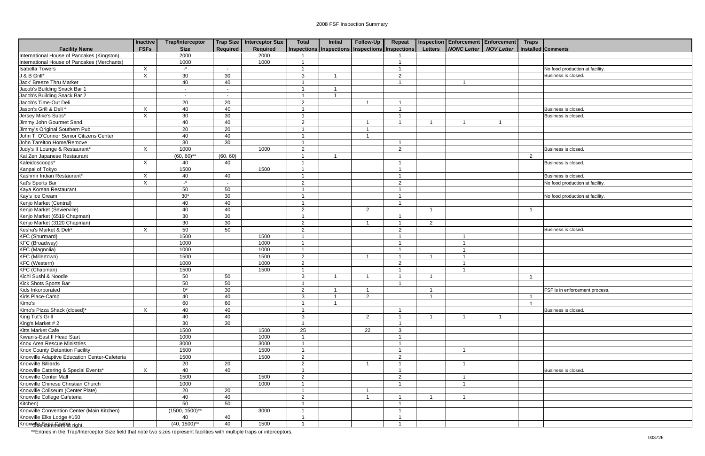|                                                                         | <b>Inactive</b>           | Trap/Interceptor    |                 | Trap Size   Interceptor Size | <b>Total</b>            | <b>Initial</b> | Follow-Up                     | Repeat                                          |                | <b>Inspection Enforcement Enforcement</b> |                | <b>Traps</b>   |                                 |
|-------------------------------------------------------------------------|---------------------------|---------------------|-----------------|------------------------------|-------------------------|----------------|-------------------------------|-------------------------------------------------|----------------|-------------------------------------------|----------------|----------------|---------------------------------|
| <b>Facility Name</b>                                                    | <b>FSFs</b>               | <b>Size</b>         | Required        | Required                     |                         |                |                               | Inspections Inspections Inspections Inspections | <b>Letters</b> | <b>NONC Letter   NOV Letter</b>           |                |                | <b>Installed Comments</b>       |
| International House of Pancakes (Kingston)                              |                           | 2000                |                 | 2000                         |                         |                |                               |                                                 |                |                                           |                |                |                                 |
| International House of Pancakes (Merchants)                             |                           | 1000                |                 | 1000                         | $\overline{\mathbf{1}}$ |                |                               |                                                 |                |                                           |                |                |                                 |
| <b>Isabella Towers</b>                                                  | $\pmb{\times}$            | $\cdot^*$           |                 |                              | -1                      |                |                               |                                                 |                |                                           |                |                | No food production at facility. |
| J & B Grill*                                                            | $\mathsf{X}$              | 30                  | 30              |                              | 3                       |                |                               | 2                                               |                |                                           |                |                | Business is closed.             |
| Jack' Breeze Thru Market                                                |                           | 40                  | 40              |                              |                         |                |                               |                                                 |                |                                           |                |                |                                 |
| Jacob's Building Snack Bar 1                                            |                           | $\sim$              | $\blacksquare$  |                              | -1                      |                |                               |                                                 |                |                                           |                |                |                                 |
| Jacob's Building Snack Bar 2                                            |                           | $\sim$              | $\blacksquare$  |                              |                         |                |                               |                                                 |                |                                           |                |                |                                 |
| Jacob's Time-Out Deli                                                   |                           | 20                  | 20              |                              | $\overline{2}$          |                |                               |                                                 |                |                                           |                |                |                                 |
| Jason's Grill & Deli *                                                  | X                         | 40                  | 40              |                              |                         |                |                               |                                                 |                |                                           |                |                | Business is closed.             |
| Jersey Mike's Subs*                                                     | X                         | 30                  | 30              |                              | -1                      |                |                               |                                                 |                |                                           |                |                | Business is closed.             |
| Jimmy John Gourmet Sand.                                                |                           | 40                  | 40              |                              | $\overline{2}$          |                | -1                            | -1                                              | -1             | -1                                        | $\overline{1}$ |                |                                 |
| Jimmy's Original Southern Pub                                           |                           | $\overline{20}$     | 20              |                              |                         |                | -1                            |                                                 |                |                                           |                |                |                                 |
| John T. O'Connor Senior Citizens Center                                 |                           | 40                  | 40              |                              | -1                      |                | -1                            |                                                 |                |                                           |                |                |                                 |
| John Tarelton Home/Remove                                               |                           | 30                  | 30              |                              | -1                      |                |                               |                                                 |                |                                           |                |                |                                 |
| Judy's II Lounge & Restaurant*                                          | $\boldsymbol{\mathsf{X}}$ | 1000                |                 | 1000                         | $\overline{2}$          |                |                               | $\overline{2}$                                  |                |                                           |                |                | Business is closed.             |
| Kai Zen Japanese Restaurant                                             |                           | $(60, 60)$ **       | (60, 60)        |                              |                         |                |                               |                                                 |                |                                           |                | $\overline{2}$ |                                 |
| Kaleidoscoops*                                                          | X                         | 40                  | 40              |                              |                         |                |                               |                                                 |                |                                           |                |                | Business is closed.             |
| Kanpai of Tokyo                                                         |                           | 1500                |                 | 1500                         |                         |                |                               |                                                 |                |                                           |                |                |                                 |
| Kashmir Indian Restaurant*                                              | X                         | 40                  | 40              |                              | -1                      |                |                               |                                                 |                |                                           |                |                | Business is closed.             |
| Kat's Sports Bar                                                        | $\pmb{\times}$            | $\cdot^*$           |                 |                              | $\overline{2}$          |                |                               | $\overline{2}$                                  |                |                                           |                |                | No food production at facility. |
| Kaya Korean Restaurant                                                  |                           | 50                  | 50              |                              |                         |                |                               |                                                 |                |                                           |                |                |                                 |
| Kay's Ice Cream                                                         |                           | $30*$               | 30              |                              |                         |                |                               |                                                 |                |                                           |                |                | No food production at facility. |
| Kenjo Market (Central)                                                  |                           | 40                  | 40              |                              | -1                      |                |                               | $\overline{\phantom{a}}$                        |                |                                           |                |                |                                 |
| Kenjo Market (Sevierville)                                              |                           | 40                  | 40              |                              | $\overline{2}$          |                | $\overline{2}$                |                                                 | -1             |                                           |                |                |                                 |
| Kenjo Market (6519 Chapman)                                             |                           | 30                  | 30              |                              | -1                      |                |                               | -1                                              |                |                                           |                |                |                                 |
| Kenjo Market (3120 Chapman)                                             |                           | 30                  | 30              |                              | $\overline{2}$          |                | -1                            | $\overline{\mathbf{1}}$                         | $\overline{2}$ |                                           |                |                |                                 |
| Kesha's Market & Deli*                                                  | X                         | 50                  | 50              |                              | $\overline{2}$          |                |                               | $\overline{2}$                                  |                |                                           |                |                | Business is closed.             |
| <b>KFC</b> (Shurmard)                                                   |                           | 1500                |                 | 1500                         | -1                      |                |                               |                                                 |                |                                           |                |                |                                 |
| <b>KFC</b> (Broadway)                                                   |                           | 1000                |                 | 1000                         | $\overline{\mathbf{1}}$ |                |                               |                                                 |                |                                           |                |                |                                 |
| <b>KFC</b> (Magnolia)                                                   |                           | 1000                |                 | 1000                         | -1                      |                |                               |                                                 |                |                                           |                |                |                                 |
| <b>KFC</b> (Millertown)                                                 |                           | 1500                |                 | 1500                         | $\overline{2}$          |                | -1                            |                                                 | -1             |                                           |                |                |                                 |
| KFC (Western)                                                           |                           | 1000                |                 | 1000                         | $\overline{2}$          |                |                               | $\overline{2}$                                  |                |                                           |                |                |                                 |
| <b>KFC</b> (Chapman)                                                    |                           | 1500                |                 | 1500                         | $\overline{1}$          |                |                               |                                                 |                |                                           |                |                |                                 |
| Kichi Sushi & Noodle                                                    |                           | 50                  | 50              |                              | 3                       |                |                               |                                                 |                |                                           |                |                |                                 |
| Kick Shots Sports Bar                                                   |                           | 50                  | $\overline{50}$ |                              | $\overline{1}$          |                |                               |                                                 |                |                                           |                |                |                                 |
| Kids Inkorporated                                                       |                           | $\overline{0^*}$    | $\overline{30}$ |                              | $\overline{2}$          |                | -1                            |                                                 | -1             |                                           |                |                | FSF is in enforcement process.  |
| Kids Place-Camp                                                         |                           | 40                  | 40              |                              | $\mathbf{3}$            | $\overline{1}$ | $\overline{2}$                |                                                 | $\mathbf{1}$   |                                           |                | $\overline{1}$ |                                 |
| Kimo's                                                                  |                           | 60                  | 60              |                              |                         |                |                               |                                                 |                |                                           |                |                |                                 |
| Kimo's Pizza Shack (closed)*                                            | X                         | 40                  | 40              |                              | -1                      |                |                               |                                                 |                |                                           |                |                | Business is closed.             |
| King Tut's Grill                                                        |                           | 40                  | 40              |                              | 3                       |                | $\overline{2}$                | $\overline{\mathbf{1}}$                         | $\overline{1}$ | $\mathbf 1$                               | $\mathbf{1}$   |                |                                 |
| King's Market $# 2$                                                     |                           | 30                  | 30              |                              | -1                      |                |                               |                                                 |                |                                           |                |                |                                 |
| Kitts Market Cafe                                                       |                           | 1500                |                 | 1500                         | 25                      |                | 22                            | $\mathbf{3}$                                    |                |                                           |                |                |                                 |
| Kiwanis-East II Head Start                                              |                           | 1000                |                 | 1000                         | $\overline{1}$          |                |                               |                                                 |                |                                           |                |                |                                 |
| Knox Area Rescue Ministries                                             |                           | 3000                |                 | 3000                         | $\mathbf{1}$            |                |                               | $\mathbf 1$                                     |                |                                           |                |                |                                 |
| Knox County Detention Facility                                          |                           | 1500                |                 | 1500                         | -1                      |                |                               | $\overline{1}$                                  |                |                                           |                |                |                                 |
| Knoxville Adaptive Education Center-Cafeteria                           |                           | 1500                |                 | 1500                         | $\overline{2}$          |                |                               | $\overline{2}$                                  |                |                                           |                |                |                                 |
| Knoxville Billiards                                                     |                           | 20                  | 20              |                              | $\overline{2}$          |                | -1                            | $\overline{1}$                                  |                | $\overline{1}$                            |                |                |                                 |
| Knoxville Catering & Special Events*                                    | X                         |                     |                 |                              | $\overline{1}$          |                |                               | $\mathbf 1$                                     |                |                                           |                |                | Business is closed.             |
|                                                                         |                           | 40                  | 40              |                              |                         |                |                               |                                                 |                |                                           |                |                |                                 |
| Knoxville Center Mall                                                   |                           | 1500                |                 | 1500                         | $\overline{2}$          |                |                               | $\overline{2}$                                  |                |                                           |                |                |                                 |
| Knoxville Chinese Christian Church<br>Knoxville Coliseum (Center Plate) |                           | 1000                |                 | 1000                         |                         |                |                               |                                                 |                |                                           |                |                |                                 |
|                                                                         |                           | 20                  | 20              |                              |                         |                | -1<br>$\overline{\mathbf{1}}$ |                                                 | -1             |                                           |                |                |                                 |
| Knoxville College Cafeteria                                             |                           | 40                  | 40              |                              | $\overline{2}$          |                |                               |                                                 |                |                                           |                |                |                                 |
| Kitchen)                                                                |                           | 50                  | 50              |                              |                         |                |                               |                                                 |                |                                           |                |                |                                 |
| Knoxville Convention Center (Main Kitchen)                              |                           | $(1500, 1500)^{**}$ |                 | 3000                         |                         |                |                               |                                                 |                |                                           |                |                |                                 |
| Knoxville Elks Lodge #160                                               |                           | 40                  | 40              |                              | -1                      |                |                               |                                                 |                |                                           |                |                |                                 |
| Knoxvelee Expansenter right.                                            |                           | $(40, 1500)$ **     | 40              | 1500                         | $\mathbf{1}$            |                |                               | $\overline{1}$                                  |                |                                           |                |                |                                 |

| <b>Traps</b>            |                                 |
|-------------------------|---------------------------------|
|                         | Installed Comments              |
|                         |                                 |
|                         |                                 |
|                         | No food production at facility. |
|                         | Business is closed.             |
|                         |                                 |
|                         |                                 |
|                         |                                 |
|                         | Business is closed.             |
|                         | Business is closed.             |
|                         |                                 |
|                         |                                 |
|                         |                                 |
|                         |                                 |
|                         | Business is closed.             |
| $\overline{\mathbf{c}}$ |                                 |
|                         | Business is closed.             |
|                         |                                 |
|                         | Business is closed.             |
|                         | No food production at facility. |
|                         | No food production at facility. |
|                         |                                 |
| $\mathbf{1}$            |                                 |
|                         |                                 |
|                         |                                 |
|                         | Business is closed.             |
|                         |                                 |
|                         |                                 |
|                         |                                 |
|                         |                                 |
|                         |                                 |
|                         |                                 |
| $\mathbf 1$             |                                 |
|                         |                                 |
|                         | FSF is in enforcement process.  |
| $\mathbf{1}$            |                                 |
| 1                       |                                 |
|                         | Business is closed.             |
|                         |                                 |
|                         |                                 |
|                         |                                 |
|                         |                                 |
|                         |                                 |
|                         |                                 |
|                         |                                 |
|                         | Business is closed.             |
|                         |                                 |
|                         |                                 |
|                         |                                 |
|                         |                                 |
|                         |                                 |
|                         |                                 |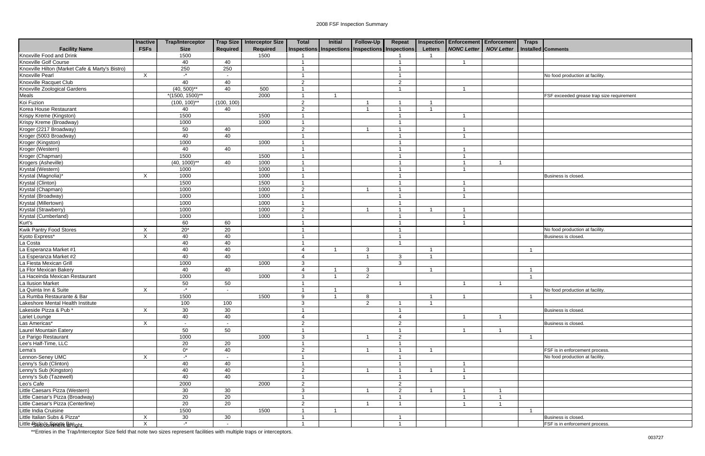|                                                 | <b>Inactive</b> | <b>Trap/Interceptor</b> |            | Trap Size   Interceptor Size | <b>Total</b>            | <b>Initial</b>                                  | Follow-Up      | Repeat                   |                | Inspection Enforcement Enforcement Traps |                   |                |                                           |
|-------------------------------------------------|-----------------|-------------------------|------------|------------------------------|-------------------------|-------------------------------------------------|----------------|--------------------------|----------------|------------------------------------------|-------------------|----------------|-------------------------------------------|
| <b>Facility Name</b>                            | <b>FSFs</b>     | <b>Size</b>             | Required   | <b>Required</b>              |                         | Inspections Inspections Inspections Inspections |                |                          | <b>Letters</b> | <b>NONC Letter</b>                       | <b>NOV Letter</b> |                | Installed Comments                        |
| Knoxville Food and Drink                        |                 | 1500                    |            | 1500                         |                         |                                                 |                |                          |                |                                          |                   |                |                                           |
| Knoxville Golf Course                           |                 | 40                      | 40         |                              | -1                      |                                                 |                | -1                       |                |                                          |                   |                |                                           |
| Knoxville Hilton (Market Cafe & Marty's Bistro) |                 | 250                     | 250        |                              |                         |                                                 |                | -1                       |                |                                          |                   |                |                                           |
| Knoxville Pearl                                 | $\mathsf{X}$    | $-$ *                   |            |                              |                         |                                                 |                |                          |                |                                          |                   |                | No food production at facility.           |
| Knoxville Racquet Club                          |                 | 40                      | 40         |                              | $\overline{2}$          |                                                 |                | $\overline{2}$           |                |                                          |                   |                |                                           |
| <b>Knoxville Zoological Gardens</b>             |                 | $(40, 500)$ **          | 40         | 500                          | -1                      |                                                 |                | -1                       |                |                                          |                   |                |                                           |
| Meals                                           |                 | $*(1500, 1500)^{**}$    |            | 2000                         |                         |                                                 |                |                          |                |                                          |                   |                | FSF exceeded grease trap size requirement |
| Koi Fuzion                                      |                 | $(100, 100)^{**}$       | (100, 100) |                              | $\overline{2}$          |                                                 |                |                          |                |                                          |                   |                |                                           |
| Korea House Restaurant                          |                 | 40                      | 40         |                              | $\overline{c}$          |                                                 |                |                          |                |                                          |                   |                |                                           |
| Krispy Kreme (Kingston)                         |                 | 1500                    |            | 1500                         |                         |                                                 |                | -1                       |                |                                          |                   |                |                                           |
| Krispy Kreme (Broadway)                         |                 | 1000                    |            | 1000                         | -1                      |                                                 |                | -1                       |                |                                          |                   |                |                                           |
| Kroger (2217 Broadway)                          |                 | 50                      | 40         |                              | $\overline{2}$          |                                                 |                | -1                       |                |                                          |                   |                |                                           |
| Kroger (5003 Broadway)                          |                 | 40                      | 40         |                              |                         |                                                 |                | -4                       |                |                                          |                   |                |                                           |
| Kroger (Kingston)                               |                 | 1000                    |            | 1000                         | $\overline{1}$          |                                                 |                | -1                       |                |                                          |                   |                |                                           |
| Kroger (Western)                                |                 | 40                      | 40         |                              | $\overline{1}$          |                                                 |                | -1                       |                |                                          |                   |                |                                           |
| Kroger (Chapman)                                |                 | 1500                    |            | 1500                         | -1                      |                                                 |                | -1                       |                |                                          |                   |                |                                           |
| Krogers (Asheville)                             |                 | $(40, 1000)$ **         | 40         | 1000                         | -1                      |                                                 |                | $\overline{1}$           |                |                                          |                   |                |                                           |
| Krystal (Western)                               |                 | 1000                    |            | 1000                         | -1                      |                                                 |                | -1                       |                |                                          |                   |                |                                           |
| Krystal (Magnolia)*                             | X               | 1000                    |            | 1000                         | -1                      |                                                 |                | -1                       |                |                                          |                   |                | Business is closed.                       |
| Krystal (Clinton)                               |                 | 1500                    |            | 1500                         | -1                      |                                                 |                | -1                       |                |                                          |                   |                |                                           |
| Krystal (Chapman)                               |                 | 1000                    |            | 1000                         | $\overline{2}$          |                                                 |                |                          |                |                                          |                   |                |                                           |
| Krystal (Broadway)                              |                 | 1000                    |            | 1000                         | -1                      |                                                 |                | -1                       |                |                                          |                   |                |                                           |
| Krystal (Millertown)                            |                 | 1000                    |            | 1000                         | - 1                     |                                                 |                | -1                       |                |                                          |                   |                |                                           |
| Krystal (Strawberry)                            |                 | 1000                    |            | 1000                         | $\overline{2}$          |                                                 | - 1            | -1                       |                |                                          |                   |                |                                           |
| Krystal (Cumberland)                            |                 | 1000                    |            | 1000                         |                         |                                                 |                | -1                       |                |                                          |                   |                |                                           |
| Kurt's                                          |                 | 60                      | 60         |                              | -1                      |                                                 |                | $\overline{1}$           |                | - 1                                      |                   |                |                                           |
| <b>Kwik Pantry Food Stores</b>                  | X               | $20*$                   | 20         |                              | - 1                     |                                                 |                | $\overline{\mathbf{1}}$  |                |                                          |                   |                | No food production at facility.           |
| Kyoto Express*                                  | X               | 40                      | 40         |                              | -1                      |                                                 |                | -1                       |                |                                          |                   |                | Business is closed.                       |
| La Costa                                        |                 | 40                      | 40         |                              | -1                      |                                                 |                | $\overline{1}$           |                |                                          |                   |                |                                           |
| La Esperanza Market #1                          |                 | 40                      | 40         |                              | $\overline{4}$          |                                                 | 3              |                          | - 1            |                                          |                   |                |                                           |
| La Esperanza Market #2                          |                 | 40                      | 40         |                              | $\overline{4}$          |                                                 |                | 3                        | - 1            |                                          |                   |                |                                           |
| La Fiesta Mexican Grill                         |                 | 1000                    |            | 1000                         | $\mathbf{3}$            |                                                 |                | $\mathbf{3}$             |                |                                          |                   |                |                                           |
| La Flor Mexican Bakery                          |                 | 40                      | 40         |                              | $\overline{4}$          |                                                 | 3              |                          |                |                                          |                   |                |                                           |
| La Haceinda Mexican Restaurant                  |                 | 1000                    |            | 1000                         | $\mathbf{3}$            |                                                 | $\overline{2}$ |                          |                |                                          |                   |                |                                           |
| La Ilusion Market                               |                 | 50                      | 50         |                              | $\overline{\mathbf{1}}$ |                                                 |                | -1                       |                |                                          |                   |                |                                           |
| La Quinta Inn & Suite                           | X               | $\cdot$                 |            |                              | - 1                     | - 1                                             |                |                          |                |                                          |                   |                | No food production at facility.           |
| La Rumba Restaurante & Bar                      |                 | 1500                    |            | 1500                         | 9                       | $\overline{1}$                                  | 8              |                          | $\overline{1}$ | $\mathbf{1}$                             |                   | $\overline{1}$ |                                           |
| Lakeshore Mental Health Institute               |                 | 100                     | 100        |                              | 3                       |                                                 | 2              | $\overline{1}$           |                |                                          |                   |                |                                           |
| Lakeside Pizza & Pub *                          | X               | 30                      | 30         |                              | -1                      |                                                 |                | -1                       |                |                                          |                   |                | Business is closed.                       |
| Lariet Lounge                                   |                 | 40                      | 40         |                              | $\overline{4}$          |                                                 |                | $\overline{4}$           |                |                                          |                   |                |                                           |
| Las Americas*                                   | X               | $\sim$                  | $\sim$     |                              | 2                       |                                                 |                | $\overline{2}$           |                |                                          |                   |                | Business is closed.                       |
| Laurel Mountain Eatery                          |                 | 50                      | 50         |                              | -1                      |                                                 |                | $\overline{\phantom{a}}$ |                |                                          |                   |                |                                           |
| Le Parigo Restaurant                            |                 | 1000                    |            | 1000                         | $\mathbf{3}$            |                                                 | -1             | $\overline{2}$           |                |                                          |                   | -1             |                                           |
| Lee's Half-Time, LLC                            |                 | 20                      | 20         |                              | $\overline{1}$          |                                                 |                | $\overline{\mathbf{1}}$  |                |                                          |                   |                |                                           |
| Lema's                                          |                 | $0^*$                   | 40         |                              | 2                       |                                                 |                | -1                       |                |                                          |                   |                | FSF is in enforcement process.            |
| Lennon-Seney UMC                                | X               | $\mathbf{r}$            |            |                              |                         |                                                 |                | -1                       |                |                                          |                   |                | No food production at facility.           |
| Lenny's Sub (Clinton)                           |                 | 40                      | 40         |                              | -1                      |                                                 |                | -1                       |                |                                          |                   |                |                                           |
| Lenny's Sub (Kingston)                          |                 | 40                      | 40         |                              | $\overline{2}$          |                                                 |                | -1                       |                |                                          |                   |                |                                           |
| Lenny's Sub (Tazewell)                          |                 | 40                      | 40         |                              |                         |                                                 |                | -1                       |                |                                          |                   |                |                                           |
| Leo's Cafe                                      |                 | 2000                    |            | 2000                         | $\overline{2}$          |                                                 |                | $\overline{2}$           |                |                                          |                   |                |                                           |
| Little Caesars Pizza (Western)                  |                 | 30                      | 30         |                              | 3                       |                                                 |                | $\overline{2}$           |                |                                          |                   |                |                                           |
| Little Caesar's Pizza (Broadway)                |                 | 20                      | 20         |                              | $\overline{\mathbf{1}}$ |                                                 |                | $\overline{\mathbf{1}}$  |                |                                          |                   |                |                                           |
| Little Caesar's Pizza (Centerline)              |                 | $\overline{20}$         | 20         |                              | $\overline{2}$          |                                                 |                | $\overline{1}$           |                |                                          |                   |                |                                           |
| Little India Cruisine                           |                 | 1500                    |            | 1500                         |                         | $\overline{1}$                                  |                |                          |                |                                          |                   |                |                                           |
| Little Italian Subs & Pizza*                    | $\times$        | 30                      | 30         |                              | -1                      |                                                 |                | -1                       |                |                                          |                   |                | Business is closed.                       |
| Little Right of PARE of Bariaht.                | X               | $-$ *                   | $\sim$     |                              | $\overline{\mathbf{1}}$ |                                                 |                | $\overline{\mathbf{1}}$  |                |                                          |                   |                | FSF is in enforcement process.            |
|                                                 |                 |                         |            |                              |                         |                                                 |                |                          |                |                                          |                   |                |                                           |

| <b>Traps</b> | Installed Comments                                                |
|--------------|-------------------------------------------------------------------|
|              |                                                                   |
|              |                                                                   |
|              |                                                                   |
|              | No food production at facility.                                   |
|              |                                                                   |
|              |                                                                   |
|              | FSF exceeded grease trap size requirement                         |
|              |                                                                   |
|              |                                                                   |
|              |                                                                   |
|              |                                                                   |
|              |                                                                   |
|              |                                                                   |
|              |                                                                   |
|              |                                                                   |
|              |                                                                   |
|              |                                                                   |
|              | Business is closed.                                               |
|              |                                                                   |
|              |                                                                   |
|              |                                                                   |
|              |                                                                   |
|              |                                                                   |
|              |                                                                   |
|              | No food production at facility.                                   |
|              | Business is closed.                                               |
|              |                                                                   |
| 1            |                                                                   |
|              |                                                                   |
| 1            |                                                                   |
| 1            |                                                                   |
|              |                                                                   |
|              | No food production at facility.                                   |
| 1            |                                                                   |
|              |                                                                   |
|              | Business is closed.                                               |
|              |                                                                   |
|              | Business is closed.                                               |
|              |                                                                   |
| $\mathbf{1}$ |                                                                   |
|              |                                                                   |
|              | FSF is in enforcement process.<br>No food production at facility. |
|              |                                                                   |
|              |                                                                   |
|              |                                                                   |
|              |                                                                   |
|              |                                                                   |
|              |                                                                   |
|              |                                                                   |
| $\mathbf 1$  |                                                                   |
|              | Business is closed.                                               |
|              | FSF is in enforcement process.                                    |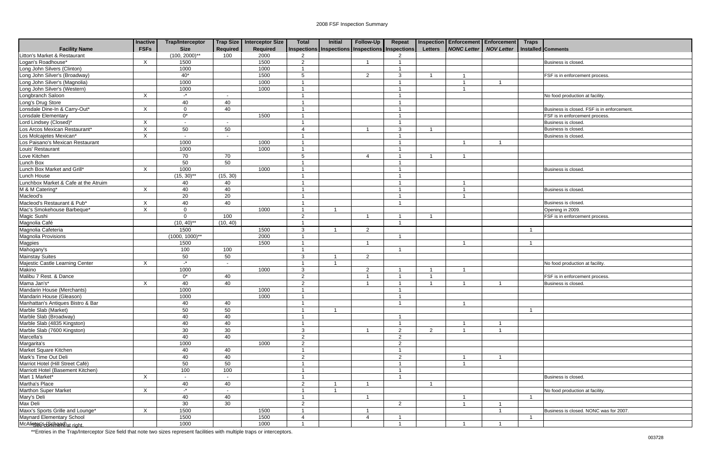|                                                              | <b>Inactive</b>  | <b>Trap/Interceptor</b>  |                          | Trap Size Interceptor Size | <b>Total</b>             | Initial | Follow-Up                                       | Repeat                  |                | <b>Inspection Enforcement Enforcement</b> | <b>Traps</b>   |                                           |
|--------------------------------------------------------------|------------------|--------------------------|--------------------------|----------------------------|--------------------------|---------|-------------------------------------------------|-------------------------|----------------|-------------------------------------------|----------------|-------------------------------------------|
| <b>Facility Name</b>                                         | <b>FSFs</b>      | <b>Size</b>              | Required                 | Required                   |                          |         | Inspections Inspections Inspections Inspections |                         | <b>Letters</b> | <b>NONC Letter   NOV Letter</b>           |                | Installed Comments                        |
| Litton's Market & Restaurant                                 |                  | $(100, 2000)$ **         | 100                      | 2000                       | 2                        |         |                                                 | 2                       |                |                                           |                |                                           |
| Logan's Roadhouse*                                           | X                | 1500                     |                          | 1500                       | $\overline{2}$           |         |                                                 |                         |                |                                           |                | Business is closed                        |
| Long John Silvers (Clinton)                                  |                  | 1000                     |                          | 1000                       |                          |         |                                                 |                         |                |                                           |                |                                           |
| Long John Silver's (Broadway)                                |                  | $40*$                    |                          | 1500                       | 5                        |         | $\overline{2}$                                  | 3                       |                |                                           |                | FSF is in enforcement process             |
| Long John Silver's (Magnolia)                                |                  | 1000                     |                          | 1000                       | - 1                      |         |                                                 | - 1                     |                |                                           |                |                                           |
| Long John Silver's (Western)<br>Long John Silver's (Western) |                  | 1000                     |                          | 1000                       |                          |         |                                                 | -1                      |                |                                           |                |                                           |
|                                                              | $\sf X$          | $\mathbf{r}$             |                          |                            |                          |         |                                                 |                         |                |                                           |                | No food production at facility            |
| Long's Drug Store                                            |                  | 40                       | 40                       |                            |                          |         |                                                 |                         |                |                                           |                |                                           |
| Lonsdale Dine-In & Carry-Out*                                | X                | $\mathbf 0$              | 40                       |                            |                          |         |                                                 |                         |                |                                           |                | Business is closed. FSF is in enforcement |
| Lonsdale Elementary                                          |                  | $0^*$                    |                          | 1500                       |                          |         |                                                 |                         |                |                                           |                | FSF is in enforcement process.            |
| Lord Lindsey (Closed)*                                       | X                | $\sim$                   | $\overline{\phantom{a}}$ |                            |                          |         |                                                 |                         |                |                                           |                | Business is closed                        |
| Los Arcos Mexican Restaurant*                                | X                | 50                       | 50                       |                            | $\boldsymbol{\varDelta}$ |         |                                                 | 3                       |                |                                           |                | Business is closed                        |
| Los Molcajetes Mexican*                                      | X                | $\overline{\phantom{a}}$ | $\sim$                   |                            | - 1                      |         |                                                 | -1                      |                |                                           |                | Business is closed                        |
| Los Paisano's Mexican Restaurant                             |                  | 1000                     |                          | 1000                       | - 1                      |         |                                                 | $\overline{1}$          |                |                                           |                |                                           |
| Louis' Restaurant                                            |                  | 1000                     |                          | 1000                       |                          |         |                                                 | - 1                     |                |                                           |                |                                           |
| Love Kitchen                                                 |                  | 70                       | 70                       |                            | 5                        |         | $\boldsymbol{\varDelta}$                        | - 1                     |                |                                           |                |                                           |
| Lunch Box                                                    |                  | 50                       | 50                       |                            |                          |         |                                                 | -1                      |                |                                           |                |                                           |
| Lunch Box Market and Grill*                                  | $\times$         | 1000                     |                          | 1000                       |                          |         |                                                 | -1                      |                |                                           |                | Business is closed.                       |
| Lunch House                                                  |                  | $(15, 30)$ **            | (15, 30)                 |                            |                          |         |                                                 |                         |                |                                           |                |                                           |
| Lunchbox Market & Cafe at the Atruim                         |                  | 40                       | 40                       |                            |                          |         |                                                 |                         |                |                                           |                |                                           |
| M & M Catering*                                              | $\mathsf{X}$     | 40                       | 40                       |                            |                          |         |                                                 |                         |                |                                           |                | Business is closed.                       |
| Macleod's                                                    |                  | 20                       | 20                       |                            | - 1                      |         |                                                 | - 1                     |                |                                           |                |                                           |
| Macleod's Restaurant & Pub*                                  | X                | 40                       | 40                       |                            |                          |         |                                                 |                         |                |                                           |                | Business is closed                        |
| Mac's Smokehouse Barbeque*                                   | X                | $\mathbf 0$              |                          | 1000                       |                          |         |                                                 |                         |                |                                           |                | Opening in 2009.                          |
| Magic Sushi                                                  |                  | $\Omega$                 | 100                      |                            | 2                        |         |                                                 | -1                      |                |                                           |                | FSF is in enforcement process             |
| Magnolia Café                                                |                  | $(10, 40)$ **            | (10, 40)                 |                            |                          |         |                                                 | - 1                     |                |                                           |                |                                           |
| Magnolia Cafeteria                                           |                  | 1500                     |                          | 1500                       | 3                        |         | $\overline{2}$                                  |                         |                |                                           |                |                                           |
| Magnolia Provisions                                          |                  | $(1000, 1000)^{**}$      |                          | 2000                       |                          |         |                                                 |                         |                |                                           |                |                                           |
| Magpies                                                      |                  | 1500                     |                          | 1500                       |                          |         |                                                 |                         |                |                                           |                |                                           |
| Mahogany's                                                   |                  | 100                      | 100                      |                            | - 1                      |         |                                                 | - 1                     |                |                                           |                |                                           |
| <b>Mainstay Suites</b>                                       |                  | 50                       | 50                       |                            | 3                        |         | 2                                               |                         |                |                                           |                |                                           |
| Majestic Castle Learning Center                              | $\boldsymbol{X}$ | $\mathbb{L}^\star$       | $\blacksquare$           |                            |                          |         |                                                 |                         |                |                                           |                | No food production at facility            |
| Makino                                                       |                  | 1000                     |                          | 1000                       | 3                        |         | $\overline{2}$                                  |                         |                |                                           |                |                                           |
| Malibu 7 Rest. & Dance                                       |                  | $0^*$                    | 40                       |                            | 2                        |         |                                                 | -1                      |                |                                           |                | FSF is in enforcement process.            |
| Mama Jan's*                                                  | X                | 40                       | 40                       |                            | $\overline{2}$           |         |                                                 | $\overline{1}$          |                |                                           |                | Business is closed                        |
| Mandarin House (Merchants)                                   |                  | 1000                     |                          | 1000                       |                          |         |                                                 | - 1                     |                |                                           |                |                                           |
| Mandarin House (Gleason)                                     |                  | 1000                     |                          | 1000                       | $\overline{A}$           |         |                                                 | $\overline{A}$          |                |                                           |                |                                           |
| Manhattan's Antiques Bistro & Bar                            |                  | 40                       | 40                       |                            |                          |         |                                                 |                         |                |                                           |                |                                           |
| Marble Slab (Market)                                         |                  | 50                       | 50                       |                            |                          |         |                                                 |                         |                |                                           | - 1            |                                           |
| Marble Slab (Broadway)                                       |                  | 40                       | 40                       |                            |                          |         |                                                 | -1                      |                |                                           |                |                                           |
| Marble Slab (4835 Kingston)                                  |                  | 40                       | 40                       |                            |                          |         |                                                 | -1                      |                |                                           |                |                                           |
| Marble Slab (7600 Kingston)                                  |                  | 30                       | 30                       |                            | 3                        |         |                                                 | $\overline{2}$          | 2              |                                           |                |                                           |
| Marcella's                                                   |                  | 40                       | 40                       |                            | 2                        |         |                                                 | $\overline{2}$          |                |                                           |                |                                           |
| Margarita's                                                  |                  | 1000                     |                          | 1000                       | $\overline{2}$           |         |                                                 | $\overline{2}$          |                |                                           |                |                                           |
| Market Square Kitchen                                        |                  | 40                       | 40                       |                            |                          |         |                                                 | -1                      |                |                                           |                |                                           |
| Mark's Time Out Deli                                         |                  | 40                       | 40                       |                            | 2                        |         |                                                 | $\overline{2}$          |                |                                           |                |                                           |
| Marriot Hotel (Hill Street Café)                             |                  | 50                       | 50                       |                            | - 1                      |         |                                                 | $\overline{1}$          |                |                                           |                |                                           |
| Marriott Hotel (Basement Kitchen)                            |                  | 100                      | 100                      |                            |                          |         |                                                 | $\overline{1}$          |                |                                           |                |                                           |
| Mart 1 Market*                                               | $\mathsf{X}$     |                          | $\sim$                   |                            |                          |         |                                                 | -1                      |                |                                           |                | Business is closed.                       |
| Martha's Place                                               |                  | 40                       | 40                       |                            | 2                        |         |                                                 |                         | $\overline{1}$ |                                           |                |                                           |
| <b>Marthon Super Market</b>                                  | X                | $-$ *                    | $\sim$                   |                            |                          |         |                                                 |                         |                |                                           |                | No food production at facility.           |
| Mary's Deli                                                  |                  | 40                       | 40                       |                            |                          |         |                                                 |                         |                |                                           | - 1            |                                           |
| Max Deli                                                     |                  | 30                       | 30                       |                            | $\overline{2}$           |         |                                                 | $\overline{2}$          |                |                                           |                |                                           |
| Maxx's Sports Grille and Lounge*                             | $\mathsf{X}$     | 1500                     |                          | 1500                       |                          |         |                                                 |                         |                |                                           |                | Business is closed. NONC was for 2007.    |
| Maynard Elementary School                                    |                  | 1500                     |                          | 1500                       | $\overline{4}$           |         | $\overline{4}$                                  | -1                      |                |                                           | $\overline{1}$ |                                           |
| McAlisser's of shrend) at right.                             |                  | 1000                     |                          | 1000                       |                          |         |                                                 | $\overline{\mathbf{1}}$ |                |                                           |                |                                           |
|                                                              |                  |                          |                          |                            |                          |         |                                                 |                         |                |                                           |                |                                           |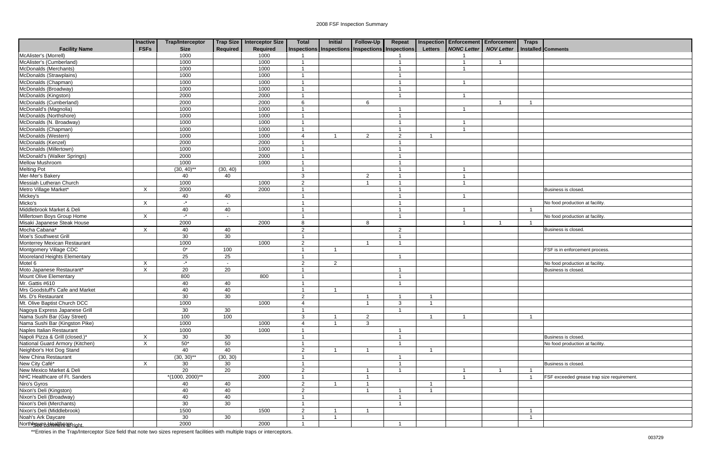|                                 | Inactive    | <b>Trap/Interceptor</b> |                          | Trap Size   Interceptor Size | <b>Total</b>             | <b>Initial</b>                                  | Follow-Up      | Repeat         |                | Inspection Enforcement Enforcement |                   | <b>Traps</b> |                                            |
|---------------------------------|-------------|-------------------------|--------------------------|------------------------------|--------------------------|-------------------------------------------------|----------------|----------------|----------------|------------------------------------|-------------------|--------------|--------------------------------------------|
| <b>Facility Name</b>            | <b>FSFs</b> | <b>Size</b>             | Required                 | <b>Required</b>              |                          | Inspections Inspections Inspections Inspections |                |                | <b>Letters</b> | <b>NONC Letter</b>                 | <b>NOV Letter</b> |              | Installed Comments                         |
| McAlister's (Morrell)           |             | 1000                    |                          | 1000                         |                          |                                                 |                |                |                |                                    |                   |              |                                            |
| McAlister's (Cumberland)        |             | 1000                    |                          | 1000                         | $\overline{1}$           |                                                 |                |                |                |                                    | $\overline{1}$    |              |                                            |
| McDonalds (Merchants)           |             | 1000                    |                          | 1000                         | $\overline{1}$           |                                                 |                |                |                |                                    |                   |              |                                            |
| McDonalds (Strawplains)         |             | 1000                    |                          | 1000                         |                          |                                                 |                |                |                |                                    |                   |              |                                            |
| McDonalds (Chapman)             |             | 1000                    |                          | 1000                         |                          |                                                 |                |                |                |                                    |                   |              |                                            |
| McDonalds (Broadway)            |             | 1000                    |                          | 1000                         |                          |                                                 |                |                |                |                                    |                   |              |                                            |
| McDonalds (Kingston)            |             | 2000                    |                          | 2000                         |                          |                                                 |                |                |                |                                    |                   |              |                                            |
| McDonalds (Cumberland)          |             | 2000                    |                          | 2000                         | 6                        |                                                 | 6              |                |                |                                    |                   |              |                                            |
| McDonald's (Magnolia)           |             | 1000                    |                          | 1000                         |                          |                                                 |                |                |                |                                    |                   |              |                                            |
| McDonalds (Northshore)          |             | 1000                    |                          | 1000                         |                          |                                                 |                |                |                |                                    |                   |              |                                            |
| McDonalds (N. Broadway)         |             | 1000                    |                          | 1000                         | - 1                      |                                                 |                |                |                |                                    |                   |              |                                            |
| McDonalds (Chapman)             |             | 1000                    |                          | 1000                         |                          |                                                 |                |                |                |                                    |                   |              |                                            |
| McDonalds (Western)             |             | 1000                    |                          | 1000                         | $\boldsymbol{\varDelta}$ |                                                 | $\overline{2}$ | 2              |                |                                    |                   |              |                                            |
| McDonalds (Kenzel)              |             | 2000                    |                          | 2000                         |                          |                                                 |                |                |                |                                    |                   |              |                                            |
| McDonalds (Millertown)          |             | 1000                    |                          | 1000                         |                          |                                                 |                |                |                |                                    |                   |              |                                            |
| McDonald's (Walker Springs)     |             | 2000                    |                          | 2000                         |                          |                                                 |                |                |                |                                    |                   |              |                                            |
| <b>Mellow Mushroom</b>          |             | 1000                    |                          | 1000                         |                          |                                                 |                |                |                |                                    |                   |              |                                            |
| <b>Melting Pot</b>              |             | $(30, 40)$ **           | (30, 40)                 |                              |                          |                                                 |                |                |                |                                    |                   |              |                                            |
| Mer-Mer's Bakery                |             | 40                      | 40                       |                              | 3                        |                                                 | $\overline{2}$ |                |                |                                    |                   |              |                                            |
| Messiah Lutheran Church         |             | 1000                    |                          | 1000                         | $\overline{2}$           |                                                 | -1             |                |                |                                    |                   |              |                                            |
| Metro Village Market*           | X           | 2000                    |                          | 2000                         |                          |                                                 |                |                |                |                                    |                   |              | Business is closed.                        |
| Mickey's                        |             | 40                      | 40                       |                              |                          |                                                 |                |                |                |                                    |                   |              |                                            |
| Micko's                         | $\times$    | $-$ *                   | $\overline{\phantom{a}}$ |                              |                          |                                                 |                |                |                |                                    |                   |              | No food production at facility             |
| Middlebrook Market & Deli       |             | 40                      | 40                       |                              |                          |                                                 |                |                |                |                                    |                   | - 1          |                                            |
| Millertown Boys Group Home      | X           | $\mathbf{r}$            | $\overline{\phantom{a}}$ |                              | - 1                      |                                                 |                |                |                |                                    |                   |              | No food production at facility             |
| Misaki Japanese Steak House     |             | 2000                    |                          | 2000                         | 8                        |                                                 | 8              |                |                |                                    | -1                |              |                                            |
| Mocha Cabana*                   | $\times$    | 40                      | 40                       |                              | 2                        |                                                 |                | 2              |                |                                    |                   |              | Business is closed.                        |
| Moe's Southwest Grill           |             | 30                      | 30                       |                              | - 1                      |                                                 |                |                |                |                                    |                   |              |                                            |
| Monterrey Mexican Restaurant    |             | 1000                    |                          | 1000                         | 2                        |                                                 |                |                |                |                                    |                   |              |                                            |
| Montgomery Village CDC          |             | $0^*$                   | 100                      |                              | $\overline{1}$           |                                                 |                |                |                |                                    |                   |              | FSF is in enforcement process              |
| Mooreland Heights Elementary    |             | 25                      | 25                       |                              | $\overline{1}$           |                                                 |                |                |                |                                    |                   |              |                                            |
| Motel 6                         | X           | $\mathbf{r}$            |                          |                              | 2                        | 2                                               |                |                |                |                                    |                   |              | No food production at facility.            |
| Moto Japanese Restaurant*       | X           | $\overline{20}$         | 20                       |                              |                          |                                                 |                |                |                |                                    |                   |              | Business is closed.                        |
| Mount Olive Elementary          |             | 800                     |                          | 800                          |                          |                                                 |                |                |                |                                    |                   |              |                                            |
| Mr. Gattis #610                 |             | 40                      | 40                       |                              | $\overline{1}$           |                                                 |                |                |                |                                    |                   |              |                                            |
| Mrs Goodstuff's Cafe and Market |             | 40                      | 40                       |                              | -1                       |                                                 |                |                |                |                                    |                   |              |                                            |
| Ms. D's Restaurant              |             | 30                      | 30                       |                              | $\overline{2}$           |                                                 | $\mathbf{1}$   | $\overline{1}$ |                |                                    |                   |              |                                            |
| Mt. Olive Baptist Church DCC    |             | 1000                    |                          | 1000                         | $\overline{4}$           |                                                 | $\overline{1}$ | 3              |                |                                    |                   |              |                                            |
| Nagoya Express Japanese Grill   |             | 30                      | 30                       |                              | $\overline{1}$           |                                                 |                | $\overline{1}$ |                |                                    |                   |              |                                            |
| Nama Sushi Bar (Gay Street)     |             | 100                     | 100                      |                              | $\mathbf{3}$             |                                                 | $\overline{2}$ |                |                |                                    |                   | - 1          |                                            |
| Nama Sushi Bar (Kingston Pike)  |             | 1000                    |                          | 1000                         | $\overline{4}$           |                                                 | 3              |                |                |                                    |                   |              |                                            |
| Naples Italian Restaurant       |             | 1000                    |                          | 1000                         | -1                       |                                                 |                |                |                |                                    |                   |              |                                            |
| Napoli Pizza & Grill (closed.)* | $\times$    | 30                      | 30                       |                              | $\overline{1}$           |                                                 |                |                |                |                                    |                   |              | Business is closed.                        |
| National Guard Armory (Kitchen) | X           | $50*$                   | 50                       |                              | $\overline{1}$           |                                                 |                | $\overline{1}$ |                |                                    |                   |              | No food production at facility.            |
| Neighbor's Hot Dog Stand        |             | 40                      | 40                       |                              | $\overline{2}$           |                                                 |                |                |                |                                    |                   |              |                                            |
| New China Restaurant            |             | $(30, 30)$ **           | (30, 30)                 |                              | $\overline{1}$           |                                                 |                |                |                |                                    |                   |              |                                            |
| New City Café*                  | $\times$    | 30                      | 30                       |                              | $\overline{1}$           |                                                 |                |                |                |                                    |                   |              | Business is closed.                        |
| New Mexico Market & Deli        |             | 20                      | 20                       |                              | $\overline{2}$           |                                                 | -1             |                |                |                                    | -1                |              |                                            |
| NHC Healthcare of Ft. Sanders   |             | $*(1000, 2000)*$        |                          | 2000                         |                          |                                                 | -1             |                |                |                                    |                   |              | FSF exceeded grease trap size requirement. |
| Niro's Gyros                    |             | 40                      | 40                       |                              | $\overline{2}$           |                                                 |                |                |                |                                    |                   |              |                                            |
| Nixon's Deli (Kingston)         |             | 40                      | 40                       |                              | $\overline{2}$           |                                                 | -1             |                |                |                                    |                   |              |                                            |
| Nixon's Deli (Broadway)         |             | 40                      | 40                       |                              | $\overline{\mathbf{1}}$  |                                                 |                | $\overline{1}$ |                |                                    |                   |              |                                            |
| Nixon's Deli (Merchants)        |             | 30                      | 30                       |                              | $\overline{1}$           |                                                 |                | $\overline{1}$ |                |                                    |                   |              |                                            |
| Nixon's Deli (Middlebrook)      |             | 1500                    |                          | 1500                         | $\overline{2}$           |                                                 | -1             |                |                |                                    |                   |              |                                            |
| Noah's Ark Daycare              |             | 30                      | 30                       |                              | $\overline{1}$           |                                                 |                |                |                |                                    |                   |              |                                            |
| Northissue ediment affricht.    |             | 2000                    |                          | 2000                         | $\overline{1}$           |                                                 |                | -1             |                |                                    |                   |              |                                            |
|                                 |             |                         |                          |                              |                          |                                                 |                |                |                |                                    |                   |              |                                            |

| <b>Traps</b>      |                                                        |
|-------------------|--------------------------------------------------------|
|                   | Installed Comments                                     |
|                   |                                                        |
|                   |                                                        |
|                   |                                                        |
|                   |                                                        |
|                   |                                                        |
|                   |                                                        |
| $\overline{1}$    |                                                        |
|                   |                                                        |
|                   |                                                        |
|                   |                                                        |
|                   |                                                        |
|                   |                                                        |
|                   |                                                        |
|                   |                                                        |
|                   |                                                        |
|                   |                                                        |
|                   |                                                        |
|                   |                                                        |
|                   | Business is closed.                                    |
|                   |                                                        |
|                   | No food production at facility.                        |
| $\overline{1}$    |                                                        |
| $\mathbf{1}$      | No food production at facility.                        |
|                   | Business is closed.                                    |
|                   |                                                        |
|                   |                                                        |
|                   | FSF is in enforcement process.                         |
|                   |                                                        |
|                   | No food production at facility.                        |
|                   | Business is closed.                                    |
|                   |                                                        |
|                   |                                                        |
|                   |                                                        |
|                   |                                                        |
|                   |                                                        |
| $\mathbf 1$       |                                                        |
|                   |                                                        |
|                   |                                                        |
|                   | Business is closed.<br>No food production at facility. |
|                   |                                                        |
|                   |                                                        |
|                   | Business is closed.                                    |
| 1                 |                                                        |
| $\mathbf{1}$      | FSF exceeded grease trap size requirement.             |
|                   |                                                        |
|                   |                                                        |
|                   |                                                        |
|                   |                                                        |
| 1<br>$\mathbf{1}$ |                                                        |
|                   |                                                        |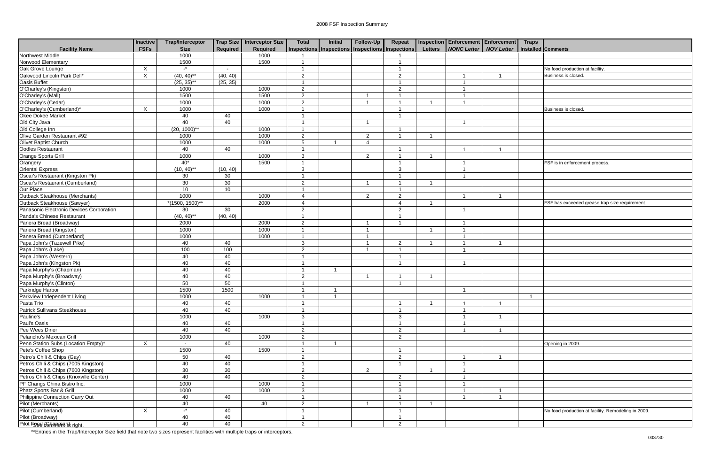|                                          | <b>Inactive</b>           | <b>Trap/Interceptor</b> |                 | Trap Size   Interceptor Size | <b>Total</b>           | <b>Initial</b>                                  | Follow-Up              | Repeat                  |                | <b>Inspection Enforcement Enforcement</b> |                   | <b>Traps</b> |                                                    |
|------------------------------------------|---------------------------|-------------------------|-----------------|------------------------------|------------------------|-------------------------------------------------|------------------------|-------------------------|----------------|-------------------------------------------|-------------------|--------------|----------------------------------------------------|
| <b>Facility Name</b>                     | <b>FSFs</b>               | <b>Size</b>             | <b>Required</b> | Required                     |                        | Inspections Inspections Inspections Inspections |                        |                         | <b>Letters</b> | <b>NONC Letter</b>                        | <b>NOV Letter</b> |              | Installed Comments                                 |
| Northwest Middle                         |                           | 1000                    |                 | 1000                         |                        |                                                 |                        |                         |                |                                           |                   |              |                                                    |
| Norwood Elementary                       |                           | 1500                    |                 | 1500                         | -1                     |                                                 |                        | - 1                     |                |                                           |                   |              |                                                    |
| Oak Grove Lounge                         | $\boldsymbol{\mathsf{X}}$ | $\mathbf{r}$            | $\sim$          |                              |                        |                                                 |                        | $\overline{ }$          |                |                                           |                   |              | No food production at facility.                    |
| Oakwood Lincoln Park Deli*               | $\boldsymbol{\mathsf{X}}$ | $(40, 40)$ **           | (40, 40)        |                              | $\overline{2}$         |                                                 |                        | 2                       |                |                                           |                   |              | <b>Business is closed</b>                          |
| Oasis Buffet                             |                           | $(25, 35)$ **           | (25, 35)        |                              |                        |                                                 |                        |                         |                |                                           |                   |              |                                                    |
| O'Charley's (Kingston)                   |                           | 1000                    |                 | 1000                         | 2                      |                                                 |                        | 2                       |                |                                           |                   |              |                                                    |
| O'Charley's (Mall)                       |                           | 1500                    |                 | 1500                         | $\overline{2}$         |                                                 |                        |                         |                |                                           |                   |              |                                                    |
| O'Charley's (Cedar)                      |                           | 1000                    |                 | 1000                         | $\overline{2}$         |                                                 |                        |                         |                |                                           |                   |              |                                                    |
| O'Charley's (Cumberland)*                | X                         | 1000                    |                 | 1000                         |                        |                                                 |                        |                         |                |                                           |                   |              | Business is closed.                                |
| Okee Dokee Market                        |                           | 40                      | 40              |                              |                        |                                                 |                        | - 1                     |                |                                           |                   |              |                                                    |
| Old City Java                            |                           | 40                      | 40              |                              |                        |                                                 |                        |                         |                | - 1                                       |                   |              |                                                    |
| Old College Inn                          |                           | $(20, 1000)$ **         |                 | 1000                         |                        |                                                 |                        |                         |                |                                           |                   |              |                                                    |
| Olive Garden Restaurant #92              |                           | 1000                    |                 | 1000                         | 2                      |                                                 | 2                      |                         |                |                                           |                   |              |                                                    |
| Olivet Baptist Church                    |                           | 1000                    |                 | 1000                         | 5                      |                                                 | $\boldsymbol{\Lambda}$ |                         |                |                                           |                   |              |                                                    |
| Oodles Restaurant                        |                           | 40                      | 40              |                              |                        |                                                 |                        |                         |                |                                           |                   |              |                                                    |
| Orange Sports Grill                      |                           | 1000                    |                 | 1000                         | 3                      |                                                 | $\overline{2}$         |                         |                |                                           |                   |              |                                                    |
| Orangery                                 |                           | $40*$                   |                 | 1500                         |                        |                                                 |                        |                         |                |                                           |                   |              | FSF is in enforcement process.                     |
| Oriental Express                         |                           | $(10, 40)$ **           | (10, 40)        |                              | 3                      |                                                 |                        | 3                       |                |                                           |                   |              |                                                    |
| Oscar's Restaurant (Kingston Pk)         |                           | 30                      | 30              |                              |                        |                                                 |                        | $\overline{1}$          |                |                                           |                   |              |                                                    |
| Oscar's Restaurant (Cumberland)          |                           | 30                      | 30              |                              | 2                      |                                                 |                        |                         |                |                                           |                   |              |                                                    |
| Our Place                                |                           | 10                      | 10              |                              |                        |                                                 |                        |                         |                |                                           |                   |              |                                                    |
| <b>Outback Steakhouse (Merchants)</b>    |                           | 1000                    |                 | 1000                         | 4                      |                                                 | 2                      | 2                       |                |                                           |                   |              |                                                    |
| Outback Steakhouse (Sawyer)              |                           | $*(1500, 1500)^{**}$    |                 | 2000                         | $\boldsymbol{\Lambda}$ |                                                 |                        | 4                       |                |                                           |                   |              | FSF has exceeded grease trap size requirement      |
| Panasonic Electronic Devices Corporation |                           | 30                      | 30              |                              | 2                      |                                                 |                        | 2                       |                |                                           |                   |              |                                                    |
| Panda's Chinese Restaurant               |                           | $(40, 40)$ **           | (40, 40)        |                              |                        |                                                 |                        |                         |                |                                           |                   |              |                                                    |
| Panera Bread (Broadway)                  |                           | 2000                    |                 | 2000                         | 2                      |                                                 |                        | - 1                     |                |                                           |                   |              |                                                    |
| Panera Bread (Kingston)                  |                           | 1000                    |                 | 1000                         | -1                     |                                                 | $\overline{1}$         |                         |                |                                           |                   |              |                                                    |
| Panera Bread (Cumberland)                |                           | 1000                    |                 | 1000                         |                        |                                                 |                        |                         |                |                                           |                   |              |                                                    |
| Papa John's (Tazewell Pike)              |                           | 40                      | 40              |                              | 3                      |                                                 |                        | 2                       |                |                                           |                   |              |                                                    |
| Papa John's (Lake)                       |                           | 100                     | 100             |                              | 2                      |                                                 |                        | - 1                     |                |                                           |                   |              |                                                    |
| Papa John's (Western)                    |                           | 40                      | 40              |                              | -1                     |                                                 |                        | - 1                     |                |                                           |                   |              |                                                    |
| Papa John's (Kingston Pk)                |                           | 40                      | 40              |                              |                        |                                                 |                        |                         |                |                                           |                   |              |                                                    |
| Papa Murphy's (Chapman)                  |                           | 40                      | 40              |                              |                        |                                                 |                        |                         |                |                                           |                   |              |                                                    |
| Papa Murphy's (Broadway)                 |                           | 40                      | 40              |                              | $\overline{2}$         |                                                 |                        |                         |                |                                           |                   |              |                                                    |
| Papa Murphy's (Clinton)                  |                           | 50                      | 50              |                              |                        |                                                 |                        | - 1                     |                |                                           |                   |              |                                                    |
| Parkridge Harbor                         |                           | 1500                    | 1500            |                              | -1                     |                                                 |                        |                         |                |                                           |                   |              |                                                    |
| Parkview Independent Living              |                           | 1000                    |                 | 1000                         | $\mathbf{1}$           | $\mathbf{1}$                                    |                        |                         |                |                                           |                   | $\mathbf{1}$ |                                                    |
| Pasta Trio                               |                           | 40                      | 40              |                              |                        |                                                 |                        | - 1                     |                |                                           |                   |              |                                                    |
| Patrick Sullivans Steakhouse             |                           | 40                      | 40              |                              |                        |                                                 |                        | - 1                     |                |                                           |                   |              |                                                    |
| Pauline's                                |                           | 1000                    |                 | 1000                         | 3                      |                                                 |                        | 3                       |                |                                           |                   |              |                                                    |
| Paul's Oasis                             |                           | 40                      | 40              |                              |                        |                                                 |                        |                         |                |                                           |                   |              |                                                    |
| Pee Wees Diner                           |                           | 40                      | 40              |                              | 2                      |                                                 |                        | $\overline{2}$          |                |                                           |                   |              |                                                    |
| Pelancho's Mexican Grill                 |                           | 1000                    |                 | 1000                         | 2                      |                                                 |                        | 2                       |                |                                           |                   |              |                                                    |
| Penn Station Subs (Location Empty)*      | X                         | $\sim$                  | 40              |                              |                        |                                                 |                        |                         |                |                                           |                   |              | Opening in 2009.                                   |
| Pete's Coffee Shop                       |                           | 1500                    |                 | 1500                         |                        |                                                 |                        | - 1                     |                |                                           |                   |              |                                                    |
| Petro's Chili & Chips (Gay)              |                           | 50                      | 40              |                              | 2                      |                                                 |                        | $\overline{2}$          |                |                                           |                   |              |                                                    |
| Petros Chili & Chips (7005 Kingston)     |                           | 40                      | 40              |                              |                        |                                                 |                        | -1                      |                |                                           |                   |              |                                                    |
| Petros Chili & Chips (7600 Kingston)     |                           | 30                      | 30              |                              | 2                      |                                                 | $\overline{2}$         |                         |                |                                           |                   |              |                                                    |
| Petros Chili & Chips (Knoxville Center)  |                           | 40                      | 40              |                              | 2                      |                                                 |                        | $\overline{2}$          |                |                                           |                   |              |                                                    |
| PF Changs China Bistro Inc.              |                           | 1000                    |                 | 1000                         |                        |                                                 |                        | $\overline{1}$          |                |                                           |                   |              |                                                    |
| Phatz Sports Bar & Grill                 |                           | 1000                    |                 | 1000                         | 3                      |                                                 |                        | $\mathbf{3}$            |                |                                           |                   |              |                                                    |
| Philippine Connection Carry Out          |                           | 40                      | 40              |                              | $\overline{1}$         |                                                 |                        | $\overline{\mathbf{1}}$ |                |                                           | $\overline{1}$    |              |                                                    |
| Pilot (Merchants)                        |                           | 40                      |                 | 40                           | $\overline{2}$         |                                                 |                        | - 1                     |                |                                           |                   |              |                                                    |
| Pilot (Cumberland)                       | $\boldsymbol{\mathsf{X}}$ | $-$ *                   | 40              |                              |                        |                                                 |                        |                         |                |                                           |                   |              | No food production at facility. Remodeling in 2009 |
| Pilot (Broadway)                         |                           | 40                      | 40              |                              | -1                     |                                                 |                        | -1                      |                |                                           |                   |              |                                                    |
| Pilot Food (Ghangma) right.              |                           | 40                      | 40              |                              | $\overline{2}$         |                                                 |                        | $\overline{2}$          |                |                                           |                   |              |                                                    |

| No food production at facility.<br>Business is closed.<br>Business is closed.<br>FSF is in enforcement process.<br>FSF has exceeded grease trap size requirement. |
|-------------------------------------------------------------------------------------------------------------------------------------------------------------------|
|                                                                                                                                                                   |
|                                                                                                                                                                   |
|                                                                                                                                                                   |
|                                                                                                                                                                   |
|                                                                                                                                                                   |
|                                                                                                                                                                   |
|                                                                                                                                                                   |
|                                                                                                                                                                   |
|                                                                                                                                                                   |
|                                                                                                                                                                   |
|                                                                                                                                                                   |
|                                                                                                                                                                   |
|                                                                                                                                                                   |
|                                                                                                                                                                   |
|                                                                                                                                                                   |
|                                                                                                                                                                   |
|                                                                                                                                                                   |
|                                                                                                                                                                   |
|                                                                                                                                                                   |
|                                                                                                                                                                   |
|                                                                                                                                                                   |
|                                                                                                                                                                   |
|                                                                                                                                                                   |
|                                                                                                                                                                   |
|                                                                                                                                                                   |
|                                                                                                                                                                   |
|                                                                                                                                                                   |
|                                                                                                                                                                   |
|                                                                                                                                                                   |
|                                                                                                                                                                   |
|                                                                                                                                                                   |
|                                                                                                                                                                   |
|                                                                                                                                                                   |
| $\overline{1}$                                                                                                                                                    |
|                                                                                                                                                                   |
|                                                                                                                                                                   |
|                                                                                                                                                                   |
|                                                                                                                                                                   |
|                                                                                                                                                                   |
|                                                                                                                                                                   |
| Opening in 2009.                                                                                                                                                  |
|                                                                                                                                                                   |
|                                                                                                                                                                   |
|                                                                                                                                                                   |
|                                                                                                                                                                   |
|                                                                                                                                                                   |
|                                                                                                                                                                   |
|                                                                                                                                                                   |
|                                                                                                                                                                   |
| No food production at facility. Remodeling in 2009.                                                                                                               |
|                                                                                                                                                                   |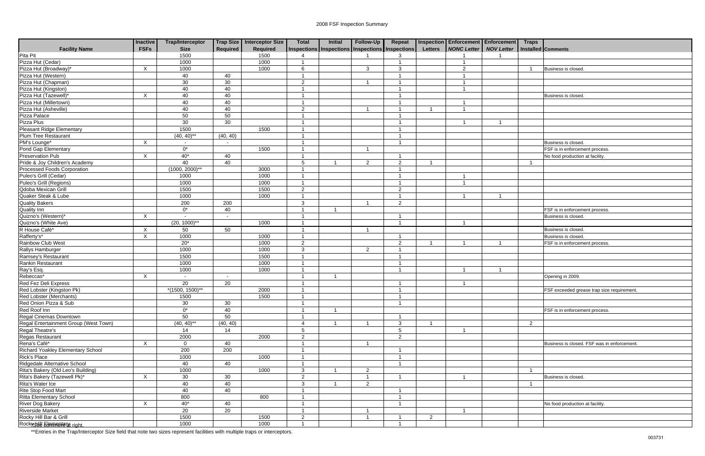|                                          | <b>Inactive</b> | <b>Trap/Interceptor</b> |                          | Trap Size   Interceptor Size | <b>Total</b>   | <b>Initial</b> | Follow-Up      | Repeat                                          |                | Inspection Enforcement Enforcement Traps |    |   |                                            |
|------------------------------------------|-----------------|-------------------------|--------------------------|------------------------------|----------------|----------------|----------------|-------------------------------------------------|----------------|------------------------------------------|----|---|--------------------------------------------|
| <b>Facility Name</b>                     | <b>FSFs</b>     | <b>Size</b>             | Required                 | Required                     |                |                |                | Inspections Inspections Inspections Inspections | <b>Letters</b> | NONC Letter   NOV Letter                 |    |   | Installed Comments                         |
| Pita Pit                                 |                 | 1500                    |                          | 1500                         |                |                |                | 3                                               |                |                                          |    |   |                                            |
| Pizza Hut (Cedar)                        |                 | 1000                    |                          | 1000                         | - 1            |                |                |                                                 |                |                                          |    |   |                                            |
| Pizza Hut (Broadway)*                    | X               | 1000                    |                          | 1000                         | 6              |                | $\mathbf{3}$   | 3                                               |                | $\mathcal{P}$                            |    |   | Business is closed.                        |
| Pizza Hut (Western)                      |                 | 40                      | 40                       |                              |                |                |                |                                                 |                |                                          |    |   |                                            |
| Pizza Hut (Chapman)                      |                 | 30                      | 30                       |                              | $\overline{2}$ |                |                |                                                 |                |                                          |    |   |                                            |
| Pizza Hut (Kingston)                     |                 | 40                      | 40                       |                              |                |                |                |                                                 |                |                                          |    |   |                                            |
| Pizza Hut (Tazewell)'                    | X               | 40                      | 40                       |                              |                |                |                |                                                 |                |                                          |    |   | Business is closed.                        |
| Pizza Hut (Millertown)                   |                 | 40                      | 40                       |                              |                |                |                |                                                 |                |                                          |    |   |                                            |
| Pizza Hut (Asheville)                    |                 | 40                      | 40                       |                              | $\overline{2}$ |                |                |                                                 |                |                                          |    |   |                                            |
| Pizza Palace                             |                 | 50                      | 50                       |                              |                |                |                |                                                 |                |                                          |    |   |                                            |
| Pizza Plus                               |                 | 30 <sup>2</sup>         | 30                       |                              | - 1            |                |                |                                                 |                |                                          | -1 |   |                                            |
| <b>Pleasant Ridge Elementary</b>         |                 | 1500                    |                          | 1500                         | - 1            |                |                |                                                 |                |                                          |    |   |                                            |
| Plum Tree Restaurant                     |                 | $(40, 40)$ **           | (40, 40)                 |                              |                |                |                |                                                 |                |                                          |    |   |                                            |
| PM's Lounge*                             | X               | $\blacksquare$          | $\overline{\phantom{a}}$ |                              |                |                |                |                                                 |                |                                          |    |   | Business is closed.                        |
| Pond Gap Elementary                      |                 | $0^*$                   |                          | 1500                         | - 1            |                |                |                                                 |                |                                          |    |   | FSF is in enforcement process.             |
| Preservation Pub                         | X               | $40*$                   | 40                       |                              |                |                |                |                                                 |                |                                          |    |   | No food production at facility.            |
| Pride & Joy Children's Academy           |                 | 40                      | 40                       |                              | $\sqrt{5}$     |                | $\overline{2}$ | $\overline{2}$                                  |                |                                          |    |   |                                            |
| Processed Foods Corporation              |                 | $(1000, 2000)$ **       |                          | 3000                         |                |                |                |                                                 |                |                                          |    |   |                                            |
| Puleo's Grill (Cedar)                    |                 | 1000                    |                          | 1000                         | - 1            |                |                |                                                 |                |                                          |    |   |                                            |
| Puleo's Grill (Regions)                  |                 | 1000                    |                          | 1000                         | - 1            |                |                |                                                 |                |                                          |    |   |                                            |
| Qdoba Mexican Grill                      |                 | 1500                    |                          | 1500                         | $\overline{2}$ |                |                | $\overline{2}$                                  |                |                                          |    |   |                                            |
| Quaker Steak & Lube                      |                 | 1000                    |                          | 1000                         | - 1            |                |                |                                                 |                |                                          | -1 |   |                                            |
| <b>Quality Bakers</b>                    |                 | 200                     | 200                      |                              | $\mathbf{3}$   |                |                | $\overline{2}$                                  |                |                                          |    |   |                                            |
| <b>Quality Inn</b>                       |                 | $0^*$                   | 40                       |                              | -1             | -1             |                |                                                 |                |                                          |    |   | FSF is in enforcement process.             |
| Quizno's (Western)*                      | X               | $\mathbf{r}$            | $\overline{\phantom{a}}$ |                              |                |                |                |                                                 |                |                                          |    |   | Business is closed.                        |
| Quizno's (White Ave)                     |                 | $(20, 1000)$ **         |                          | 1000                         | - 1            |                |                |                                                 |                |                                          |    |   |                                            |
| R House Café*                            | $\mathsf{X}$    | 50                      | 50                       |                              | - 1            |                |                |                                                 |                |                                          |    |   | Business is closed.                        |
| Rafferty's*                              | X               | 1000                    |                          | 1000                         | - 1            |                |                |                                                 |                |                                          |    |   | Business is closed.                        |
| Rainbow Club West                        |                 | $20*$                   |                          | 1000                         | $\overline{2}$ |                |                | $\overline{2}$                                  |                |                                          |    |   | FSF is in enforcement process.             |
| Rallys Hamburger                         |                 | 1000                    |                          | 1000                         | $\mathbf{3}$   |                | $\overline{2}$ |                                                 |                |                                          |    |   |                                            |
| Ramsey's Restaurant                      |                 | 1500                    |                          | 1500                         | $\overline{1}$ |                |                |                                                 |                |                                          |    |   |                                            |
| Rankin Restaurant                        |                 | 1000                    |                          | 1000                         | - 1            |                |                |                                                 |                |                                          |    |   |                                            |
| Ray's Esq.                               |                 | 1000                    |                          | 1000                         | - 1            |                |                |                                                 |                |                                          |    |   |                                            |
| Rebeccas*                                | X               | $\sim$                  | $\overline{\phantom{a}}$ |                              |                |                |                |                                                 |                |                                          |    |   | Opening in 2009.                           |
| Red Fez Deli Express                     |                 | $\overline{20}$         | 20                       |                              |                |                |                |                                                 |                |                                          |    |   |                                            |
| Red Lobster (Kingston Pk)                |                 | $*(1500, 1500)*$        |                          | 2000                         |                |                |                |                                                 |                |                                          |    |   | FSF exceeded grease trap size requirement. |
| Red Lobster (Merchants)                  |                 | 1500                    |                          | 1500                         | $\mathbf{1}$   |                |                | $\mathbf{1}$                                    |                |                                          |    |   |                                            |
| Red Onion Pizza & Sub                    |                 | 30                      | 30                       |                              |                |                |                |                                                 |                |                                          |    |   |                                            |
| Red Roof Inn                             |                 | $0^*$                   | 40                       |                              | $\overline{1}$ | $\overline{1}$ |                |                                                 |                |                                          |    |   | FSF is in enforcement process.             |
| Regal Cinemas Downtown                   |                 | 50                      | 50                       |                              | - 1            |                |                |                                                 |                |                                          |    |   |                                            |
| Regal Entertainment Group (West Town)    |                 | $(40, 40)$ **           | (40, 40)                 |                              | $\overline{4}$ | -1             |                | $\mathbf{3}$                                    |                |                                          |    | 2 |                                            |
| Regal Theatre's                          |                 | 14                      | 14                       |                              | $\sqrt{5}$     |                |                | $\sqrt{5}$                                      |                |                                          |    |   |                                            |
| Regas Restaurant                         |                 | 2000                    |                          | 2000                         | $\overline{2}$ |                |                | $\overline{2}$                                  |                |                                          |    |   |                                            |
| Rena's Café*                             | $\times$        | $\overline{0}$          | 40                       |                              | $\overline{1}$ |                |                |                                                 |                |                                          |    |   | Business is closed. FSF was in enforcement |
| <b>Richard Yoakley Elementary School</b> |                 | 200                     | 200                      |                              | - 1            |                |                |                                                 |                |                                          |    |   |                                            |
| Rick's Place                             |                 | 1000                    |                          | 1000                         | - 1            |                |                |                                                 |                |                                          |    |   |                                            |
| Ridgedale Alternative School             |                 | 40                      | 40                       |                              | - 1            |                |                |                                                 |                |                                          |    |   |                                            |
| Rita's Bakery (Old Leo's Building)       |                 | 1000                    |                          | 1000                         | $\mathbf{3}$   | -1             | 2              |                                                 |                |                                          |    |   |                                            |
| Rita's Bakery (Tazewell Pk)*             | $\times$        | 30                      | 30                       |                              | $\overline{2}$ |                |                |                                                 |                |                                          |    |   | Business is closed.                        |
| Rita's Water Ice                         |                 | 40                      | 40                       |                              | $\mathbf{3}$   |                | $\overline{2}$ |                                                 |                |                                          |    |   |                                            |
| Rite Stop Food Mart                      |                 | 40                      | 40                       |                              |                |                |                |                                                 |                |                                          |    |   |                                            |
| Ritta Elementary School                  |                 | 800                     |                          | 800                          | - 1            |                |                |                                                 |                |                                          |    |   |                                            |
| River Dog Bakery                         | X               | $40*$                   | 40                       |                              | - 1            |                |                |                                                 |                |                                          |    |   | No food production at facility.            |
| Riverside Market                         |                 | 20                      | 20                       |                              |                |                |                |                                                 |                |                                          |    |   |                                            |
| Rocky Hill Bar & Grill                   |                 | 1500                    |                          | 1500                         | $\overline{2}$ |                |                |                                                 | $\overline{2}$ |                                          |    |   |                                            |
| Rockystall Elemental 21 right.           |                 | 1000                    |                          | 1000                         | $\overline{1}$ |                |                | $\overline{1}$                                  |                |                                          |    |   |                                            |
|                                          |                 |                         |                          |                              |                |                |                |                                                 |                |                                          |    |   |                                            |

| $c$ ement<br>Letter<br>1 | <b>Traps</b>   | Installed Comments                          |
|--------------------------|----------------|---------------------------------------------|
|                          |                |                                             |
|                          | $\mathbf 1$    | Business is closed.                         |
|                          |                |                                             |
|                          |                |                                             |
|                          |                |                                             |
|                          |                | Business is closed.                         |
|                          |                |                                             |
|                          |                |                                             |
|                          |                |                                             |
| 1                        |                |                                             |
|                          |                |                                             |
|                          |                |                                             |
|                          |                | Business is closed.                         |
|                          |                | FSF is in enforcement process.              |
|                          |                | No food production at facility.             |
|                          | $\mathbf 1$    |                                             |
|                          |                |                                             |
|                          |                |                                             |
|                          |                |                                             |
| $\overline{1}$           |                |                                             |
|                          |                |                                             |
|                          |                | FSF is in enforcement process.              |
|                          |                | Business is closed.                         |
|                          |                |                                             |
|                          |                | Business is closed.                         |
|                          |                | Business is closed.                         |
| $\overline{1}$           |                | FSF is in enforcement process.              |
|                          |                |                                             |
|                          |                |                                             |
|                          |                |                                             |
| $\overline{\mathbf{1}}$  |                |                                             |
|                          |                | Opening in 2009.                            |
|                          |                |                                             |
|                          |                | FSF exceeded grease trap size requirement.  |
|                          |                |                                             |
|                          |                | FSF is in enforcement process.              |
|                          |                |                                             |
|                          | $\overline{c}$ |                                             |
|                          |                |                                             |
|                          |                |                                             |
|                          |                | Business is closed. FSF was in enforcement. |
|                          |                |                                             |
|                          |                |                                             |
|                          |                |                                             |
|                          | $\mathbf 1$    |                                             |
|                          |                | Business is closed.                         |
|                          | $\mathbf 1$    |                                             |
|                          |                |                                             |
|                          |                |                                             |
|                          |                | No food production at facility.             |
|                          |                |                                             |
|                          |                |                                             |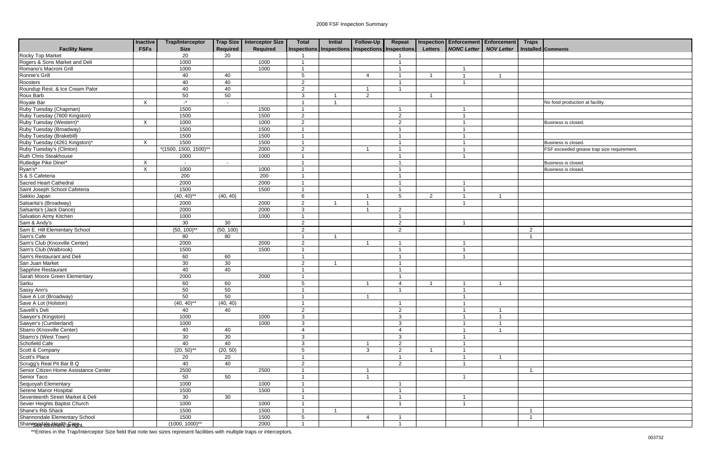|                                                        | <b>Inactive</b> | <b>Trap/Interceptor</b>    |           | Trap Size   Interceptor Size | <b>Total</b>                                          | <b>Initial</b> | <b>Follow-Up</b>       | Repeat                  |                | Inspection Enforcement Enforcement Traps |                         |                |                                           |
|--------------------------------------------------------|-----------------|----------------------------|-----------|------------------------------|-------------------------------------------------------|----------------|------------------------|-------------------------|----------------|------------------------------------------|-------------------------|----------------|-------------------------------------------|
| <b>Facility Name</b>                                   | <b>FSFs</b>     | <b>Size</b>                | Required  | Required                     | Inspections   Inspections   Inspections   Inspections |                |                        |                         | <b>Letters</b> | <b>NONC Letter</b>                       | <b>NOV Letter</b>       |                | Installed Comments                        |
| Rocky Top Market                                       |                 | 20                         | 20        |                              |                                                       |                |                        |                         |                |                                          |                         |                |                                           |
| Rogers & Sons Market and Deli                          |                 | 1000                       |           | 1000                         |                                                       |                |                        |                         |                |                                          |                         |                |                                           |
| Romano's Macroni Grill                                 |                 | 1000                       |           | 1000                         |                                                       |                |                        |                         |                |                                          |                         |                |                                           |
| Ronnie's Grill                                         |                 | 40                         | 40        |                              | 5                                                     |                | $\boldsymbol{\Lambda}$ |                         |                |                                          | $\overline{\mathbf{A}}$ |                |                                           |
| Roosters                                               |                 | 40                         | 40        |                              | $\overline{2}$                                        |                |                        |                         |                |                                          |                         |                |                                           |
| Roundup Rest. & Ice Cream Palor                        |                 | 40                         | 40        |                              | 2                                                     |                | -1                     |                         |                |                                          |                         |                |                                           |
| Roux Barb                                              |                 | 50                         | 50        |                              | $\mathbf{3}$                                          |                | $\overline{2}$         |                         |                |                                          |                         |                |                                           |
| Royale Bar                                             | X               | $\mathbf{r}$               |           |                              |                                                       |                |                        |                         |                |                                          |                         |                | No food production at facility.           |
| Ruby Tuesday (Chapman)                                 |                 | 1500                       |           | 1500                         |                                                       |                |                        |                         |                |                                          |                         |                |                                           |
| Ruby Tuesday (7600 Kingston)                           |                 | 1500                       |           | 1500                         | $\overline{2}$                                        |                |                        | $\overline{2}$          |                |                                          |                         |                |                                           |
| Ruby Tuesday (Western)*                                | X               | 1000                       |           | 1000                         | $\overline{2}$                                        |                |                        | $\overline{2}$          |                |                                          |                         |                | Business is closed.                       |
| Ruby Tuesday (Broadway)                                |                 | 1500                       |           | 1500                         |                                                       |                |                        |                         |                |                                          |                         |                |                                           |
| Ruby Tuesday (Brakebill)                               |                 | 1500                       |           | 1500                         |                                                       |                |                        |                         |                |                                          |                         |                |                                           |
| Ruby Tuesday (4261 Kingston)*                          | $\times$        | 1500                       |           | 1500                         |                                                       |                |                        |                         |                |                                          |                         |                | Business is closed.                       |
| Ruby Tuesday's (Clinton)                               |                 | $*(1500, 1500, 1500)^{**}$ |           | 2000                         | 2                                                     |                |                        |                         |                |                                          |                         |                | FSF exceeded grease trap size requirement |
| Ruth Chris Steakhouse                                  |                 | 1000                       |           | 1000                         |                                                       |                |                        |                         |                |                                          |                         |                |                                           |
| Rutledge Pike Diner*                                   | X               | $\sim$                     |           |                              |                                                       |                |                        |                         |                |                                          |                         |                | Business is closed.                       |
| Ryan's*<br>S & S Cafeteria                             | X               | 1000                       |           | 1000                         |                                                       |                |                        |                         |                |                                          |                         |                | Business is closed.                       |
|                                                        |                 | 200                        |           | 200                          |                                                       |                |                        |                         |                |                                          |                         |                |                                           |
| Sacred Heart Cathedral                                 |                 | 2000                       |           | 2000                         |                                                       |                |                        |                         |                |                                          |                         |                |                                           |
| Saint Joseph School Cafeteria                          |                 | 1500                       |           | 1500                         |                                                       |                |                        |                         |                |                                          |                         |                |                                           |
| Sakkio Japan                                           |                 | $(40, 40)$ **              | (40, 40)  |                              | 6                                                     |                |                        | 5                       | 2              |                                          | -1                      |                |                                           |
| Salsarita's (Broadway)                                 |                 | 2000                       |           | 2000                         | 2                                                     | -1             |                        |                         |                |                                          |                         |                |                                           |
| Salsarita's (Jack Dance)                               |                 | 2000                       |           | 2000                         | $\mathbf{3}$                                          |                | -1                     | 2                       |                |                                          |                         |                |                                           |
| Salvation Army Kitchen                                 |                 | 1000                       |           | 1000                         | - 1                                                   |                |                        |                         |                |                                          |                         |                |                                           |
| Sam & Andy's                                           |                 | 30                         | 30        |                              | 2                                                     |                |                        | $\overline{2}$          |                | $\overline{1}$                           |                         |                |                                           |
| Sam E. Hill Elementary School                          |                 | $(50, 100)$ **             | (50, 100) |                              | 2                                                     |                |                        | $\overline{2}$          |                |                                          |                         | $\overline{2}$ |                                           |
| Sam's Cafe                                             |                 | 80                         | 80        |                              | $\overline{\mathbf{1}}$                               | -1             |                        |                         |                |                                          |                         | -1             |                                           |
| Sam's Club (Knoxville Center)                          |                 | 2000                       |           | 2000                         | 2                                                     |                |                        |                         |                |                                          |                         |                |                                           |
| Sam's Club (Walbrook)                                  |                 | 1500                       |           | 1500                         |                                                       |                |                        |                         |                |                                          |                         |                |                                           |
|                                                        |                 |                            |           |                              |                                                       |                |                        |                         |                |                                          |                         |                |                                           |
| Sam's Restaurant and Deli                              |                 | 60                         | 60        |                              |                                                       |                |                        |                         |                |                                          |                         |                |                                           |
| San Juan Market                                        |                 | 30                         | 30        |                              | 2                                                     |                |                        |                         |                |                                          |                         |                |                                           |
| Sapphire Restaurant<br>Sarah Moore Green Elementary    |                 | 40                         | 40        |                              |                                                       |                |                        |                         |                |                                          |                         |                |                                           |
|                                                        |                 | 2000                       |           | 2000                         |                                                       |                |                        |                         |                |                                          |                         |                |                                           |
|                                                        |                 | 60                         | 60        |                              | 5                                                     |                | -1                     | $\overline{4}$          |                |                                          | -1                      |                |                                           |
| Sarku<br>Sarku<br>Sassy Ann's<br>Save A Lot (Broadway) |                 | 50                         | 50        |                              | $\overline{1}$                                        |                |                        |                         |                |                                          |                         |                |                                           |
|                                                        |                 | 50                         | 50        |                              | $\mathbf{1}$                                          |                | $\mathbf{1}$           |                         |                | $\overline{1}$                           |                         |                |                                           |
| Save A Lot (Holston)                                   |                 | $(40, 40)$ **              | (40, 40)  |                              |                                                       |                |                        |                         |                |                                          |                         |                |                                           |
| Savelli's Deli                                         |                 | 40                         | 40        |                              | $\overline{2}$                                        |                |                        | $\overline{2}$          |                |                                          | $\overline{1}$          |                |                                           |
| Sawyer's (Kingston)                                    |                 | 1000                       |           | 1000                         | $\mathbf{3}$                                          |                |                        | 3                       |                |                                          | $\mathbf{1}$            |                |                                           |
| Sawyer's (Cumberland)                                  |                 | 1000                       |           | 1000                         | $\mathbf{3}$                                          |                |                        | 3                       |                |                                          | -1                      |                |                                           |
| Sbarro (Knoxville Center)                              |                 | 40                         | 40        |                              | $\overline{4}$                                        |                |                        | $\overline{a}$          |                |                                          | $\overline{1}$          |                |                                           |
| Sbarro's (West Town)                                   |                 | 30                         | 30        |                              | $\mathbf{3}$                                          |                |                        | $\mathbf{3}$            |                |                                          |                         |                |                                           |
| Schofield Cafe                                         |                 | 40                         | 40        |                              | $\mathbf{3}$                                          |                | -1                     | $\overline{2}$          |                | $\overline{1}$                           |                         |                |                                           |
| Scott & Company                                        |                 | $(20, 50)$ **              | (20, 50)  |                              | $5\phantom{.0}$                                       |                | 3                      | $\overline{2}$          |                |                                          |                         |                |                                           |
| Scott's Place                                          |                 | 20                         | 20        |                              | $\overline{1}$                                        |                |                        | $\overline{1}$          |                |                                          | $\overline{1}$          |                |                                           |
| Scrugg's Real Pit Bar B Q                              |                 | 40                         | 40        |                              | $\overline{2}$                                        |                |                        | $\overline{2}$          |                |                                          |                         |                |                                           |
| Senior Citizen Home Assistance Center                  |                 | 2500                       |           | 2500                         | $\overline{1}$                                        |                | -1                     |                         |                |                                          |                         | - 1            |                                           |
| Senior Taco                                            |                 | 50                         | 50        |                              |                                                       |                |                        |                         |                |                                          |                         |                |                                           |
|                                                        |                 | 1000                       |           | 1000                         | $\overline{1}$                                        |                |                        |                         |                |                                          |                         |                |                                           |
| Sequoyah Elementary<br>Serene Manor Hospital           |                 | 1500                       |           | 1500                         | $\overline{1}$                                        |                |                        |                         |                |                                          |                         |                |                                           |
| Seventeenth Street Market & Deli                       |                 | 30                         | 30        |                              | $\overline{1}$                                        |                |                        | $\overline{1}$          |                | $\overline{A}$                           |                         |                |                                           |
| Sevier Heights Baptist Church                          |                 | 1000                       |           | 1000                         | $\overline{1}$                                        |                |                        | $\overline{1}$          |                |                                          |                         |                |                                           |
| Shane's Rib Shack                                      |                 | 1500                       |           | 1500                         | $\overline{1}$                                        | $\overline{1}$ |                        |                         |                |                                          |                         |                |                                           |
| Shannondale Elementary School                          |                 | 1500                       |           | 1500                         | $5\phantom{.0}$                                       |                | $\overline{4}$         |                         |                |                                          |                         | -1             |                                           |
| ShanrgredalenHRakh fraunt.                             |                 | $(1000, 1000)^{**}$        |           | 2000                         | $\overline{1}$                                        |                |                        | $\overline{\mathbf{1}}$ |                |                                          |                         |                |                                           |
|                                                        |                 |                            |           |                              |                                                       |                |                        |                         |                |                                          |                         |                |                                           |

| <b>Traps</b>   |                                            |
|----------------|--------------------------------------------|
|                | Installed Comments                         |
|                |                                            |
|                |                                            |
|                |                                            |
|                |                                            |
|                |                                            |
|                |                                            |
|                | No food production at facility.            |
|                |                                            |
|                |                                            |
|                | Business is closed.                        |
|                |                                            |
|                |                                            |
|                | Business is closed.                        |
|                | FSF exceeded grease trap size requirement. |
|                | Business is closed.                        |
|                | Business is closed.                        |
|                |                                            |
|                |                                            |
|                |                                            |
|                |                                            |
|                |                                            |
|                |                                            |
|                |                                            |
| $\overline{c}$ |                                            |
| $\mathbf{1}$   |                                            |
|                |                                            |
|                |                                            |
|                |                                            |
|                |                                            |
|                |                                            |
|                |                                            |
|                |                                            |
|                |                                            |
|                |                                            |
|                |                                            |
|                |                                            |
|                |                                            |
|                |                                            |
|                |                                            |
|                |                                            |
|                |                                            |
|                |                                            |
| 1              |                                            |
|                |                                            |
|                |                                            |
|                |                                            |
|                |                                            |
| 1              |                                            |
| $\overline{1}$ |                                            |
|                |                                            |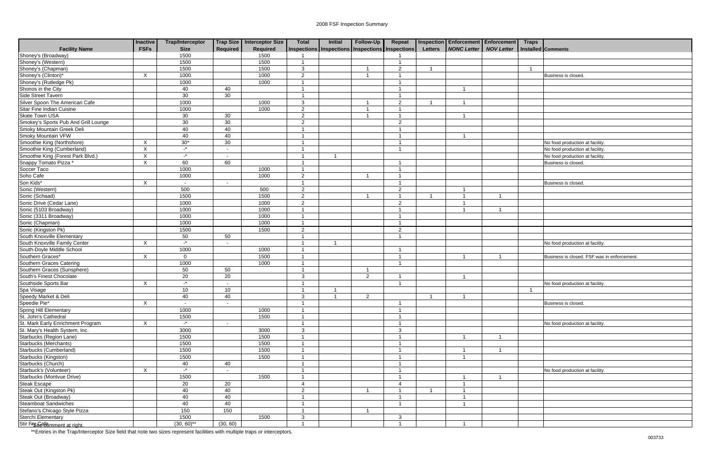|                                                                                            | <b>Inactive</b>           | <b>Trap/Interceptor</b> |                          | Trap Size Interceptor Size | <b>Total</b>              | <b>Initial</b>                                        | Follow-Up      | Repeat         |                         | <b>Inspection Enforcement Enforcement</b> |                         | <b>Traps</b> |                                 |
|--------------------------------------------------------------------------------------------|---------------------------|-------------------------|--------------------------|----------------------------|---------------------------|-------------------------------------------------------|----------------|----------------|-------------------------|-------------------------------------------|-------------------------|--------------|---------------------------------|
| <b>Facility Name</b>                                                                       | <b>FSFs</b>               | <b>Size</b>             | <b>Required</b>          | <b>Required</b>            |                           | Inspections   Inspections   Inspections   Inspections |                |                | <b>Letters</b>          | <b>NONC Letter   NOV Letter</b>           |                         |              | Installed Comments              |
| Shoney's (Broadway)                                                                        |                           | 1500                    |                          | 1500                       |                           |                                                       |                |                |                         |                                           |                         |              |                                 |
| Shoney's (Western)                                                                         |                           | 1500                    |                          | 1500                       | $\overline{\mathbf{1}}$   |                                                       |                |                |                         |                                           |                         |              |                                 |
| Shoney's (Chapman)                                                                         |                           | 1500                    |                          | 1500                       | $\mathbf{3}$              |                                                       |                | 2              | $\overline{\mathbf{A}}$ |                                           |                         | -1           |                                 |
| Shoney's (Clinton)*                                                                        | $\mathsf{X}$              | 1000                    |                          | 1000                       | 2                         |                                                       |                |                |                         |                                           |                         |              | Business is closed              |
| Shoney's (Rutledge Pk)                                                                     |                           | 1000                    |                          | 1000                       |                           |                                                       |                |                |                         |                                           |                         |              |                                 |
| Shonos in the City                                                                         |                           | 40                      | 40                       |                            |                           |                                                       |                |                |                         |                                           |                         |              |                                 |
| Side Street Tavern                                                                         |                           | 30                      | 30                       |                            |                           |                                                       |                |                |                         |                                           |                         |              |                                 |
| Silver Spoon The American Cafe                                                             |                           | 1000                    |                          | 1000                       | 3                         |                                                       |                | $\overline{2}$ |                         |                                           |                         |              |                                 |
| Sitar Fine Indian Cuisine                                                                  |                           | 1000                    |                          | 1000                       | $\overline{2}$            |                                                       |                |                |                         |                                           |                         |              |                                 |
| <b>Skate Town USA</b>                                                                      |                           | 30                      | 30                       |                            | $\overline{2}$            |                                                       | -1             |                |                         | $\overline{\mathbf{1}}$                   |                         |              |                                 |
| Smokey's Sports Pub And Grill Lounge                                                       |                           | 30                      | 30                       |                            | $\overline{2}$            |                                                       |                | $\overline{2}$ |                         |                                           |                         |              |                                 |
| Smoky Mountain Greek Deli                                                                  |                           | 40                      | 40                       |                            |                           |                                                       |                |                |                         |                                           |                         |              |                                 |
| Smoky Mountain VFW                                                                         |                           | 40                      | 40                       |                            |                           |                                                       |                |                |                         |                                           |                         |              |                                 |
| Smoothie King (Northshore)                                                                 | $\times$                  | $30*$                   | 30                       |                            | -1                        |                                                       |                |                |                         |                                           |                         |              | No food production at facility  |
| Smoothie King (Cumberland)                                                                 | $\times$                  | $\mathbf{L}^{\star}$    | $\overline{\phantom{a}}$ |                            |                           |                                                       |                |                |                         |                                           |                         |              | No food production at facility. |
| Smoothie King (Forest Park Blvd.)                                                          | $\pmb{\times}$            | $\mathbf{L}^{\star}$    |                          |                            |                           |                                                       |                |                |                         |                                           |                         |              | No food production at facility  |
| Snappy Tomato Pizza *                                                                      | $\overline{X}$            | 60                      | 60                       |                            |                           |                                                       |                |                |                         |                                           |                         |              | Business is closed.             |
| Soccer Taco                                                                                |                           | 1000                    |                          | 1000                       |                           |                                                       |                |                |                         |                                           |                         |              |                                 |
| Soho Cafe                                                                                  |                           | 1000                    |                          | 1000                       | $\overline{2}$            |                                                       |                |                |                         |                                           |                         |              |                                 |
| Son Kids*                                                                                  | $\sf X$                   | $\sim$                  |                          |                            | $\overline{1}$            |                                                       |                |                |                         |                                           |                         |              | Business is closed.             |
| Sonic (Western)                                                                            |                           | 500                     |                          | 500                        | $\overline{2}$            |                                                       |                | $\overline{2}$ |                         |                                           |                         |              |                                 |
| Sonic (Schaad)                                                                             |                           | 1500                    |                          | 1500                       | $\overline{2}$            |                                                       | -1             |                | - 1                     |                                           | $\overline{\mathbf{1}}$ |              |                                 |
| Sonic Drive (Cedar Lane)                                                                   |                           | 1000                    |                          | 1000                       | $\overline{2}$            |                                                       |                | $\overline{2}$ |                         |                                           |                         |              |                                 |
| Sonic (5103 Broadway)                                                                      |                           | 1000                    |                          | 1000                       |                           |                                                       |                |                |                         |                                           |                         |              |                                 |
| Sonic (3311 Broadway)                                                                      |                           | 1000                    |                          | 1000                       | $\overline{\mathbf{1}}$   |                                                       |                |                |                         |                                           |                         |              |                                 |
| Sonic (Chapman)                                                                            |                           | 1000                    |                          | 1000                       | -1                        |                                                       |                | - 1            |                         |                                           |                         |              |                                 |
| Sonic (Kingston Pk)                                                                        |                           | 1500                    |                          | 1500                       | $\overline{2}$            |                                                       |                | $\overline{2}$ |                         |                                           |                         |              |                                 |
| South Knoxville Elementary                                                                 |                           | 50                      | 50                       |                            |                           |                                                       |                |                |                         |                                           |                         |              |                                 |
| South Knoxville Family Center                                                              | $\sf X$                   | $\mathbf{r}$            |                          |                            |                           |                                                       |                |                |                         |                                           |                         |              | No food production at facility  |
| South-Doyle Middle School                                                                  |                           | 1000                    |                          | 1000                       |                           |                                                       |                |                |                         |                                           |                         |              |                                 |
| Southern Graces*                                                                           | X                         | $\mathbf 0$             |                          | 1500                       |                           |                                                       |                |                |                         |                                           |                         |              | Business is closed. FSF was     |
| Southern Graces Catering                                                                   |                           | 1000                    |                          | 1000                       | $\overline{\mathbf{1}}$   |                                                       |                |                |                         |                                           |                         |              |                                 |
| Southern Graces (Sunsphere)                                                                |                           | 50                      | 50                       |                            | $\overline{\mathbf{1}}$   |                                                       |                |                |                         |                                           |                         |              |                                 |
| South's Finest Chocolate                                                                   |                           | 20                      | 20                       |                            | $\mathbf{3}$              |                                                       | $\overline{2}$ |                |                         |                                           |                         |              |                                 |
| Southside Sports Bar                                                                       | X                         | $\mathbf{L}^*$          |                          |                            | -1                        |                                                       |                | - 1            |                         |                                           |                         |              | No food production at facility  |
|                                                                                            |                           | 10                      | 10                       |                            | -1                        |                                                       |                |                |                         |                                           |                         | - 1          |                                 |
| Spa Visage<br>Spa Visage<br>Speedy Market & Deli<br>Speedie Pie*<br>Spring Hill Elementary |                           | 40                      | 40                       |                            | $\ensuremath{\mathsf{3}}$ | 1                                                     | $\overline{c}$ |                | $\overline{1}$          | $\overline{1}$                            |                         |              |                                 |
|                                                                                            | $\overline{X}$            | $\sim$                  | $\sim$                   |                            |                           |                                                       |                |                |                         |                                           |                         |              | Business is closed.             |
|                                                                                            |                           | 1000                    |                          | 1000                       | -1                        |                                                       |                |                |                         |                                           |                         |              |                                 |
| St. John's Cathedral                                                                       |                           | 1500                    |                          | 1500                       |                           |                                                       |                |                |                         |                                           |                         |              |                                 |
| St. Mark Early Enrichment Program                                                          | $\mathsf{X}$              | $\mathbb{L}^*$          | $\overline{\phantom{a}}$ |                            |                           |                                                       |                |                |                         |                                           |                         |              | No food production at facility  |
| St. Mary's Health System, Inc.                                                             |                           | 3000                    |                          | 3000                       | 3                         |                                                       |                | $\mathbf{3}$   |                         |                                           |                         |              |                                 |
| Starbucks (Region Lane)                                                                    |                           | 1500                    |                          | 1500                       |                           |                                                       |                |                |                         |                                           | -1                      |              |                                 |
| Starbucks (Merchants)                                                                      |                           | 1500                    |                          | 1500                       | -1                        |                                                       |                |                |                         |                                           |                         |              |                                 |
|                                                                                            |                           | 1500                    |                          | 1500                       | -1                        |                                                       |                |                |                         |                                           |                         |              |                                 |
| Starbucks (Cumberland)                                                                     |                           | 1500                    |                          | 1500                       | -1                        |                                                       |                |                |                         |                                           |                         |              |                                 |
| Starbucks (Kingston)                                                                       |                           |                         |                          |                            |                           |                                                       |                |                |                         |                                           |                         |              |                                 |
| Starbucks (Church)                                                                         |                           | 40<br>$\mathbf{r}$      | 40                       |                            |                           |                                                       |                |                |                         |                                           |                         |              |                                 |
| Starbuck's (Volunteer)                                                                     | $\boldsymbol{\mathsf{X}}$ |                         |                          |                            |                           |                                                       |                |                |                         |                                           |                         |              | No food production at facility  |
| Starbucks (Montvue Drive)<br>Steak Escape                                                  |                           | 1500                    |                          | 1500                       |                           |                                                       |                |                |                         |                                           |                         |              |                                 |
|                                                                                            |                           | $\overline{20}$         | 20                       |                            | $\overline{4}$            |                                                       |                | $\overline{4}$ |                         |                                           |                         |              |                                 |
| Steak Out (Kingston Pk)                                                                    |                           | 40                      | 40                       |                            | $\overline{2}$            |                                                       |                |                | $\overline{\mathbf{1}}$ |                                           |                         |              |                                 |
| Steak Out (Broadway)                                                                       |                           | 40                      | 40                       |                            |                           |                                                       |                |                |                         |                                           |                         |              |                                 |
| Steamboat Sandwiches                                                                       |                           | 40                      | 40                       |                            |                           |                                                       |                |                |                         |                                           |                         |              |                                 |
| Stefano's Chicago Style Pizza                                                              |                           | 150                     | 150                      |                            |                           |                                                       |                |                |                         |                                           |                         |              |                                 |
| Sterchi Elementary                                                                         |                           | 1500                    |                          | 1500                       | 3                         |                                                       |                | 3              |                         |                                           |                         |              |                                 |
| Stir Frg Catomment at right.                                                               |                           | $(30, 60)$ **           | (30, 60)                 |                            | -1                        |                                                       |                |                |                         |                                           |                         |              |                                 |

| cement<br>Letter        | <b>Traps</b> | Installed Comments                                                 |
|-------------------------|--------------|--------------------------------------------------------------------|
|                         |              |                                                                    |
|                         | $\mathbf{1}$ |                                                                    |
|                         |              | Business is closed.                                                |
|                         |              |                                                                    |
|                         |              |                                                                    |
|                         |              |                                                                    |
|                         |              |                                                                    |
|                         |              |                                                                    |
|                         |              |                                                                    |
|                         |              |                                                                    |
|                         |              |                                                                    |
|                         |              |                                                                    |
|                         |              | No food production at facility.                                    |
|                         |              | No food production at facility.<br>No food production at facility. |
|                         |              | Business is closed.                                                |
|                         |              |                                                                    |
|                         |              |                                                                    |
|                         |              | Business is closed.                                                |
|                         |              |                                                                    |
| $\overline{1}$          |              |                                                                    |
|                         |              |                                                                    |
| $\overline{\mathbf{1}}$ |              |                                                                    |
|                         |              |                                                                    |
|                         |              |                                                                    |
|                         |              |                                                                    |
|                         |              | No food production at facility.                                    |
|                         |              |                                                                    |
| $\overline{1}$          |              | Business is closed. FSF was in enforcement.                        |
|                         |              |                                                                    |
|                         |              |                                                                    |
|                         |              |                                                                    |
|                         |              | No food production at facility.                                    |
|                         | 1            |                                                                    |
|                         |              |                                                                    |
|                         |              | Business is closed.                                                |
|                         |              |                                                                    |
|                         |              |                                                                    |
|                         |              | No food production at facility.                                    |
| $\overline{1}$          |              |                                                                    |
|                         |              |                                                                    |
| $\overline{1}$          |              |                                                                    |
|                         |              |                                                                    |
|                         |              |                                                                    |
|                         |              | No food production at facility.                                    |
| $\overline{\mathbf{1}}$ |              |                                                                    |
|                         |              |                                                                    |
|                         |              |                                                                    |
|                         |              |                                                                    |
|                         |              |                                                                    |
|                         |              |                                                                    |
|                         |              |                                                                    |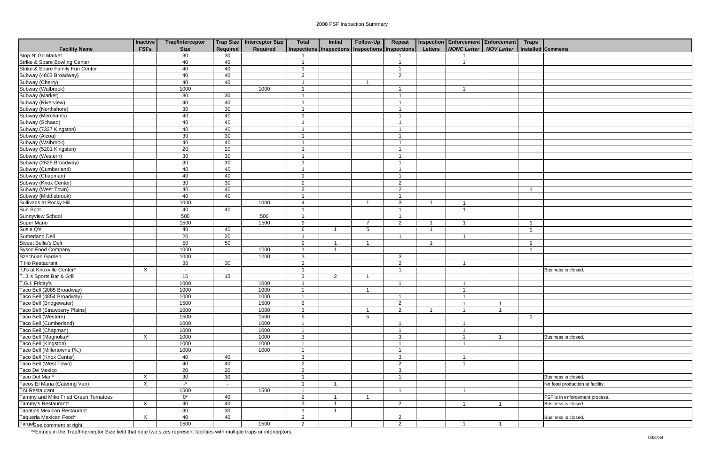|                                      | <b>Inactive</b> | <b>Trap/Interceptor</b> |                          | Trap Size   Interceptor Size | <b>Total</b>            | <b>Initial</b>       | Follow-Up      | Repeat                                          |                         | <b>Inspection Enforcement Enforcement</b> |                | <b>Traps</b>            |                                 |
|--------------------------------------|-----------------|-------------------------|--------------------------|------------------------------|-------------------------|----------------------|----------------|-------------------------------------------------|-------------------------|-------------------------------------------|----------------|-------------------------|---------------------------------|
| <b>Facility Name</b>                 | <b>FSFs</b>     | <b>Size</b>             | Required                 | Required                     |                         |                      |                | Inspections Inspections Inspections Inspections | Letters                 | <b>NONC Letter   NOV Letter</b>           |                |                         | Installed Comments              |
| Stop N' Go Market                    |                 | 30                      | 30                       |                              |                         |                      |                |                                                 |                         |                                           |                |                         |                                 |
| Strike & Spare Bowling Center        |                 | 40                      | 40                       |                              |                         |                      |                | -1                                              |                         |                                           |                |                         |                                 |
| Strike & Spare Family Fun Center     |                 | 40                      | 40                       |                              |                         |                      |                | $\overline{1}$                                  |                         |                                           |                |                         |                                 |
| Subway (4803 Broadway)               |                 | 40                      | 40                       |                              | $\overline{2}$          |                      |                | $\overline{2}$                                  |                         |                                           |                |                         |                                 |
| Subway (Cherry)                      |                 | 40                      | 40                       |                              | -1                      |                      | -1             |                                                 |                         |                                           |                |                         |                                 |
| Subway (Walbrook)                    |                 | 1000                    |                          | 1000                         |                         |                      |                | -1                                              |                         |                                           |                |                         |                                 |
| Subway (Market)                      |                 | 30                      | 30                       |                              |                         |                      |                | -1                                              |                         |                                           |                |                         |                                 |
| Subway (Riverview)                   |                 | 40                      | 40                       |                              |                         |                      |                | -1                                              |                         |                                           |                |                         |                                 |
| Subway (Northshore)                  |                 | 30                      | 30                       |                              |                         |                      |                | $\overline{\mathbf{1}}$                         |                         |                                           |                |                         |                                 |
| Subway (Merchants)                   |                 | 40                      | 40                       |                              |                         |                      |                | $\overline{\mathbf{1}}$                         |                         |                                           |                |                         |                                 |
| Subway (Schaad)                      |                 | 40                      | 40                       |                              |                         |                      |                | $\overline{1}$                                  |                         |                                           |                |                         |                                 |
| Subway (7327 Kingston)               |                 | 40                      | 40                       |                              |                         |                      |                | $\overline{1}$                                  |                         |                                           |                |                         |                                 |
| Subway (Alcoa)                       |                 | 30                      | 30                       |                              |                         |                      |                | $\mathbf 1$                                     |                         |                                           |                |                         |                                 |
| Subway (Walbrook)                    |                 | 40                      | 40                       |                              |                         |                      |                | $\mathbf{1}$                                    |                         |                                           |                |                         |                                 |
| Subway (5201 Kingston)               |                 | 20                      | 20                       |                              |                         |                      |                | -1                                              |                         |                                           |                |                         |                                 |
| Subway (Western)                     |                 | 30                      | $\overline{30}$          |                              |                         |                      |                | $\overline{1}$                                  |                         |                                           |                |                         |                                 |
| Subway (2625 Broadway)               |                 | 30                      | 30                       |                              |                         |                      |                | $\overline{1}$                                  |                         |                                           |                |                         |                                 |
| Subway (Cumberland)                  |                 | 40                      | 40                       |                              | -1                      |                      |                | $\overline{1}$                                  |                         |                                           |                |                         |                                 |
| Subway (Chapman)                     |                 | 40                      | 40                       |                              |                         |                      |                | $\overline{1}$                                  |                         |                                           |                |                         |                                 |
| Subway (Knox Center)                 |                 | 30                      | 30                       |                              | $\overline{2}$          |                      |                | $\overline{2}$                                  |                         |                                           |                |                         |                                 |
| Subway (West Town)                   |                 | 40                      | 40                       |                              | $\overline{2}$          |                      |                | $\overline{2}$                                  |                         |                                           |                | $\overline{\mathbf{1}}$ |                                 |
| Subway (Middlebrook)                 |                 | 40                      | 40                       |                              | -4                      |                      |                | $\overline{1}$                                  |                         |                                           |                |                         |                                 |
| Sullivans at Rocky Hill              |                 | 1000                    |                          | 1000                         | 4                       |                      | -1             | 3                                               | -1                      |                                           |                |                         |                                 |
| Sun Spot                             |                 | 40                      | 40                       |                              |                         |                      |                |                                                 |                         |                                           |                |                         |                                 |
| Sunnyview School                     |                 | 500                     |                          | 500                          |                         |                      |                | $\overline{1}$                                  |                         |                                           |                |                         |                                 |
| <b>Super Mario</b>                   |                 | 1500                    |                          | 1500                         | 9                       |                      | $\overline{7}$ | 2                                               | $\overline{\mathbf{1}}$ |                                           |                | -1                      |                                 |
| Susie Q's                            |                 | 40                      | 40                       |                              | 6                       |                      | 5              |                                                 | $\overline{\mathbf{1}}$ |                                           |                | $\overline{\mathbf{1}}$ |                                 |
| Sutherland Deli                      |                 | 20                      | 20                       |                              | $\overline{\mathbf{A}}$ |                      |                | -1                                              |                         |                                           |                |                         |                                 |
| Sweet Bellie's Deli                  |                 | 50                      | 50                       |                              | $\overline{2}$          |                      | -1             |                                                 | $\overline{\mathbf{1}}$ |                                           |                |                         |                                 |
| Sysco Food Company                   |                 | 1000                    |                          | 1000                         | $\overline{\mathbf{1}}$ | $\overline{1}$       |                |                                                 |                         |                                           |                |                         |                                 |
| Szechuan Garden                      |                 | 1000                    |                          | 1000                         | $\mathbf{3}$            |                      |                | $\mathbf{3}$                                    |                         |                                           |                |                         |                                 |
| T Ho Restaurant                      |                 | 30                      | 30                       |                              | $\overline{2}$          |                      |                | $\overline{2}$                                  |                         |                                           |                |                         |                                 |
| TJ's at Knoxville Center*            | X               | $\sim$                  |                          |                              |                         |                      |                | $\overline{1}$                                  |                         |                                           |                |                         | Business is closed.             |
| T. J.'s Sports Bar & Grill           |                 | 15                      | 15                       |                              | $\overline{3}$          | $\overline{2}$       |                |                                                 |                         |                                           |                |                         |                                 |
| T.G.I. Friday's                      |                 | 1000                    |                          | 1000                         |                         |                      |                | -1                                              |                         |                                           |                |                         |                                 |
| Taco Bell (2085 Broadway)            |                 | 1000                    |                          | 1000                         | -1                      |                      |                |                                                 |                         |                                           |                |                         |                                 |
| Taco Bell (4854 Broadway)            |                 | 1000                    |                          | 1000                         | $\overline{1}$          |                      |                | $\mathbf{1}$                                    |                         | 1                                         |                |                         |                                 |
| Taco Bell (Bridgewater)              |                 | 1500                    |                          | 1500                         | $\overline{2}$          |                      |                | $\overline{2}$                                  |                         |                                           |                |                         |                                 |
| <b>Taco Bell (Strawberry Plains)</b> |                 | 1000                    |                          | 1000                         | 3                       |                      | -1             | $\overline{2}$                                  | - 1                     | $\overline{1}$                            | $\overline{1}$ |                         |                                 |
| Taco Bell (Western)                  |                 | 1500                    |                          | 1500                         | 5                       |                      | 5              |                                                 |                         |                                           |                |                         |                                 |
| Taco Bell (Cumberland)               |                 | 1000                    |                          | 1000                         | -1                      |                      |                | $\overline{\mathbf{1}}$                         |                         |                                           |                |                         |                                 |
| Taco Bell (Chapman)                  |                 | 1000                    |                          | 1000                         | -1                      |                      |                | $\overline{1}$                                  |                         | -1                                        |                |                         |                                 |
| Taco Bell (Magnolia)*                | $\mathsf{X}$    | 1000                    |                          | 1000                         | $\mathbf{3}$            |                      |                | $\mathbf{3}$                                    |                         | $\overline{1}$                            | $\overline{1}$ |                         | Business is closed.             |
| Taco Bell (Kingston)                 |                 | 1000                    |                          | 1000                         |                         |                      |                | $\overline{1}$                                  |                         |                                           |                |                         |                                 |
| Taco Bell (Millertowne Pk.)          |                 | 1000                    |                          | 1000                         |                         |                      |                | $\mathbf{1}$                                    |                         |                                           |                |                         |                                 |
| Taco Bell (Knox Center)              |                 | 40                      | 40                       |                              | $\mathbf{3}$            |                      |                | $\mathbf{3}$                                    |                         |                                           |                |                         |                                 |
| Taco Bell (West Town)                |                 | 40                      | 40                       |                              | $\overline{2}$          |                      |                | $\overline{2}$                                  |                         |                                           |                |                         |                                 |
| Taco De Mexico                       |                 | 20                      | 20                       |                              | $\mathbf{3}$            |                      |                | $\mathbf{3}$                                    |                         |                                           |                |                         |                                 |
| Taco Del Mar*                        | X               | 30                      | 30                       |                              |                         |                      |                | $\overline{1}$                                  |                         |                                           |                |                         | Business is closed.             |
| Tacos El Maria (Catering Van)        | X               | $\cdot^*$               | $\overline{\phantom{a}}$ |                              |                         |                      |                |                                                 |                         |                                           |                |                         | No food production at facility. |
| <b>TAI Restaurant</b>                |                 | 1500                    |                          | 1500                         | -1                      |                      |                | $\overline{1}$                                  |                         | $\overline{1}$                            |                |                         |                                 |
| Tammy and Mike Fried Green Tomatoes  |                 | $0^*$                   | 40                       |                              | $\overline{2}$          |                      |                |                                                 |                         |                                           |                |                         | FSF is in enforcement process.  |
| Tammy's Restaurant*                  | $\sf X$         | 40                      | 40                       |                              | $\mathbf{3}$            | $\overline{1}$       |                | $\overline{2}$                                  |                         | $\overline{\mathbf{A}}$                   |                |                         | Business is closed.             |
| <b>Tapatios Mexican Restaurant</b>   |                 | 30                      | 30                       |                              | $\overline{ }$          | $\blacktriangleleft$ |                |                                                 |                         |                                           |                |                         |                                 |
| Taqueria Mexican Food*               | $\mathsf{X}$    | 40                      | 40                       |                              | $\overline{2}$          |                      |                | $\overline{2}$                                  |                         |                                           |                |                         | Business is closed.             |
| Targesee comment at right.           |                 | 1500                    |                          | 1500                         | $\overline{2}$          |                      |                | $\overline{2}$                                  |                         |                                           |                |                         |                                 |

| <b>Traps</b> |                                 |
|--------------|---------------------------------|
|              | <b>Installed Comments</b>       |
|              |                                 |
|              |                                 |
|              |                                 |
|              |                                 |
|              |                                 |
|              |                                 |
|              |                                 |
|              |                                 |
|              |                                 |
|              |                                 |
|              |                                 |
|              |                                 |
|              |                                 |
|              |                                 |
|              |                                 |
|              |                                 |
|              |                                 |
|              |                                 |
|              |                                 |
| $\mathbf{1}$ |                                 |
|              |                                 |
|              |                                 |
|              |                                 |
| $\mathbf{1}$ |                                 |
| $\mathbf{1}$ |                                 |
|              |                                 |
| $\mathbf{1}$ |                                 |
| $\mathbf{1}$ |                                 |
|              |                                 |
|              |                                 |
|              | Business is closed.             |
|              |                                 |
|              |                                 |
|              |                                 |
|              |                                 |
|              |                                 |
| $\mathbf{1}$ |                                 |
|              |                                 |
|              |                                 |
|              | Business is closed.             |
|              |                                 |
|              |                                 |
|              |                                 |
|              |                                 |
|              | Business is closed.             |
|              | No food production at facility. |
|              |                                 |
|              | FSF is in enforcement process.  |
|              | Business is closed.             |
|              |                                 |
|              | Business is closed.             |
|              |                                 |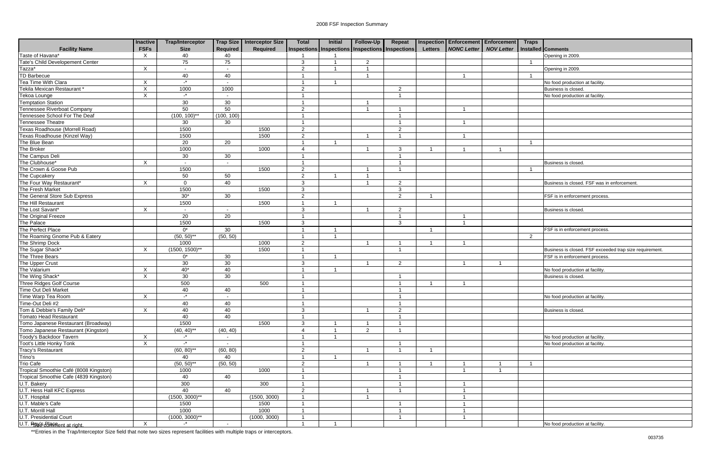|                                        | <b>Inactive</b>           | <b>Trap/Interceptor</b> |                          | Trap Size   Interceptor Size | <b>Total</b>   | Initial | Follow-Up                                             | Repeat         |                | Inspection Enforcement Enforcement | <b>Traps</b>   |                                                         |
|----------------------------------------|---------------------------|-------------------------|--------------------------|------------------------------|----------------|---------|-------------------------------------------------------|----------------|----------------|------------------------------------|----------------|---------------------------------------------------------|
| <b>Facility Name</b>                   | <b>FSFs</b>               | <b>Size</b>             | Required                 | Required                     |                |         | Inspections   Inspections   Inspections   Inspections |                | <b>Letters</b> | NONC Letter NOV Letter             |                | Installed Comments                                      |
| Taste of Havana*                       | $\mathsf{X}$              | 40                      | 40                       |                              |                |         |                                                       |                |                |                                    |                | Opening in 2009.                                        |
| Tate's Child Developement Center       |                           | 75                      | 75                       |                              | 3              |         | $\overline{2}$                                        |                |                |                                    |                |                                                         |
| Tazza*                                 | $\mathsf{X}$              | $\sim$                  | $\overline{\phantom{a}}$ |                              | 2              |         |                                                       |                |                |                                    |                | Opening in 2009                                         |
| <b>TD Barbecue</b>                     |                           | 40                      | 40                       |                              |                |         |                                                       |                |                |                                    |                |                                                         |
| Tea Time With Clara                    | $\times$                  | $-$ *                   | $\sim$                   |                              | - 1            |         |                                                       |                |                |                                    |                | No food production at facility.                         |
| Tekila Mexican Restaurant *            | $\mathsf{X}$              | 1000                    | 1000                     |                              | 2              |         |                                                       | $\mathcal{P}$  |                |                                    |                | Business is closed.                                     |
| Tekoa Lounge                           | $\boldsymbol{\mathsf{X}}$ | $\mathbf{L}^*$          |                          |                              |                |         |                                                       | - 1            |                |                                    |                | No food production at facility.                         |
| <b>Temptation Station</b>              |                           | 30                      | 30                       |                              |                |         |                                                       |                |                |                                    |                |                                                         |
| Tennessee Riverboat Company            |                           | 50                      | 50                       |                              | 2              |         |                                                       |                |                |                                    |                |                                                         |
| Tennessee School For The Deaf          |                           | $(100, 100)^{**}$       | (100, 100)               |                              |                |         |                                                       |                |                |                                    |                |                                                         |
| Tennessee Theatre                      |                           | 30                      | 30                       |                              |                |         |                                                       |                |                |                                    |                |                                                         |
| Texas Roadhouse (Morrell Road)         |                           | 1500                    |                          | 1500                         | 2              |         |                                                       | $\overline{2}$ |                |                                    |                |                                                         |
| Texas Roadhouse (Kinzel Way)           |                           | 1500                    |                          | 1500                         | 2              |         |                                                       |                |                |                                    |                |                                                         |
| The Blue Bean                          |                           | 20                      | 20                       |                              |                |         |                                                       |                |                |                                    | - 1            |                                                         |
| The Broker                             |                           | 1000                    |                          | 1000                         |                |         |                                                       | 3              |                |                                    |                |                                                         |
| The Campus Deli                        |                           | 30                      | 30                       |                              |                |         |                                                       |                |                |                                    |                |                                                         |
| The Clubhouse*                         | $\times$                  | $\sim$                  | $\sim$                   |                              |                |         |                                                       | -1             |                |                                    |                | Business is closed.                                     |
| The Crown & Goose Pub                  |                           | 1500                    |                          | 1500                         | 2              |         |                                                       | - 1            |                |                                    |                |                                                         |
| The Cupcakery                          |                           | 50                      | 50                       |                              | 2              |         |                                                       |                |                |                                    |                |                                                         |
| The Four Way Restaurant*               | X                         | $\mathbf 0$             | 40                       |                              | 3              |         |                                                       | $\overline{2}$ |                |                                    |                | Business is closed. FSF was in enforcement              |
| The Fresh Market                       |                           | 1500                    |                          | 1500                         | 3              |         |                                                       | 3              |                |                                    |                |                                                         |
| The General Store Sub Express          |                           | $30*$                   | 30                       |                              | 2              |         |                                                       | $\mathcal{P}$  |                |                                    |                | FSF is in enforcement process.                          |
| The Hill Restaurant                    |                           | 1500                    |                          | 1500                         |                |         |                                                       |                |                |                                    |                |                                                         |
| The Lost Savant*                       | $\sf X$                   |                         |                          |                              | 3              |         |                                                       | $\mathcal{P}$  |                |                                    |                | Business is closed                                      |
| The Original Freeze                    |                           | $\overline{20}$         | 20                       |                              |                |         |                                                       | -1             |                |                                    |                |                                                         |
| The Palace                             |                           | 1500                    |                          | 1500                         | 3              |         |                                                       | 3              |                |                                    |                |                                                         |
| The Perfect Place                      |                           | $0^*$                   | 30                       |                              |                |         |                                                       |                | - 1            |                                    |                | FSF is in enforcement process.                          |
| The Roaming Gnome Pub & Eatery         |                           | $(50, 50)$ **           | (50, 50)                 |                              |                |         |                                                       |                |                |                                    | $\overline{2}$ |                                                         |
| The Shrimp Dock                        |                           | 1000                    |                          | 1000                         | 2              |         |                                                       | -1             |                |                                    |                |                                                         |
| The Sugar Shack*                       | $\mathsf{X}$              | $(1500, 1500)^{**}$     |                          | 1500                         |                |         |                                                       | - 1            |                |                                    |                | Business is closed. FSF exceeded trap size requirement. |
| The Three Bears                        |                           | $0^*$                   | 30                       |                              |                |         |                                                       |                |                |                                    |                | FSF is in enforcement process.                          |
| The Upper Crust                        |                           | 30                      | 30                       |                              | 3              |         |                                                       | $\mathcal{P}$  |                |                                    |                |                                                         |
| The Valarium                           | X                         | $40*$                   | 40                       |                              |                |         |                                                       |                |                |                                    |                | No food production at facility.                         |
| The Wing Shack*                        | $\mathsf{X}$              | 30                      | 30                       |                              |                |         |                                                       | -1             |                |                                    |                | Business is closed.                                     |
| <b>Three Ridges Golf Course</b>        |                           | 500                     |                          | 500                          |                |         |                                                       | -1             |                |                                    |                |                                                         |
| Time Out Deli Market                   |                           | 40                      | 40                       |                              |                |         |                                                       |                |                |                                    |                |                                                         |
| Time Warp Tea Room                     | X                         | $-$ *                   | $\sim$                   |                              | $\overline{A}$ |         |                                                       | $\overline{1}$ |                |                                    |                | No food production at facility.                         |
| Time-Out Deli #2                       |                           | 40                      | 40                       |                              |                |         |                                                       |                |                |                                    |                |                                                         |
| Tom & Debbie's Family Deli*            | X                         | 40                      | 40                       |                              | 3              |         |                                                       | 2              |                |                                    |                | Business is closed.                                     |
| <b>Tomato Head Restaurant</b>          |                           |                         | 40                       |                              |                |         |                                                       |                |                |                                    |                |                                                         |
| Tomo Japanese Restaurant (Broadway)    |                           | 40                      |                          |                              |                |         |                                                       |                |                |                                    |                |                                                         |
|                                        |                           | 1500                    |                          | 1500                         | 3              |         |                                                       |                |                |                                    |                |                                                         |
| Tomo Japanese Restaurant (Kingston)    |                           | $(40, 40)$ **           | (40, 40)                 |                              |                |         | $\overline{2}$                                        |                |                |                                    |                |                                                         |
| Toody's Backdoor Tavern                | X                         | $-$ *                   | $\sim$                   |                              |                |         |                                                       |                |                |                                    |                | No food production at facility.                         |
| Toot's Little Honky Tonk               | X                         | $-$ *                   | $\sim$                   |                              |                |         |                                                       | -1             |                |                                    |                | No food production at facility.                         |
| Tracy's Restaurant                     |                           | $(60, 80)$ **           | (60, 80)                 |                              | $\overline{2}$ |         |                                                       |                | - 1            |                                    |                |                                                         |
| Trino's                                |                           | 40                      | 40                       |                              |                |         |                                                       |                |                |                                    |                |                                                         |
| <b>Trio Cafe</b>                       |                           | $(50, 50)$ **           | (50, 50)                 |                              | 2              |         |                                                       | - 1            |                |                                    |                |                                                         |
| Tropical Smoothie Café (8008 Kingston) |                           | 1000                    |                          | 1000                         |                |         |                                                       | -1             |                |                                    |                |                                                         |
| Tropical Smoothie Cafe (4839 Kingston) |                           | 40                      | 40                       |                              |                |         |                                                       | - 1            |                |                                    |                |                                                         |
| U.T. Bakery                            |                           | 300                     |                          | 300                          |                |         |                                                       | -1             |                |                                    |                |                                                         |
| U.T. Hess Hall KFC Express             |                           | 40                      | 40                       |                              | 2              |         |                                                       | -1             |                |                                    |                |                                                         |
| U.T. Hospital                          |                           | $(1500, 3000)$ **       |                          | (1500, 3000)                 |                |         |                                                       |                |                |                                    |                |                                                         |
| U.T. Mable's Cafe                      |                           | 1500                    |                          | 1500                         |                |         |                                                       |                |                |                                    |                |                                                         |
| U.T. Morrill Hall                      |                           | 1000                    |                          | 1000                         |                |         |                                                       |                |                |                                    |                |                                                         |
| <b>U.T. Presidential Court</b>         |                           | $(1000, 3000)^{**}$     |                          | (1000, 3000)                 |                |         |                                                       |                |                |                                    |                |                                                         |
| U.T. Rev's Baynent at right.           | $\mathsf{X}$              | $-$ *                   | $\sim$                   |                              |                |         |                                                       |                |                |                                    |                | No food production at facility.                         |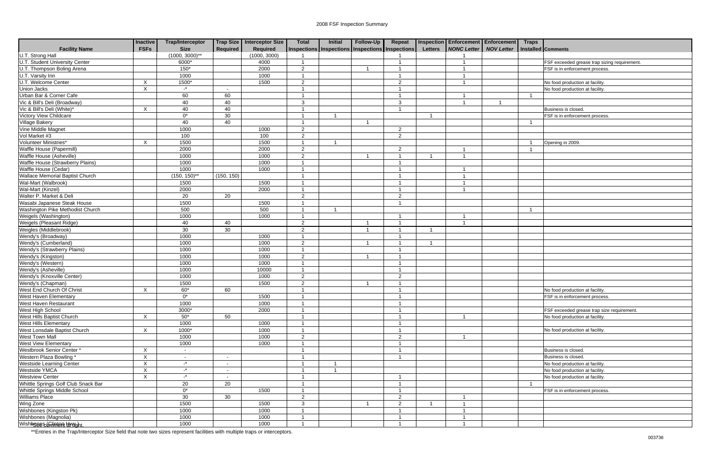|                                        | <b>Inactive</b> | <b>Trap/Interceptor</b> |                 | Trap Size   Interceptor Size | <b>Total</b>   | Initial                                         | Follow-Up | Repeat                   |                |                        | Inspection Enforcement Enforcement Traps |                |                                              |
|----------------------------------------|-----------------|-------------------------|-----------------|------------------------------|----------------|-------------------------------------------------|-----------|--------------------------|----------------|------------------------|------------------------------------------|----------------|----------------------------------------------|
| <b>Facility Name</b>                   | <b>FSFs</b>     | <b>Size</b>             | <b>Required</b> | Required                     |                | Inspections Inspections Inspections Inspections |           |                          | <b>Letters</b> | NONC Letter NOV Letter |                                          |                | Installed Comments                           |
| U.T. Strong Hall                       |                 | $(1000, 3000)^{**}$     |                 | (1000, 3000)                 |                |                                                 |           |                          |                |                        |                                          |                |                                              |
| <b>U.T. Student University Center</b>  |                 | 6000*                   |                 | 4000                         |                |                                                 |           |                          |                |                        |                                          |                | FSF exceeded grease trap sizing requirement. |
| U.T. Thompson Boling Arena             |                 | $150*$                  |                 | 2000                         | 2              |                                                 |           | -1                       |                |                        |                                          |                | FSF is in enforcement process.               |
| U.T. Varsity Inn                       |                 | 1000                    |                 | 1000                         |                |                                                 |           | -1                       |                |                        |                                          |                |                                              |
| U.T. Welcome Center                    | X               | 1500*                   |                 | 1500                         | $\overline{2}$ |                                                 |           | 2                        |                |                        |                                          |                | No food production at facility               |
| <b>Union Jacks</b>                     | $\sf X$         | $\mathbf{r}$            | $\sim$          |                              | - 1            |                                                 |           | -1                       |                |                        |                                          |                | No food production at facility               |
| Urban Bar & Corner Cafe                |                 | 60                      | 60              |                              | - 1            |                                                 |           | $\overline{1}$           |                |                        |                                          | $\overline{1}$ |                                              |
| Vic & Bill's Deli (Broadway)           |                 | 40                      | 40              |                              | 3              |                                                 |           | $\mathbf{3}$             |                |                        |                                          |                |                                              |
| Vic & Bill's Deli (White)*             | X               | 40                      | 40              |                              |                |                                                 |           |                          |                |                        |                                          |                | <b>Business is closed</b>                    |
| <b>Victory View Childcare</b>          |                 | $0^*$                   | 30              |                              |                |                                                 |           |                          |                |                        |                                          |                | FSF is in enforcement process.               |
| <b>Village Bakery</b>                  |                 | 40                      | 40              |                              |                |                                                 |           |                          |                |                        |                                          | - 1            |                                              |
| Vine Middle Magnet                     |                 | 1000                    |                 | 1000                         | $\overline{2}$ |                                                 |           | $\overline{2}$           |                |                        |                                          |                |                                              |
| Vol Market #3                          |                 | 100                     |                 | 100                          | $\overline{2}$ |                                                 |           | $\overline{2}$           |                |                        |                                          |                |                                              |
| Volunteer Ministries*                  | X               | 1500                    |                 | 1500                         |                |                                                 |           |                          |                |                        |                                          |                | Opening in 2009.                             |
| Waffle House (Papermill)               |                 | 2000                    |                 | 2000                         | 2              |                                                 |           | 2                        |                |                        |                                          |                |                                              |
| Waffle House (Asheville)               |                 | 1000                    |                 | 1000                         | 2              |                                                 |           | $\overline{1}$           |                |                        |                                          |                |                                              |
| Waffle House (Strawberry Plains)       |                 | 1000                    |                 | 1000                         |                |                                                 |           | -1                       |                |                        |                                          |                |                                              |
| Waffle House (Cedar)                   |                 | 1000                    |                 | 1000                         |                |                                                 |           | -1                       |                |                        |                                          |                |                                              |
| <b>Wallace Memorial Baptist Church</b> |                 | $(150, 150)^{*}$        | (150, 150)      |                              |                |                                                 |           |                          |                |                        |                                          |                |                                              |
| Wal-Mart (Walbrook)                    |                 | 1500                    |                 | 1500                         | - 1            |                                                 |           | $\overline{\mathbf{1}}$  |                |                        |                                          |                |                                              |
| Wal-Mart (Kinzel)                      |                 | 2000                    |                 | 2000                         |                |                                                 |           | $\overline{\mathbf{1}}$  |                |                        |                                          |                |                                              |
| Walter P. Market & Deli                |                 | 20                      | 20              |                              | 2              |                                                 |           | $\overline{2}$           |                |                        |                                          |                |                                              |
| Wasabi Japanese Steak House            |                 | 1500                    |                 | 1500                         |                |                                                 |           |                          |                |                        |                                          |                |                                              |
| Washington Pike Methodist Church       |                 | 500                     |                 | 500                          |                |                                                 |           |                          |                |                        |                                          | - 1            |                                              |
| Weigels (Washington)                   |                 | 1000                    |                 | 1000                         |                |                                                 |           |                          |                |                        |                                          |                |                                              |
| Weigels (Pleasant Ridge)               |                 | 40                      | 40              |                              | $\overline{2}$ |                                                 |           |                          |                |                        |                                          |                |                                              |
| Weigles (Middlebrook)                  |                 | 30                      | 30              |                              | 2              |                                                 |           | -1                       |                |                        |                                          |                |                                              |
| Wendy's (Broadway)                     |                 | 1000                    |                 | 1000                         | - 1            |                                                 |           | $\overline{\mathbf{1}}$  |                |                        |                                          |                |                                              |
| Wendy's (Cumberland)                   |                 | 1000                    |                 | 1000                         | 2              |                                                 |           | - 1                      |                |                        |                                          |                |                                              |
| Wendy's (Strawberry Plains)            |                 | 1000                    |                 | 1000                         |                |                                                 |           |                          |                |                        |                                          |                |                                              |
| Wendy's (Kingston)                     |                 | 1000                    |                 | 1000                         | 2              |                                                 |           |                          |                |                        |                                          |                |                                              |
| Wendy's (Western)                      |                 | 1000                    |                 | 1000                         |                |                                                 |           |                          |                |                        |                                          |                |                                              |
| Wendy's (Asheville)                    |                 | 1000                    |                 | 10000                        |                |                                                 |           | - 1                      |                |                        |                                          |                |                                              |
| Wendy's (Knoxville Center)             |                 | 1000                    |                 | 1000                         | $\overline{2}$ |                                                 |           | $\overline{2}$           |                |                        |                                          |                |                                              |
| Wendy's (Chapman)                      |                 | 1500                    |                 | 1500                         | $\overline{2}$ |                                                 |           |                          |                |                        |                                          |                |                                              |
| West End Church Of Christ              | X               | 60*                     | 60              |                              | - 1            |                                                 |           | $\overline{\phantom{a}}$ |                |                        |                                          |                | No food production at facility.              |
| West Haven Elementary                  |                 | $0^*$                   |                 | 1500                         | $\overline{1}$ |                                                 |           | $\overline{1}$           |                |                        |                                          |                | FSF is in enforcement process.               |
| West Haven Restaurant                  |                 | 1000                    |                 | 1000                         |                |                                                 |           |                          |                |                        |                                          |                |                                              |
| West High School                       |                 | 3000*                   |                 | 2000                         |                |                                                 |           |                          |                |                        |                                          |                | FSF exceeded grease trap size requirement.   |
| West Hills Baptist Church              | X               | $50^*$                  | 50              |                              |                |                                                 |           |                          |                |                        |                                          |                | No food production at facility.              |
| <b>West Hills Elementary</b>           |                 | 1000                    |                 | 1000                         |                |                                                 |           | -1                       |                |                        |                                          |                |                                              |
| West Lonsdale Baptist Church           | X               | 1000*                   |                 | 1000                         |                |                                                 |           | -1                       |                |                        |                                          |                | No food production at facility.              |
| West Town Mall                         |                 | 1000                    |                 | 1000                         | $\overline{2}$ |                                                 |           | $\overline{2}$           |                |                        |                                          |                |                                              |
| West View Elementary                   |                 | 1000                    |                 | 1000                         |                |                                                 |           | $\overline{1}$           |                |                        |                                          |                |                                              |
| Westbrook Senior Center *              | X               | $\sim$                  |                 |                              | - 1            |                                                 |           | $\overline{1}$           |                |                        |                                          |                | Business is closed.                          |
| Western Plaza Bowling *                | $\mathsf{X}$    | $\sim$                  | $\sim$          |                              |                |                                                 |           | $\overline{1}$           |                |                        |                                          |                | Business is closed.                          |
| <b>Westside Learning Center</b>        | X               | $-$ *                   | $\sim$          |                              |                |                                                 |           |                          |                |                        |                                          |                | No food production at facility.              |
| Westside YMCA                          | X               | $\mathbb{L}^*$          | $\sim$          |                              |                |                                                 |           |                          |                |                        |                                          |                | No food production at facility.              |
| <b>Westview Center</b>                 | X               | $\mathbf{r}$            | $\sim$          |                              |                |                                                 |           | $\overline{1}$           |                |                        |                                          |                | No food production at facility.              |
| Whittle Springs Golf Club Snack Bar    |                 | $\overline{20}$         | 20              |                              |                |                                                 |           | -1                       |                |                        |                                          |                |                                              |
| Whittle Springs Middle School          |                 | $0^*$                   |                 | 1500                         |                |                                                 |           |                          |                |                        |                                          |                | FSF is in enforcement process.               |
| Williams Place                         |                 | 30                      | 30              |                              | $\overline{2}$ |                                                 |           | $\overline{2}$           |                |                        |                                          |                |                                              |
| Wing Zone                              |                 | 1500                    |                 | 1500                         | 3              |                                                 |           | $\overline{2}$           |                |                        |                                          |                |                                              |
| Wishbones (Kingston Pk)                |                 | 1000                    |                 | 1000                         |                |                                                 |           | $\overline{1}$           |                |                        |                                          |                |                                              |
| Wishbones (Magnolia)                   |                 | 1000                    |                 | 1000                         |                |                                                 |           | $\overline{1}$           |                |                        |                                          |                |                                              |
| Wishboure Chintent divisiont.          |                 | 1000                    |                 | 1000                         |                |                                                 |           | -1                       |                |                        |                                          |                |                                              |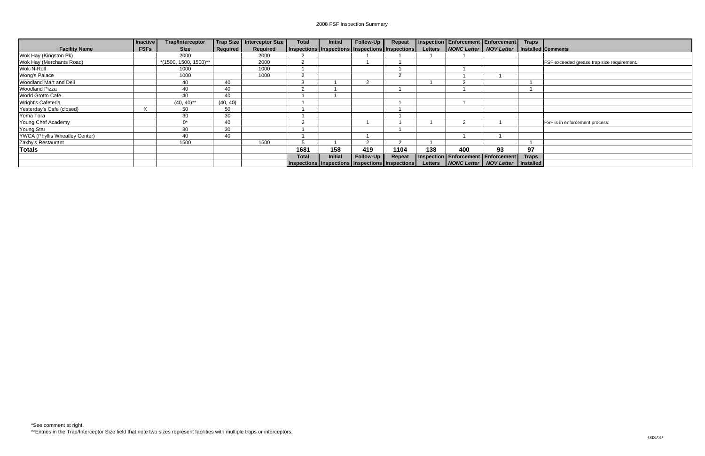|                                       | <b>Inactive</b> | <b>Trap/Interceptor</b>    |                 | Trap Size Interceptor Size | <b>Total</b>                                    | <b>Initial</b> | Follow-Up | Repeat        |     | Inspection Enforcement Enforcement Traps                |    |       |                                            |
|---------------------------------------|-----------------|----------------------------|-----------------|----------------------------|-------------------------------------------------|----------------|-----------|---------------|-----|---------------------------------------------------------|----|-------|--------------------------------------------|
| <b>Facility Name</b>                  | <b>FSFs</b>     | <b>Size</b>                | <b>Required</b> | Required                   | Inspections Inspections Inspections Inspections |                |           |               |     | Letters   NONC Letter   NOV Letter   Installed Comments |    |       |                                            |
| Wok Hay (Kingston Pk)                 |                 | 2000                       |                 | 2000                       |                                                 |                |           |               |     |                                                         |    |       |                                            |
| Wok Hay (Merchants Road)              |                 | $*(1500, 1500, 1500)^{**}$ |                 | 2000                       | $\sim$                                          |                |           |               |     |                                                         |    |       | FSF exceeded grease trap size requirement. |
| Wok-N-Roll                            |                 | 1000                       |                 | 1000                       |                                                 |                |           |               |     |                                                         |    |       |                                            |
| Wong's Palace                         |                 | 1000                       |                 | 1000                       |                                                 |                |           | ົ             |     |                                                         |    |       |                                            |
| Woodland Mart and Deli                |                 | 40                         | 40              |                            |                                                 |                |           |               |     |                                                         |    |       |                                            |
| <b>Woodland Pizza</b>                 |                 | 40                         | 40              |                            |                                                 |                |           |               |     |                                                         |    |       |                                            |
| World Grotto Cafe                     |                 | 40                         | 40              |                            |                                                 |                |           |               |     |                                                         |    |       |                                            |
| Wright's Cafeteria                    |                 | $(40, 40)$ **              | (40, 40)        |                            |                                                 |                |           |               |     |                                                         |    |       |                                            |
| Yesterday's Cafe (closed)             |                 | 50                         | 50              |                            |                                                 |                |           |               |     |                                                         |    |       |                                            |
| Yoma Tora                             |                 | 30                         | 30              |                            |                                                 |                |           |               |     |                                                         |    |       |                                            |
| Young Chef Academy                    |                 | ∩*                         | 40              |                            | ົ                                               |                |           |               |     |                                                         |    |       | FSF is in enforcement process.             |
| Young Star                            |                 | 30                         | 30              |                            |                                                 |                |           |               |     |                                                         |    |       |                                            |
| <b>YWCA</b> (Phyllis Wheatley Center) |                 | 40                         | 40              |                            |                                                 |                |           |               |     |                                                         |    |       |                                            |
| Zaxby's Restaurant                    |                 | 1500                       |                 | 1500                       |                                                 |                |           | $\mathcal{P}$ |     |                                                         |    |       |                                            |
| <b>Totals</b>                         |                 |                            |                 |                            | 1681                                            | 158            | 419       | 1104          | 138 | 400                                                     | 93 | 97    |                                            |
|                                       |                 |                            |                 |                            | <b>Total</b>                                    | <b>Initial</b> | Follow-Up | Repeat        |     | Inspection Enforcement Enforcement                      |    | Traps |                                            |
|                                       |                 |                            |                 |                            | Inspections Inspections Inspections Inspections |                |           |               |     | Letters   NONC Letter   NOV Letter   Installed          |    |       |                                            |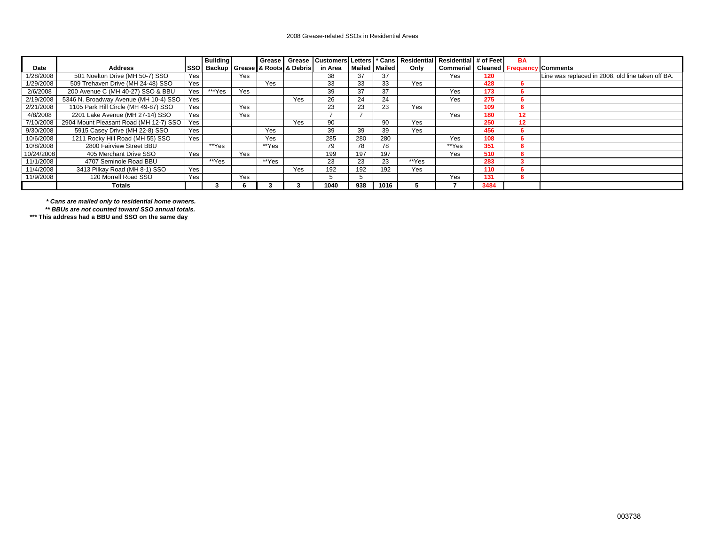#### 2008 Grease-related SSOs in Residential Areas

|            |                                        |      | <b>Building</b>                |     | <b>Grease</b> |     |         |     |               |       | Grease Customers Letters * Cans Residential Residential # of Feet |      | <b>BA</b> |                                                   |
|------------|----------------------------------------|------|--------------------------------|-----|---------------|-----|---------|-----|---------------|-------|-------------------------------------------------------------------|------|-----------|---------------------------------------------------|
| Date       | <b>Address</b>                         | ssol | Backup Grease & Roots & Debris |     |               |     | in Area |     | Mailed Mailed | Only  | Commerial Cleaned Frequency                                       |      |           | / Comments                                        |
| 1/28/2008  | 501 Noelton Drive (MH 50-7) SSO        | Yes  |                                | Yes |               |     | 38      | 37  | 37            |       | Yes                                                               | 120  |           | Line was replaced in 2008, old line taken off BA. |
| 1/29/2008  | 509 Trehaven Drive (MH 24-48) SSO      | Yes  |                                |     | Yes           |     | 33      | 33  | 33            | Yes   |                                                                   | 428  | 'n        |                                                   |
| 2/6/2008   | 200 Avenue C (MH 40-27) SSO & BBU      | Yes  | ***Yes                         | Yes |               |     | 39      | 37  | 37            |       | Yes                                                               | 173  | <b>D</b>  |                                                   |
| 2/19/2008  | 5346 N. Broadway Avenue (MH 10-4) SSO  | Yes  |                                |     |               | Yes | 26      | 24  | 24            |       | Yes                                                               | 275  |           |                                                   |
| 2/21/2008  | 1105 Park Hill Circle (MH 49-87) SSO   | Yes  |                                | Yes |               |     | 23      | 23  | 23            | Yes   |                                                                   | 109  |           |                                                   |
| 4/8/2008   | 2201 Lake Avenue (MH 27-14) SSO        | Yes  |                                | Yes |               |     |         |     |               |       | Yes                                                               | 180  | 12        |                                                   |
| 7/10/2008  | 2904 Mount Pleasant Road (MH 12-7) SSO | Yes  |                                |     |               | Yes | 90      |     | 90            | Yes   |                                                                   | 250  | 12        |                                                   |
| 9/30/2008  | 5915 Casey Drive (MH 22-8) SSO         | Yes  |                                |     | Yes           |     | 39      | 39  | 39            | Yes   |                                                                   | 456  | b         |                                                   |
| 10/6/2008  | 1211 Rocky Hill Road (MH 55) SSO       | Yes  |                                |     | Yes           |     | 285     | 280 | 280           |       | Yes                                                               | 108  | 'n.       |                                                   |
| 10/8/2008  | 2800 Fairview Street BBU               |      | **Yes                          |     | **Yes         |     | 79      | 78  | 78            |       | **Yes                                                             | 351  |           |                                                   |
| 10/24/2008 | 405 Merchant Drive SSO                 | Yes  |                                | Yes |               |     | 199     | 197 | 197           |       | <b>Yes</b>                                                        | 510  |           |                                                   |
| 11/1/2008  | 4707 Seminole Road BBU                 |      | **Yes                          |     | **Yes         |     | 23      | 23  | 23            | **Yes |                                                                   | 283  |           |                                                   |
| 11/4/2008  | 3413 Pilkay Road (MH 8-1) SSO          | Yes  |                                |     |               | Yes | 192     | 192 | 192           | Yes   |                                                                   | 110  |           |                                                   |
| 11/9/2008  | 120 Morrell Road SSO                   | Yes  |                                | Yes |               |     |         |     |               |       | Yes                                                               | 131  | 6         |                                                   |
|            | <b>Totals</b>                          |      |                                |     |               |     | 1040    | 938 | 1016          |       |                                                                   | 3484 |           |                                                   |

*\* Cans are mailed only to residential home owners.*

*\*\* BBUs are not counted toward SSO annual totals.* 

 **\*\*\* This address had a BBU and SSO on the same day**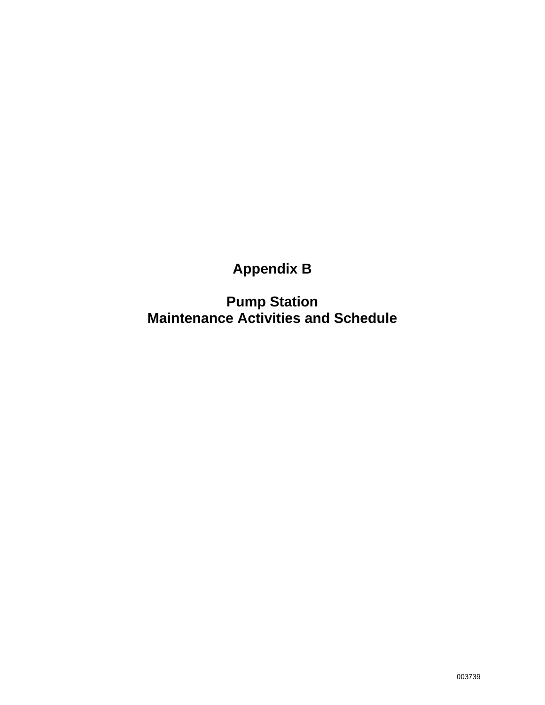## **Appendix B**

**Pump Station Maintenance Activities and Schedule**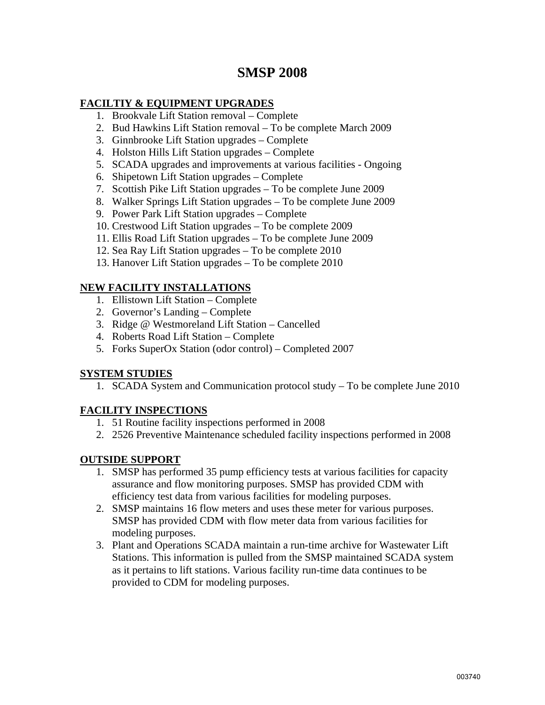## **SMSP 2008**

#### **FACILTIY & EQUIPMENT UPGRADES**

- 1. Brookvale Lift Station removal Complete
- 2. Bud Hawkins Lift Station removal To be complete March 2009
- 3. Ginnbrooke Lift Station upgrades Complete
- 4. Holston Hills Lift Station upgrades Complete
- 5. SCADA upgrades and improvements at various facilities Ongoing
- 6. Shipetown Lift Station upgrades Complete
- 7. Scottish Pike Lift Station upgrades To be complete June 2009
- 8. Walker Springs Lift Station upgrades To be complete June 2009
- 9. Power Park Lift Station upgrades Complete
- 10. Crestwood Lift Station upgrades To be complete 2009
- 11. Ellis Road Lift Station upgrades To be complete June 2009
- 12. Sea Ray Lift Station upgrades To be complete 2010
- 13. Hanover Lift Station upgrades To be complete 2010

#### **NEW FACILITY INSTALLATIONS**

- 1. Ellistown Lift Station Complete
- 2. Governor's Landing Complete
- 3. Ridge @ Westmoreland Lift Station Cancelled
- 4. Roberts Road Lift Station Complete
- 5. Forks SuperOx Station (odor control) Completed 2007

#### **SYSTEM STUDIES**

1. SCADA System and Communication protocol study – To be complete June 2010

#### **FACILITY INSPECTIONS**

- 1. 51 Routine facility inspections performed in 2008
- 2. 2526 Preventive Maintenance scheduled facility inspections performed in 2008

#### **OUTSIDE SUPPORT**

- 1. SMSP has performed 35 pump efficiency tests at various facilities for capacity assurance and flow monitoring purposes. SMSP has provided CDM with efficiency test data from various facilities for modeling purposes.
- 2. SMSP maintains 16 flow meters and uses these meter for various purposes. SMSP has provided CDM with flow meter data from various facilities for modeling purposes.
- 3. Plant and Operations SCADA maintain a run-time archive for Wastewater Lift Stations. This information is pulled from the SMSP maintained SCADA system as it pertains to lift stations. Various facility run-time data continues to be provided to CDM for modeling purposes.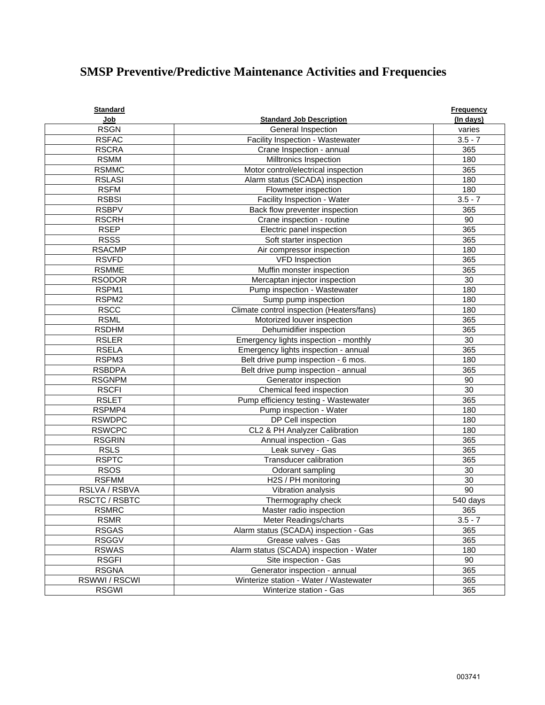## **SMSP Preventive/Predictive Maintenance Activities and Frequencies**

| <b>Standard</b> |                                           | <b>Frequency</b> |
|-----------------|-------------------------------------------|------------------|
| Job             | <b>Standard Job Description</b>           | (In days)        |
| <b>RSGN</b>     | General Inspection                        | varies           |
| <b>RSFAC</b>    | Facility Inspection - Wastewater          | $3.5 - 7$        |
| <b>RSCRA</b>    | Crane Inspection - annual                 | 365              |
| <b>RSMM</b>     | Milltronics Inspection                    | 180              |
| <b>RSMMC</b>    | Motor control/electrical inspection       | 365              |
| <b>RSLASI</b>   | Alarm status (SCADA) inspection           | 180              |
| <b>RSFM</b>     | Flowmeter inspection                      | 180              |
| <b>RSBSI</b>    | Facility Inspection - Water               | $3.5 - 7$        |
| <b>RSBPV</b>    | Back flow preventer inspection            | 365              |
| <b>RSCRH</b>    | Crane inspection - routine                | 90               |
| <b>RSEP</b>     | Electric panel inspection                 | 365              |
| <b>RSSS</b>     | Soft starter inspection                   | 365              |
| <b>RSACMP</b>   | Air compressor inspection                 | 180              |
| <b>RSVFD</b>    | <b>VFD Inspection</b>                     | 365              |
| <b>RSMME</b>    | Muffin monster inspection                 | 365              |
| <b>RSODOR</b>   | Mercaptan injector inspection             | 30               |
| RSPM1           | Pump inspection - Wastewater              | 180              |
| RSPM2           | Sump pump inspection                      | 180              |
| <b>RSCC</b>     | Climate control inspection (Heaters/fans) | 180              |
| <b>RSML</b>     | Motorized louver inspection               | 365              |
| <b>RSDHM</b>    | Dehumidifier inspection                   | 365              |
| <b>RSLER</b>    | Emergency lights inspection - monthly     | 30               |
| <b>RSELA</b>    | Emergency lights inspection - annual      | 365              |
| RSPM3           | Belt drive pump inspection - 6 mos.       | 180              |
| <b>RSBDPA</b>   | Belt drive pump inspection - annual       | 365              |
| <b>RSGNPM</b>   | Generator inspection                      | 90               |
| <b>RSCFI</b>    | Chemical feed inspection                  | 30               |
| <b>RSLET</b>    | Pump efficiency testing - Wastewater      | 365              |
| RSPMP4          | Pump inspection - Water                   | 180              |
| <b>RSWDPC</b>   | DP Cell inspection                        | 180              |
| <b>RSWCPC</b>   | CL2 & PH Analyzer Calibration             | 180              |
| <b>RSGRIN</b>   | Annual inspection - Gas                   | 365              |
| <b>RSLS</b>     | Leak survey - Gas                         | 365              |
| <b>RSPTC</b>    | <b>Transducer calibration</b>             | 365              |
| <b>RSOS</b>     | Odorant sampling                          | 30               |
| <b>RSFMM</b>    | H2S / PH monitoring                       | 30               |
| RSLVA / RSBVA   | Vibration analysis                        | 90               |
| RSCTC / RSBTC   | Thermography check                        | 540 days         |
| <b>RSMRC</b>    | Master radio inspection                   | 365              |
| <b>RSMR</b>     | Meter Readings/charts                     | $3.5 - 7$        |
| <b>RSGAS</b>    | Alarm status (SCADA) inspection - Gas     | 365              |
| <b>RSGGV</b>    | Grease valves - Gas                       | 365              |
| <b>RSWAS</b>    | Alarm status (SCADA) inspection - Water   | 180              |
| <b>RSGFI</b>    | Site inspection - Gas                     | 90               |
| <b>RSGNA</b>    | Generator inspection - annual             | 365              |
| RSWWI/RSCWI     | Winterize station - Water / Wastewater    | 365              |
| <b>RSGWI</b>    | Winterize station - Gas                   | 365              |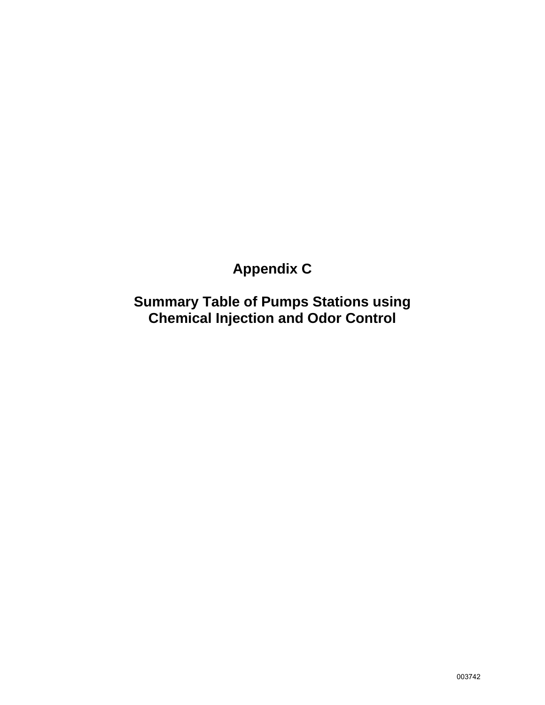## **Appendix C**

**Summary Table of Pumps Stations using Chemical Injection and Odor Control**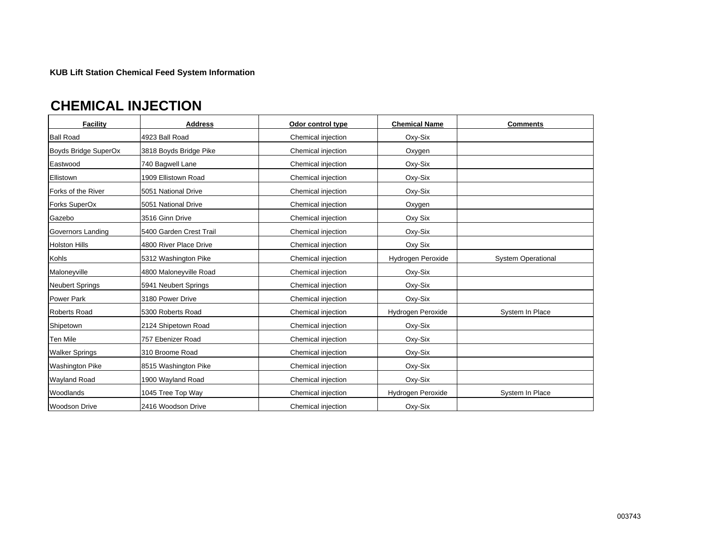**KUB Lift Station Chemical Feed System Information**

## **CHEMICAL INJECTION**

| <b>Facility</b>        | <b>Address</b>          | Odor control type  | <b>Chemical Name</b> | <b>Comments</b>           |
|------------------------|-------------------------|--------------------|----------------------|---------------------------|
| <b>Ball Road</b>       | 4923 Ball Road          | Chemical injection | Oxy-Six              |                           |
| Boyds Bridge SuperOx   | 3818 Boyds Bridge Pike  | Chemical injection | Oxygen               |                           |
| Eastwood               | 740 Bagwell Lane        | Chemical injection | Oxy-Six              |                           |
| Ellistown              | 1909 Ellistown Road     | Chemical injection | Oxy-Six              |                           |
| Forks of the River     | 5051 National Drive     | Chemical injection | Oxy-Six              |                           |
| Forks SuperOx          | 5051 National Drive     | Chemical injection | Oxygen               |                           |
| Gazebo                 | 3516 Ginn Drive         | Chemical injection | Oxy Six              |                           |
| Governors Landing      | 5400 Garden Crest Trail | Chemical injection | Oxy-Six              |                           |
| <b>Holston Hills</b>   | 4800 River Place Drive  | Chemical injection | Oxy Six              |                           |
| Kohls                  | 5312 Washington Pike    | Chemical injection | Hydrogen Peroxide    | <b>System Operational</b> |
| Maloneyville           | 4800 Maloneyville Road  | Chemical injection | Oxy-Six              |                           |
| <b>Neubert Springs</b> | 5941 Neubert Springs    | Chemical injection | Oxy-Six              |                           |
| <b>Power Park</b>      | 3180 Power Drive        | Chemical injection | Oxy-Six              |                           |
| <b>Roberts Road</b>    | 5300 Roberts Road       | Chemical injection | Hydrogen Peroxide    | System In Place           |
| Shipetown              | 2124 Shipetown Road     | Chemical injection | Oxy-Six              |                           |
| Ten Mile               | 757 Ebenizer Road       | Chemical injection | Oxy-Six              |                           |
| <b>Walker Springs</b>  | 310 Broome Road         | Chemical injection | Oxy-Six              |                           |
| <b>Washington Pike</b> | 8515 Washington Pike    | Chemical injection | Oxy-Six              |                           |
| <b>Wayland Road</b>    | 1900 Wayland Road       | Chemical injection | Oxy-Six              |                           |
| Woodlands              | 1045 Tree Top Way       | Chemical injection | Hydrogen Peroxide    | System In Place           |
| <b>Woodson Drive</b>   | 2416 Woodson Drive      | Chemical injection | Oxy-Six              |                           |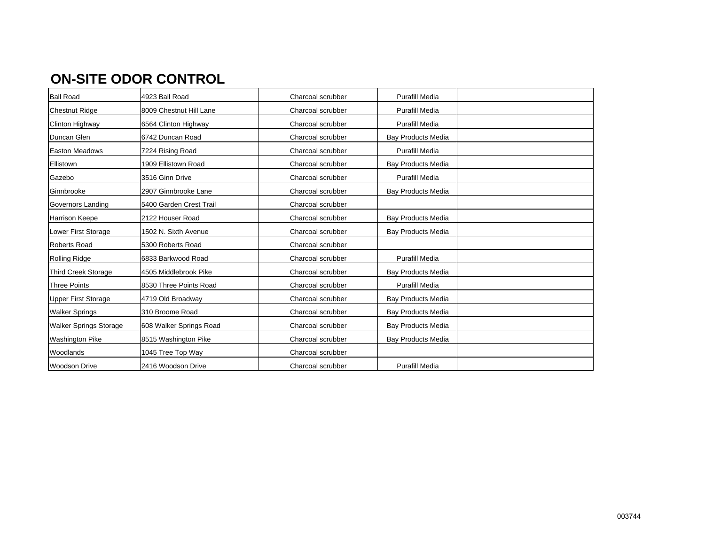## **ON-SITE ODOR CONTROL**

| <b>Ball Road</b>              | 4923 Ball Road          | Charcoal scrubber | <b>Purafill Media</b>     |  |
|-------------------------------|-------------------------|-------------------|---------------------------|--|
| <b>Chestnut Ridge</b>         | 8009 Chestnut Hill Lane | Charcoal scrubber | <b>Purafill Media</b>     |  |
| Clinton Highway               | 6564 Clinton Highway    | Charcoal scrubber | <b>Purafill Media</b>     |  |
| Duncan Glen                   | 6742 Duncan Road        | Charcoal scrubber | <b>Bay Products Media</b> |  |
| <b>Easton Meadows</b>         | 7224 Rising Road        | Charcoal scrubber | <b>Purafill Media</b>     |  |
| Ellistown                     | 1909 Ellistown Road     | Charcoal scrubber | <b>Bay Products Media</b> |  |
| Gazebo                        | 3516 Ginn Drive         | Charcoal scrubber | <b>Purafill Media</b>     |  |
| Ginnbrooke                    | 2907 Ginnbrooke Lane    | Charcoal scrubber | <b>Bay Products Media</b> |  |
| Governors Landing             | 5400 Garden Crest Trail | Charcoal scrubber |                           |  |
| <b>Harrison Keepe</b>         | 2122 Houser Road        | Charcoal scrubber | <b>Bay Products Media</b> |  |
| Lower First Storage           | 1502 N. Sixth Avenue    | Charcoal scrubber | <b>Bay Products Media</b> |  |
| <b>Roberts Road</b>           | 5300 Roberts Road       | Charcoal scrubber |                           |  |
| <b>Rolling Ridge</b>          | 6833 Barkwood Road      | Charcoal scrubber | <b>Purafill Media</b>     |  |
| <b>Third Creek Storage</b>    | 4505 Middlebrook Pike   | Charcoal scrubber | <b>Bay Products Media</b> |  |
| Three Points                  | 8530 Three Points Road  | Charcoal scrubber | <b>Purafill Media</b>     |  |
| <b>Upper First Storage</b>    | 4719 Old Broadway       | Charcoal scrubber | Bay Products Media        |  |
| <b>Walker Springs</b>         | 310 Broome Road         | Charcoal scrubber | <b>Bay Products Media</b> |  |
| <b>Walker Springs Storage</b> | 608 Walker Springs Road | Charcoal scrubber | <b>Bay Products Media</b> |  |
| <b>Washington Pike</b>        | 8515 Washington Pike    | Charcoal scrubber | <b>Bay Products Media</b> |  |
| Woodlands                     | 1045 Tree Top Way       | Charcoal scrubber |                           |  |
| <b>Woodson Drive</b>          | 2416 Woodson Drive      | Charcoal scrubber | <b>Purafill Media</b>     |  |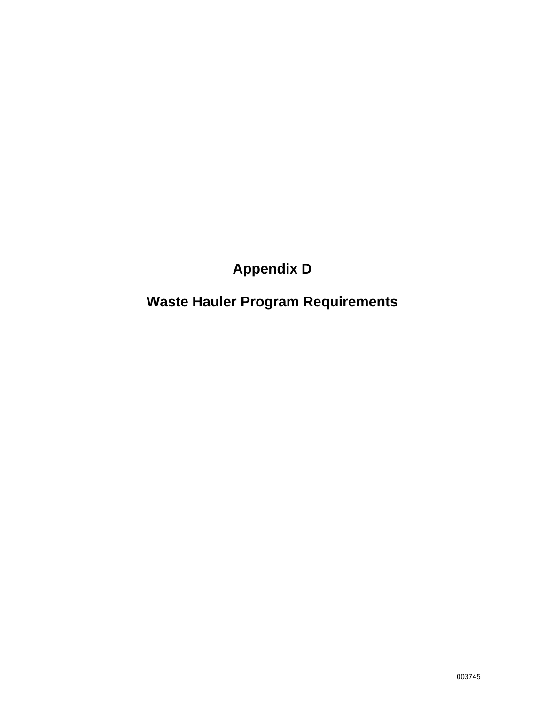## **Appendix D**

## **Waste Hauler Program Requirements**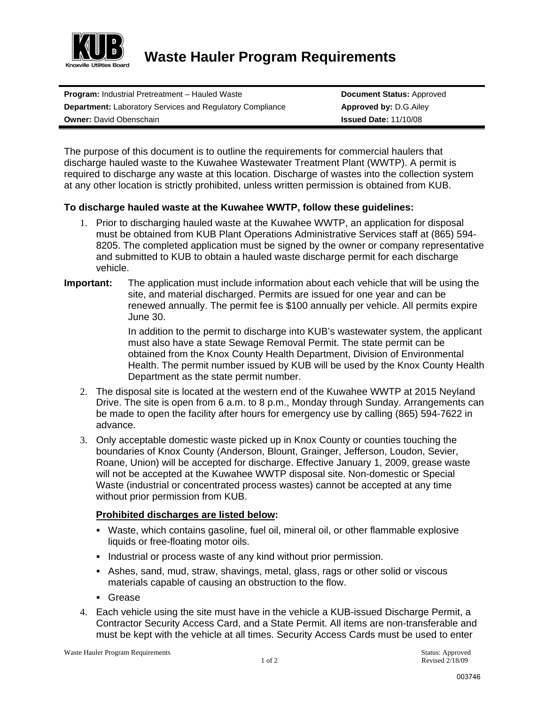

**Waste Hauler Program Requirements** 

**Program: Industrial Pretreatment – Hauled Waste <b>Document Status:** Approved **Department:** Laboratory Services and Regulatory Compliance **Approved by: D.G.Ailey Owner: David Obenschain <b>Issued Date: 11/10/08 Issued Date: 11/10/08** 

The purpose of this document is to outline the requirements for commercial haulers that discharge hauled waste to the Kuwahee Wastewater Treatment Plant (WWTP). A permit is required to discharge any waste at this location. Discharge of wastes into the collection system at any other location is strictly prohibited, unless written permission is obtained from KUB.

#### **To discharge hauled waste at the Kuwahee WWTP, follow these guidelines:**

- 1. Prior to discharging hauled waste at the Kuwahee WWTP, an application for disposal must be obtained from KUB Plant Operations Administrative Services staff at (865) 594- 8205. The completed application must be signed by the owner or company representative and submitted to KUB to obtain a hauled waste discharge permit for each discharge vehicle.
- **Important:** The application must include information about each vehicle that will be using the site, and material discharged. Permits are issued for one year and can be renewed annually. The permit fee is \$100 annually per vehicle. All permits expire June 30.

In addition to the permit to discharge into KUB's wastewater system, the applicant must also have a state Sewage Removal Permit. The state permit can be obtained from the Knox County Health Department, Division of Environmental Health. The permit number issued by KUB will be used by the Knox County Health Department as the state permit number.

- 2. The disposal site is located at the western end of the Kuwahee WWTP at 2015 Neyland Drive. The site is open from 6 a.m. to 8 p.m., Monday through Sunday. Arrangements can be made to open the facility after hours for emergency use by calling (865) 594-7622 in advance.
- 3. Only acceptable domestic waste picked up in Knox County or counties touching the boundaries of Knox County (Anderson, Blount, Grainger, Jefferson, Loudon, Sevier, Roane, Union) will be accepted for discharge. Effective January 1, 2009, grease waste will not be accepted at the Kuwahee WWTP disposal site. Non-domestic or Special Waste (industrial or concentrated process wastes) cannot be accepted at any time without prior permission from KUB.

#### **Prohibited discharges are listed below:**

- Waste, which contains gasoline, fuel oil, mineral oil, or other flammable explosive liquids or free-floating motor oils.
- Industrial or process waste of any kind without prior permission.
- Ashes, sand, mud, straw, shavings, metal, glass, rags or other solid or viscous materials capable of causing an obstruction to the flow.
- Grease
- 4. Each vehicle using the site must have in the vehicle a KUB-issued Discharge Permit, a Contractor Security Access Card, and a State Permit. All items are non-transferable and must be kept with the vehicle at all times. Security Access Cards must be used to enter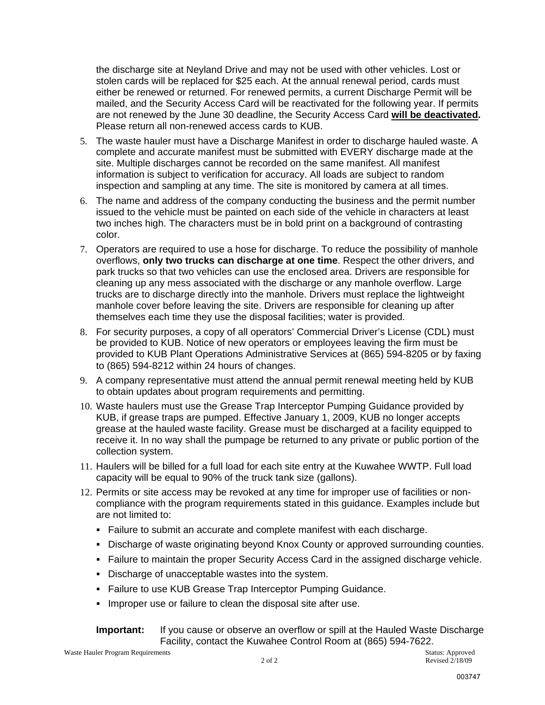the discharge site at Neyland Drive and may not be used with other vehicles. Lost or stolen cards will be replaced for \$25 each. At the annual renewal period, cards must either be renewed or returned. For renewed permits, a current Discharge Permit will be mailed, and the Security Access Card will be reactivated for the following year. If permits are not renewed by the June 30 deadline, the Security Access Card **will be deactivated.**  Please return all non-renewed access cards to KUB.

- 5. The waste hauler must have a Discharge Manifest in order to discharge hauled waste. A complete and accurate manifest must be submitted with EVERY discharge made at the site. Multiple discharges cannot be recorded on the same manifest. All manifest information is subject to verification for accuracy. All loads are subject to random inspection and sampling at any time. The site is monitored by camera at all times.
- 6. The name and address of the company conducting the business and the permit number issued to the vehicle must be painted on each side of the vehicle in characters at least two inches high. The characters must be in bold print on a background of contrasting color.
- 7. Operators are required to use a hose for discharge. To reduce the possibility of manhole overflows, **only two trucks can discharge at one time**. Respect the other drivers, and park trucks so that two vehicles can use the enclosed area. Drivers are responsible for cleaning up any mess associated with the discharge or any manhole overflow. Large trucks are to discharge directly into the manhole. Drivers must replace the lightweight manhole cover before leaving the site. Drivers are responsible for cleaning up after themselves each time they use the disposal facilities; water is provided.
- 8. For security purposes, a copy of all operators' Commercial Driver's License (CDL) must be provided to KUB. Notice of new operators or employees leaving the firm must be provided to KUB Plant Operations Administrative Services at (865) 594-8205 or by faxing to (865) 594-8212 within 24 hours of changes.
- 9. A company representative must attend the annual permit renewal meeting held by KUB to obtain updates about program requirements and permitting.
- 10. Waste haulers must use the Grease Trap Interceptor Pumping Guidance provided by KUB, if grease traps are pumped. Effective January 1, 2009, KUB no longer accepts grease at the hauled waste facility. Grease must be discharged at a facility equipped to receive it. In no way shall the pumpage be returned to any private or public portion of the collection system.
- 11. Haulers will be billed for a full load for each site entry at the Kuwahee WWTP. Full load capacity will be equal to 90% of the truck tank size (gallons).
- 12. Permits or site access may be revoked at any time for improper use of facilities or noncompliance with the program requirements stated in this guidance. Examples include but are not limited to:
	- Failure to submit an accurate and complete manifest with each discharge.
	- Discharge of waste originating beyond Knox County or approved surrounding counties.
	- Failure to maintain the proper Security Access Card in the assigned discharge vehicle.
	- Discharge of unacceptable wastes into the system.
	- **Failure to use KUB Grease Trap Interceptor Pumping Guidance.**
	- **IMPROPERATE:** Improper use or failure to clean the disposal site after use.

#### **Important:** If you cause or observe an overflow or spill at the Hauled Waste Discharge Facility, contact the Kuwahee Control Room at (865) 594-7622.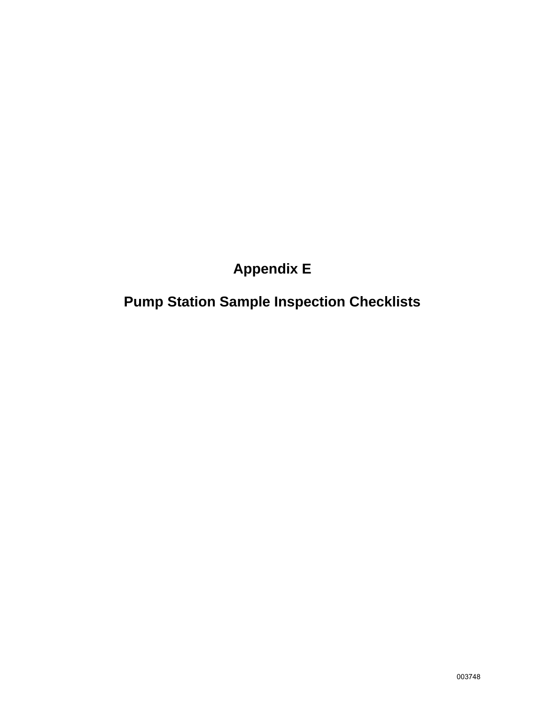## **Appendix E**

## **Pump Station Sample Inspection Checklists**